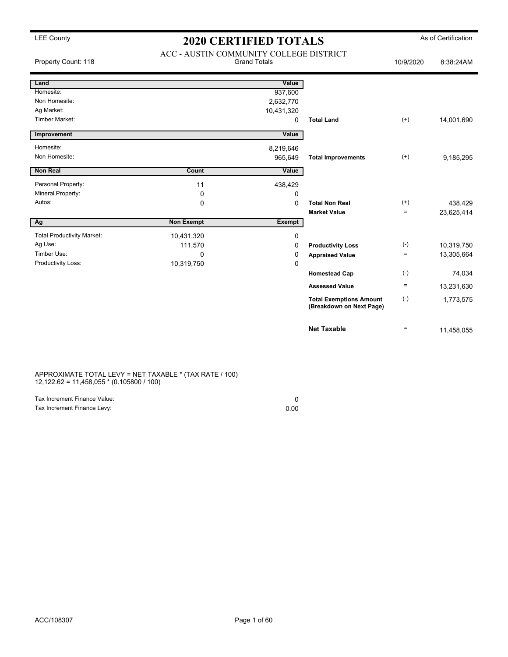| Property Count: 118               | ACC - AUSTIN COMMUNITY COLLEGE DISTRICT<br><b>Grand Totals</b> | 10/9/2020     | 8:38:24AM                                                  |          |            |
|-----------------------------------|----------------------------------------------------------------|---------------|------------------------------------------------------------|----------|------------|
| Land                              |                                                                | Value         |                                                            |          |            |
| Homesite:                         |                                                                | 937,600       |                                                            |          |            |
| Non Homesite:                     |                                                                | 2,632,770     |                                                            |          |            |
| Ag Market:                        |                                                                | 10,431,320    |                                                            |          |            |
| <b>Timber Market:</b>             |                                                                | 0             | <b>Total Land</b>                                          | $(+)$    | 14,001,690 |
| Improvement                       |                                                                | Value         |                                                            |          |            |
| Homesite:                         |                                                                | 8,219,646     |                                                            |          |            |
| Non Homesite:                     |                                                                | 965,649       | <b>Total Improvements</b>                                  | $^{(+)}$ | 9,185,295  |
| <b>Non Real</b>                   | Count                                                          | Value         |                                                            |          |            |
| Personal Property:                | 11                                                             | 438,429       |                                                            |          |            |
| Mineral Property:                 | 0                                                              | 0             |                                                            |          |            |
| Autos:                            | 0                                                              | $\mathbf 0$   | <b>Total Non Real</b>                                      | $^{(+)}$ | 438,429    |
|                                   |                                                                |               | <b>Market Value</b>                                        | $\equiv$ | 23,625,414 |
| Ag                                | <b>Non Exempt</b>                                              | <b>Exempt</b> |                                                            |          |            |
| <b>Total Productivity Market:</b> | 10,431,320                                                     | 0             |                                                            |          |            |
| Ag Use:                           | 111,570                                                        | 0             | <b>Productivity Loss</b>                                   | $(-)$    | 10,319,750 |
| Timber Use:                       | $\Omega$                                                       | 0             | <b>Appraised Value</b>                                     | $\equiv$ | 13,305,664 |
| Productivity Loss:                | 10,319,750                                                     | $\mathbf 0$   |                                                            |          |            |
|                                   |                                                                |               | <b>Homestead Cap</b>                                       | $(-)$    | 74,034     |
|                                   |                                                                |               | <b>Assessed Value</b>                                      | $\equiv$ | 13,231,630 |
|                                   |                                                                |               | <b>Total Exemptions Amount</b><br>(Breakdown on Next Page) | $(-)$    | 1,773,575  |
|                                   |                                                                |               | <b>Net Taxable</b>                                         | $\equiv$ | 11,458,055 |

APPROXIMATE TOTAL LEVY = NET TAXABLE \* (TAX RATE / 100) 12,122.62 = 11,458,055 \* (0.105800 / 100)

| Tax Increment Finance Value: |      |
|------------------------------|------|
| Tax Increment Finance Levy:  | 0.00 |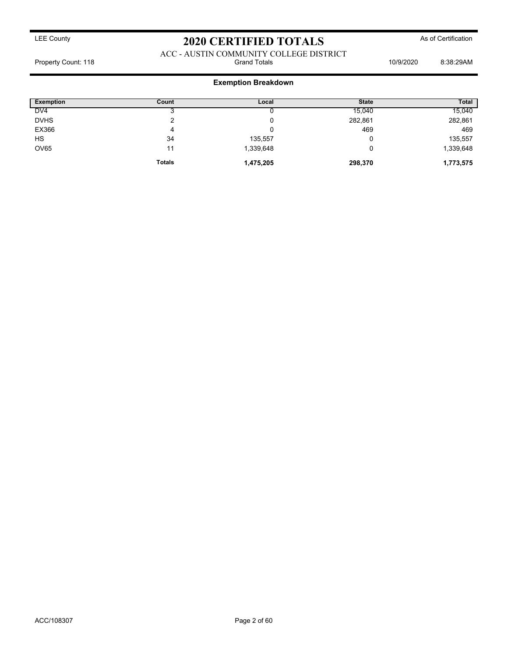ACC - AUSTIN COMMUNITY COLLEGE DISTRICT Property Count: 118 **Property Count: 118** Crand Totals **10/9/2020** 8:38:29AM

### **Exemption Breakdown**

| <b>Exemption</b> | Count         | Local     | <b>State</b> | <b>Total</b> |
|------------------|---------------|-----------|--------------|--------------|
| DV <sub>4</sub>  |               |           | 15,040       | 15,040       |
| <b>DVHS</b>      | ⌒             | ν         | 282,861      | 282,861      |
| EX366            | 4             | υ         | 469          | 469          |
| <b>HS</b>        | 34            | 135,557   |              | 135,557      |
| <b>OV65</b>      | 11            | 1,339,648 |              | 1,339,648    |
|                  | <b>Totals</b> | 1,475,205 | 298,370      | 1,773,575    |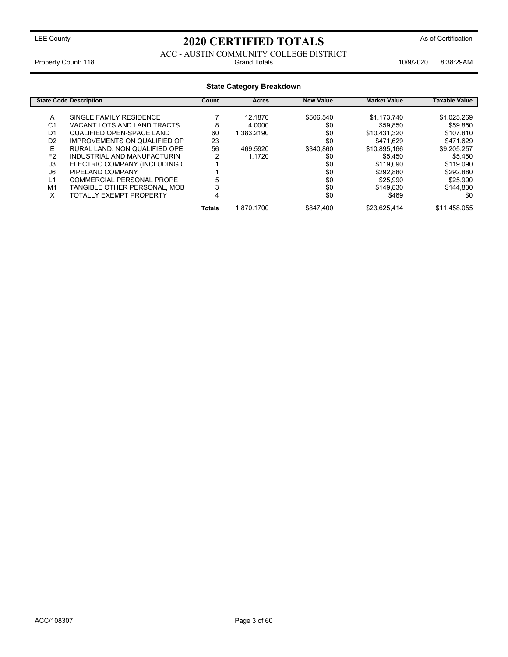ACC - AUSTIN COMMUNITY COLLEGE DISTRICT Property Count: 118 **Property Count: 118** Crand Totals **10/9/2020** 8:38:29AM

| <b>State Category Breakdown</b> |                                     |        |              |                  |                     |               |
|---------------------------------|-------------------------------------|--------|--------------|------------------|---------------------|---------------|
|                                 | <b>State Code Description</b>       | Count  | <b>Acres</b> | <b>New Value</b> | <b>Market Value</b> | Taxable Value |
| A                               | SINGLE FAMILY RESIDENCE             |        | 12.1870      | \$506.540        | \$1,173,740         | \$1,025,269   |
| C <sub>1</sub>                  | VACANT LOTS AND LAND TRACTS         | 8      | 4.0000       | \$0              | \$59.850            | \$59,850      |
| D <sub>1</sub>                  | <b>QUALIFIED OPEN-SPACE LAND</b>    | 60     | 1.383.2190   | \$0              | \$10.431.320        | \$107.810     |
| D <sub>2</sub>                  | <b>IMPROVEMENTS ON QUALIFIED OP</b> | 23     |              | \$0              | \$471.629           | \$471,629     |
| Е                               | RURAL LAND. NON QUALIFIED OPE       | 56     | 469.5920     | \$340.860        | \$10,895,166        | \$9,205,257   |
| F <sub>2</sub>                  | INDUSTRIAL AND MANUFACTURIN         | ົ      | 1.1720       | \$0              | \$5.450             | \$5,450       |
| J3                              | ELECTRIC COMPANY (INCLUDING C       |        |              | \$0              | \$119,090           | \$119,090     |
| J6                              | PIPELAND COMPANY                    |        |              | \$0              | \$292,880           | \$292,880     |
| L1                              | COMMERCIAL PERSONAL PROPE           |        |              | \$0              | \$25.990            | \$25.990      |
| M <sub>1</sub>                  | TANGIBLE OTHER PERSONAL, MOB        |        |              | \$0              | \$149.830           | \$144.830     |
| X                               | TOTALLY EXEMPT PROPERTY             | 4      |              | \$0              | \$469               | \$0           |
|                                 |                                     | Totals | 1.870.1700   | \$847.400        | \$23.625.414        | \$11.458.055  |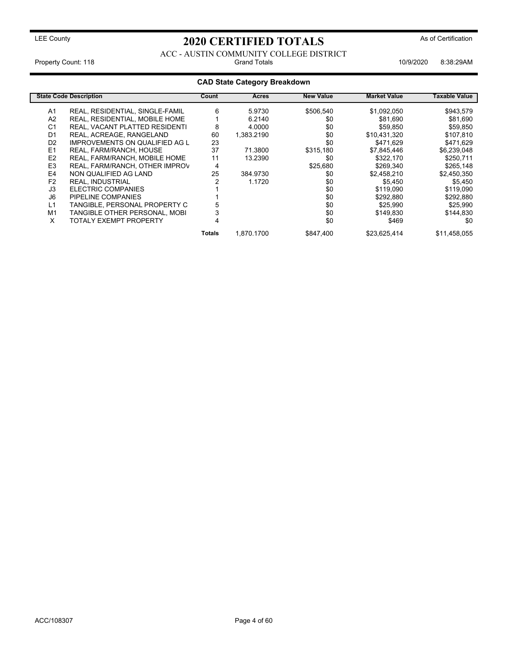### ACC - AUSTIN COMMUNITY COLLEGE DISTRICT Property Count: 118 **Property Count: 118** Crand Totals **10/9/2020** 8:38:29AM

### **CAD State Category Breakdown**

|                | <b>State Code Description</b>         | Count  | Acres      | <b>New Value</b> | <b>Market Value</b> | <b>Taxable Value</b> |
|----------------|---------------------------------------|--------|------------|------------------|---------------------|----------------------|
| A <sub>1</sub> | REAL, RESIDENTIAL, SINGLE-FAMIL       | 6      | 5.9730     | \$506.540        | \$1,092,050         | \$943,579            |
| A <sub>2</sub> | REAL, RESIDENTIAL, MOBILE HOME        |        | 6.2140     | \$0              | \$81.690            | \$81,690             |
| C <sub>1</sub> | REAL, VACANT PLATTED RESIDENTI        | 8      | 4.0000     | \$0              | \$59,850            | \$59,850             |
| D <sub>1</sub> | REAL, ACREAGE, RANGELAND              | 60     | 1.383.2190 | \$0              | \$10,431,320        | \$107,810            |
| D <sub>2</sub> | <b>IMPROVEMENTS ON QUALIFIED AG L</b> | 23     |            | \$0              | \$471.629           | \$471,629            |
| E <sub>1</sub> | REAL, FARM/RANCH, HOUSE               | 37     | 71.3800    | \$315,180        | \$7,845,446         | \$6,239,048          |
| E <sub>2</sub> | REAL, FARM/RANCH, MOBILE HOME         | 11     | 13.2390    | \$0              | \$322,170           | \$250,711            |
| E <sub>3</sub> | REAL, FARM/RANCH, OTHER IMPROV        | 4      |            | \$25,680         | \$269,340           | \$265,148            |
| E <sub>4</sub> | NON QUALIFIED AG LAND                 | 25     | 384.9730   | \$0              | \$2,458,210         | \$2,450,350          |
| F <sub>2</sub> | <b>REAL. INDUSTRIAL</b>               |        | 1.1720     | \$0              | \$5,450             | \$5,450              |
| J3             | ELECTRIC COMPANIES                    |        |            | \$0              | \$119.090           | \$119,090            |
| J6             | PIPELINE COMPANIES                    |        |            | \$0              | \$292,880           | \$292,880            |
| L1             | TANGIBLE, PERSONAL PROPERTY C         |        |            | \$0              | \$25,990            | \$25,990             |
| M <sub>1</sub> | TANGIBLE OTHER PERSONAL, MOBI         |        |            | \$0              | \$149,830           | \$144,830            |
| X              | TOTALY EXEMPT PROPERTY                |        |            | \$0              | \$469               | \$0                  |
|                |                                       | Totals | 1.870.1700 | \$847,400        | \$23,625,414        | \$11,458,055         |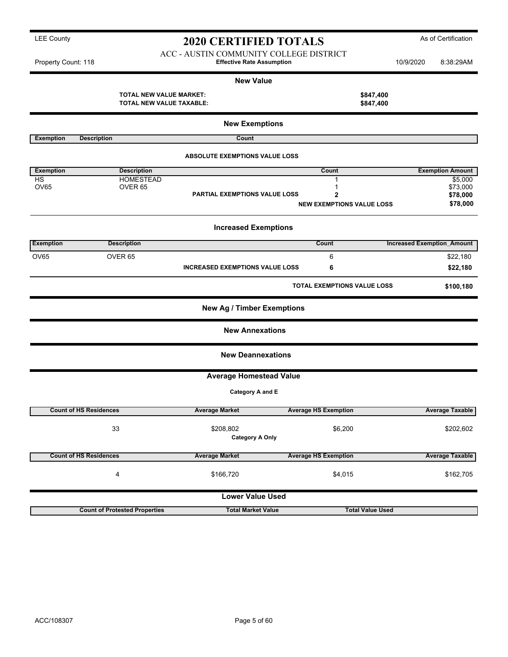#### ACC - AUSTIN COMMUNITY COLLEGE DISTRICT Property Count: 118 **Effective Rate Assumption** 10/9/2020 8:38:29AM

| $1.1$ uponly obtain. $1.1$ |                                                            | $= 1.00113371440771004111$             |                                  |                                   | $0.00.401$ MVI          |
|----------------------------|------------------------------------------------------------|----------------------------------------|----------------------------------|-----------------------------------|-------------------------|
|                            |                                                            | <b>New Value</b>                       |                                  |                                   |                         |
|                            | <b>TOTAL NEW VALUE MARKET:</b><br>TOTAL NEW VALUE TAXABLE: |                                        | \$847,400<br>\$847,400           |                                   |                         |
|                            |                                                            |                                        |                                  |                                   |                         |
|                            |                                                            | <b>New Exemptions</b>                  |                                  |                                   |                         |
| <b>Exemption</b>           | <b>Description</b>                                         | Count                                  |                                  |                                   |                         |
|                            |                                                            | <b>ABSOLUTE EXEMPTIONS VALUE LOSS</b>  |                                  |                                   |                         |
| <b>Exemption</b>           | <b>Description</b>                                         |                                        | Count                            |                                   | <b>Exemption Amount</b> |
| <b>HS</b>                  | <b>HOMESTEAD</b>                                           |                                        | 1                                |                                   | \$5,000                 |
| <b>OV65</b>                | OVER <sub>65</sub>                                         | <b>PARTIAL EXEMPTIONS VALUE LOSS</b>   | 1<br>2                           |                                   | \$73,000<br>\$78,000    |
|                            |                                                            |                                        | <b>NEW EXEMPTIONS VALUE LOSS</b> |                                   | \$78,000                |
|                            |                                                            |                                        |                                  |                                   |                         |
|                            |                                                            | <b>Increased Exemptions</b>            |                                  |                                   |                         |
| <b>Exemption</b>           | <b>Description</b>                                         |                                        | Count                            | <b>Increased Exemption Amount</b> |                         |
| <b>OV65</b>                | OVER <sub>65</sub>                                         |                                        | 6                                |                                   | \$22,180                |
|                            |                                                            | <b>INCREASED EXEMPTIONS VALUE LOSS</b> | 6                                |                                   | \$22,180                |
|                            |                                                            |                                        | TOTAL EXEMPTIONS VALUE LOSS      |                                   | \$100,180               |
|                            |                                                            | <b>New Ag / Timber Exemptions</b>      |                                  |                                   |                         |
|                            |                                                            | <b>New Annexations</b>                 |                                  |                                   |                         |
|                            |                                                            | <b>New Deannexations</b>               |                                  |                                   |                         |
|                            |                                                            | <b>Average Homestead Value</b>         |                                  |                                   |                         |
|                            |                                                            | Category A and E                       |                                  |                                   |                         |
|                            | <b>Count of HS Residences</b>                              | <b>Average Market</b>                  | <b>Average HS Exemption</b>      |                                   | <b>Average Taxable</b>  |
|                            | 33                                                         | \$208,802                              | \$6,200                          |                                   | \$202,602               |
|                            |                                                            | <b>Category A Only</b>                 |                                  |                                   |                         |
|                            | <b>Count of HS Residences</b>                              | <b>Average Market</b>                  | <b>Average HS Exemption</b>      |                                   | <b>Average Taxable</b>  |
|                            | 4                                                          | \$166,720                              | \$4,015                          |                                   | \$162,705               |
|                            |                                                            |                                        |                                  |                                   |                         |
|                            |                                                            | <b>Lower Value Used</b>                |                                  |                                   |                         |

**Count of Protested Properties Total Market Value Total Market Value Total Value Used**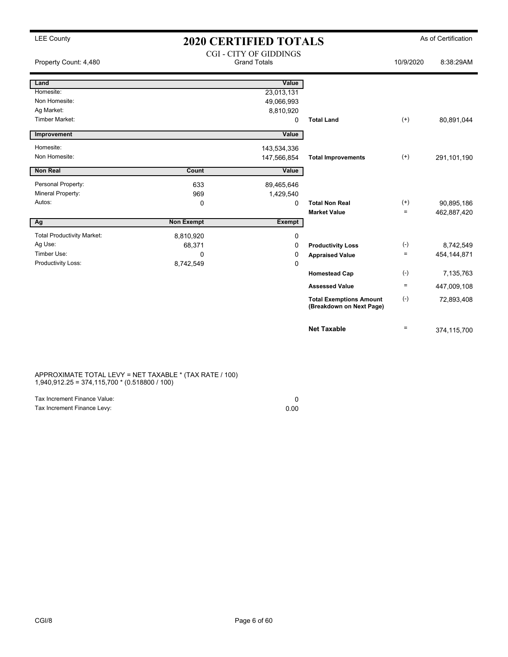| <b>LEE County</b>                 | <b>2020 CERTIFIED TOTALS</b> |                                                      | As of Certification                                        |                   |             |
|-----------------------------------|------------------------------|------------------------------------------------------|------------------------------------------------------------|-------------------|-------------|
| Property Count: 4,480             |                              | <b>CGI - CITY OF GIDDINGS</b><br><b>Grand Totals</b> |                                                            | 10/9/2020         | 8:38:29AM   |
| Land                              |                              | Value                                                |                                                            |                   |             |
| Homesite:                         |                              | 23,013,131                                           |                                                            |                   |             |
| Non Homesite:                     |                              | 49,066,993                                           |                                                            |                   |             |
| Ag Market:                        |                              | 8,810,920                                            |                                                            |                   |             |
| <b>Timber Market:</b>             |                              | 0                                                    | <b>Total Land</b>                                          | $(+)$             | 80,891,044  |
| Improvement                       |                              | Value                                                |                                                            |                   |             |
| Homesite:                         |                              | 143,534,336                                          |                                                            |                   |             |
| Non Homesite:                     |                              | 147,566,854                                          | <b>Total Improvements</b>                                  | $(+)$             | 291,101,190 |
| Non Real                          | Count                        | Value                                                |                                                            |                   |             |
| Personal Property:                | 633                          | 89,465,646                                           |                                                            |                   |             |
| Mineral Property:                 | 969                          | 1,429,540                                            |                                                            |                   |             |
| Autos:                            | 0                            | 0                                                    | <b>Total Non Real</b>                                      | $^{(+)}$          | 90,895,186  |
|                                   |                              |                                                      | <b>Market Value</b>                                        | $\equiv$          | 462,887,420 |
| Ag                                | <b>Non Exempt</b>            | <b>Exempt</b>                                        |                                                            |                   |             |
| <b>Total Productivity Market:</b> | 8,810,920                    | 0                                                    |                                                            |                   |             |
| Ag Use:                           | 68,371                       | 0                                                    | <b>Productivity Loss</b>                                   | $(-)$             | 8,742,549   |
| Timber Use:                       | $\Omega$                     | 0                                                    | <b>Appraised Value</b>                                     | $\qquad \qquad =$ | 454,144,871 |
| Productivity Loss:                | 8,742,549                    | 0                                                    |                                                            |                   |             |
|                                   |                              |                                                      | <b>Homestead Cap</b>                                       | $(-)$             | 7,135,763   |
|                                   |                              |                                                      | <b>Assessed Value</b>                                      | $\equiv$          | 447,009,108 |
|                                   |                              |                                                      | <b>Total Exemptions Amount</b><br>(Breakdown on Next Page) | $(-)$             | 72,893,408  |
|                                   |                              |                                                      | <b>Net Taxable</b>                                         | $\equiv$          | 374,115,700 |

#### APPROXIMATE TOTAL LEVY = NET TAXABLE \* (TAX RATE / 100) 1,940,912.25 = 374,115,700 \* (0.518800 / 100)

| Tax Increment Finance Value: |      |
|------------------------------|------|
| Tax Increment Finance Levy:  | 0.00 |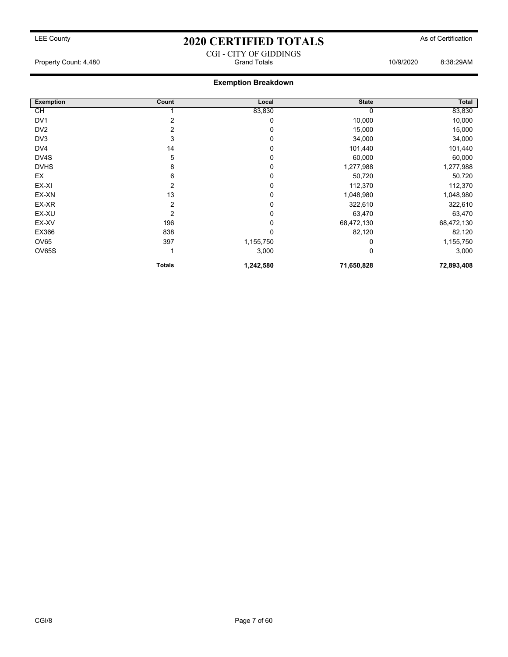CGI - CITY OF GIDDINGS

Property Count: 4,480 Grand Totals 10/9/2020 8:38:29AM

### **Exemption Breakdown**

| <b>Exemption</b> | Count          | Local     | <b>State</b> | Total      |
|------------------|----------------|-----------|--------------|------------|
| СH               |                | 83,830    |              | 83,830     |
| DV <sub>1</sub>  |                | 0         | 10,000       | 10,000     |
| DV <sub>2</sub>  | 2              | 0         | 15,000       | 15,000     |
| DV3              | 3              | 0         | 34,000       | 34,000     |
| DV4              | 14             | 0         | 101,440      | 101,440    |
| DV4S             | 5              | 0         | 60,000       | 60,000     |
| <b>DVHS</b>      | 8              | 0         | 1,277,988    | 1,277,988  |
| EX               | 6              | 0         | 50,720       | 50,720     |
| EX-XI            | 2              | 0         | 112,370      | 112,370    |
| EX-XN            | 13             | 0         | 1,048,980    | 1,048,980  |
| EX-XR            | 2              | 0         | 322,610      | 322,610    |
| EX-XU            | $\overline{2}$ | 0         | 63,470       | 63,470     |
| EX-XV            | 196            | 0         | 68,472,130   | 68,472,130 |
| EX366            | 838            | 0         | 82,120       | 82,120     |
| OV65             | 397            | 1,155,750 |              | 1,155,750  |
| OV65S            |                | 3,000     | 0            | 3,000      |
|                  | <b>Totals</b>  | 1,242,580 | 71,650,828   | 72,893,408 |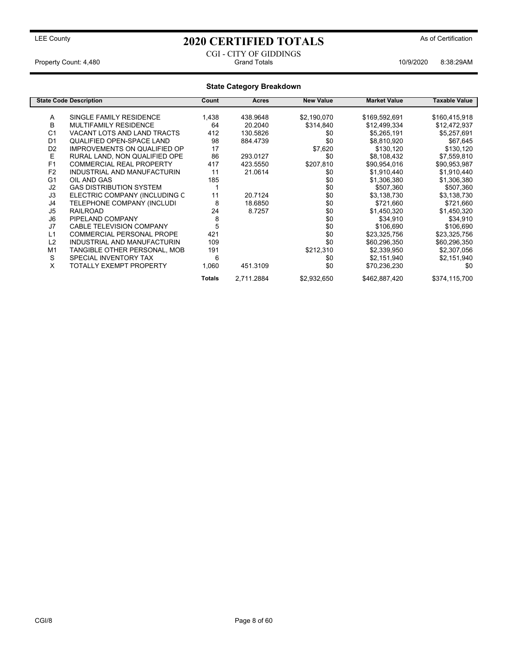### CGI - CITY OF GIDDINGS Property Count: 4,480 Grand Totals 10/9/2020 8:38:29AM

### **State Category Breakdown**

| <b>State Code Description</b> |                                     | Count  | Acres      | <b>New Value</b> | <b>Market Value</b> | Taxable Value |
|-------------------------------|-------------------------------------|--------|------------|------------------|---------------------|---------------|
|                               |                                     |        |            |                  |                     |               |
| A                             | SINGLE FAMILY RESIDENCE             | 1,438  | 438.9648   | \$2,190,070      | \$169,592,691       | \$160,415,918 |
| B                             | MULTIFAMILY RESIDENCE               | 64     | 20.2040    | \$314,840        | \$12,499,334        | \$12,472,937  |
| C <sub>1</sub>                | VACANT LOTS AND LAND TRACTS         | 412    | 130.5826   | \$0              | \$5,265,191         | \$5,257,691   |
| D <sub>1</sub>                | QUALIFIED OPEN-SPACE LAND           | 98     | 884.4739   | \$0              | \$8,810,920         | \$67,645      |
| D <sub>2</sub>                | <b>IMPROVEMENTS ON QUALIFIED OP</b> | 17     |            | \$7,620          | \$130,120           | \$130,120     |
| E                             | RURAL LAND, NON QUALIFIED OPE       | 86     | 293.0127   | \$0              | \$8,108,432         | \$7,559,810   |
| F1                            | COMMERCIAL REAL PROPERTY            | 417    | 423.5550   | \$207,810        | \$90,954,016        | \$90,953,987  |
| F <sub>2</sub>                | INDUSTRIAL AND MANUFACTURIN         | 11     | 21.0614    | \$0              | \$1,910,440         | \$1,910,440   |
| G <sub>1</sub>                | OIL AND GAS                         | 185    |            | \$0              | \$1,306,380         | \$1,306,380   |
| J <sub>2</sub>                | <b>GAS DISTRIBUTION SYSTEM</b>      |        |            | \$0              | \$507,360           | \$507,360     |
| J3                            | ELECTRIC COMPANY (INCLUDING C       | 11     | 20.7124    | \$0              | \$3,138,730         | \$3,138,730   |
| J4                            | TELEPHONE COMPANY (INCLUDI          | 8      | 18.6850    | \$0              | \$721,660           | \$721,660     |
| J <sub>5</sub>                | <b>RAILROAD</b>                     | 24     | 8.7257     | \$0              | \$1,450,320         | \$1,450,320   |
| J6                            | PIPELAND COMPANY                    | 8      |            | \$0              | \$34,910            | \$34,910      |
| J7                            | <b>CABLE TELEVISION COMPANY</b>     | 5      |            | \$0              | \$106,690           | \$106,690     |
| L1                            | <b>COMMERCIAL PERSONAL PROPE</b>    | 421    |            | \$0              | \$23,325,756        | \$23,325,756  |
| L2                            | INDUSTRIAL AND MANUFACTURIN         | 109    |            | \$0              | \$60,296,350        | \$60,296,350  |
| M <sub>1</sub>                | TANGIBLE OTHER PERSONAL, MOB        | 191    |            | \$212,310        | \$2,339,950         | \$2,307,056   |
| S                             | SPECIAL INVENTORY TAX               | 6      |            | \$0              | \$2,151,940         | \$2,151,940   |
| X                             | <b>TOTALLY EXEMPT PROPERTY</b>      | 1,060  | 451.3109   | \$0              | \$70,236,230        | \$0           |
|                               |                                     | Totals | 2,711.2884 | \$2,932,650      | \$462,887,420       | \$374,115,700 |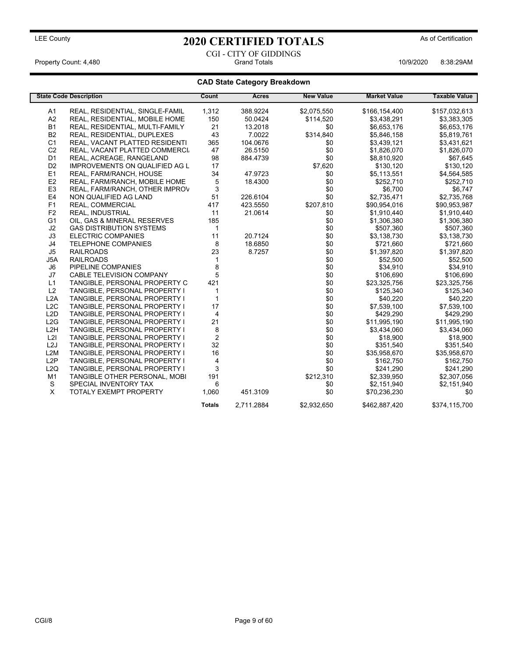### CGI - CITY OF GIDDINGS Property Count: 4,480 Grand Totals 10/9/2020 8:38:29AM

### **CAD State Category Breakdown**

|                  | <b>State Code Description</b>         | Count          | Acres      | <b>New Value</b> | <b>Market Value</b> | <b>Taxable Value</b> |
|------------------|---------------------------------------|----------------|------------|------------------|---------------------|----------------------|
| A <sub>1</sub>   | REAL, RESIDENTIAL, SINGLE-FAMIL       | 1,312          | 388.9224   | \$2,075,550      | \$166,154,400       | \$157,032,613        |
| A2               | REAL, RESIDENTIAL, MOBILE HOME        | 150            | 50.0424    | \$114,520        | \$3,438,291         | \$3,383,305          |
| <b>B1</b>        | REAL, RESIDENTIAL, MULTI-FAMILY       | 21             | 13.2018    | \$0              | \$6,653,176         | \$6,653,176          |
| <b>B2</b>        | REAL, RESIDENTIAL, DUPLEXES           | 43             | 7.0022     | \$314,840        | \$5,846,158         | \$5,819,761          |
| C <sub>1</sub>   | REAL, VACANT PLATTED RESIDENTI        | 365            | 104.0676   | \$0              | \$3,439,121         | \$3,431,621          |
| C <sub>2</sub>   | REAL, VACANT PLATTED COMMERCI         | 47             | 26.5150    | \$0              | \$1,826,070         | \$1,826,070          |
| D <sub>1</sub>   | REAL, ACREAGE, RANGELAND              | 98             | 884.4739   | \$0              | \$8,810,920         | \$67,645             |
| D <sub>2</sub>   | <b>IMPROVEMENTS ON QUALIFIED AG L</b> | 17             |            | \$7,620          | \$130,120           | \$130,120            |
| E <sub>1</sub>   | REAL, FARM/RANCH, HOUSE               | 34             | 47.9723    | \$0              | \$5,113,551         | \$4,564,585          |
| E <sub>2</sub>   | REAL, FARM/RANCH, MOBILE HOME         | 5              | 18.4300    | \$0              | \$252,710           | \$252,710            |
| E <sub>3</sub>   | REAL, FARM/RANCH, OTHER IMPROV        | 3              |            | \$0              | \$6,700             | \$6,747              |
| E4               | NON QUALIFIED AG LAND                 | 51             | 226.6104   | \$0              | \$2,735,471         | \$2,735,768          |
| F1               | REAL, COMMERCIAL                      | 417            | 423.5550   | \$207,810        | \$90,954,016        | \$90,953,987         |
| F <sub>2</sub>   | <b>REAL. INDUSTRIAL</b>               | 11             | 21.0614    | \$0              | \$1,910,440         | \$1,910,440          |
| G <sub>1</sub>   | OIL, GAS & MINERAL RESERVES           | 185            |            | \$0              | \$1,306,380         | \$1,306,380          |
| J2               | <b>GAS DISTRIBUTION SYSTEMS</b>       | $\mathbf{1}$   |            | \$0              | \$507,360           | \$507,360            |
| J3               | <b>ELECTRIC COMPANIES</b>             | 11             | 20.7124    | \$0              | \$3,138,730         | \$3,138,730          |
| J4               | <b>TELEPHONE COMPANIES</b>            | 8              | 18.6850    | \$0              | \$721,660           | \$721,660            |
| J <sub>5</sub>   | <b>RAILROADS</b>                      | 23             | 8.7257     | \$0              | \$1,397,820         | \$1,397,820          |
| J5A              | <b>RAILROADS</b>                      | 1              |            | \$0              | \$52,500            | \$52,500             |
| J6               | PIPELINE COMPANIES                    | 8              |            | \$0              | \$34,910            | \$34,910             |
| J7               | CABLE TELEVISION COMPANY              | 5              |            | \$0              | \$106,690           | \$106,690            |
| L1               | TANGIBLE, PERSONAL PROPERTY C         | 421            |            | \$0              | \$23,325,756        | \$23,325,756         |
| L2               | TANGIBLE, PERSONAL PROPERTY I         | $\mathbf{1}$   |            | \$0              | \$125,340           | \$125,340            |
| L2A              | TANGIBLE, PERSONAL PROPERTY I         | $\mathbf{1}$   |            | \$0              | \$40,220            | \$40,220             |
| L2C              | TANGIBLE, PERSONAL PROPERTY I         | 17             |            | \$0              | \$7,539,100         | \$7,539,100          |
| L <sub>2</sub> D | TANGIBLE, PERSONAL PROPERTY I         | 4              |            | \$0              | \$429,290           | \$429,290            |
| L2G              | TANGIBLE, PERSONAL PROPERTY I         | 21             |            | \$0              | \$11,995,190        | \$11,995,190         |
| L <sub>2</sub> H | TANGIBLE, PERSONAL PROPERTY I         | 8              |            | \$0              | \$3,434,060         | \$3,434,060          |
| L2I              | TANGIBLE, PERSONAL PROPERTY I         | $\overline{c}$ |            | \$0              | \$18,900            | \$18,900             |
| L <sub>2</sub> J | TANGIBLE, PERSONAL PROPERTY I         | 32             |            | \$0              | \$351,540           | \$351,540            |
| L2M              | TANGIBLE, PERSONAL PROPERTY I         | 16             |            | \$0              | \$35,958,670        | \$35,958,670         |
| L2P              | TANGIBLE, PERSONAL PROPERTY I         | 4              |            | \$0              | \$162.750           | \$162,750            |
| L2Q              | TANGIBLE, PERSONAL PROPERTY I         | 3              |            | \$0              | \$241,290           | \$241,290            |
| M <sub>1</sub>   | TANGIBLE OTHER PERSONAL, MOBI         | 191            |            | \$212,310        | \$2,339,950         | \$2,307,056          |
| S                | SPECIAL INVENTORY TAX                 | 6              |            | \$0              | \$2,151,940         | \$2,151,940          |
| X                | <b>TOTALY EXEMPT PROPERTY</b>         | 1,060          | 451.3109   | \$0              | \$70,236,230        | \$0                  |
|                  |                                       | <b>Totals</b>  | 2,711.2884 | \$2,932,650      | \$462,887,420       | \$374,115,700        |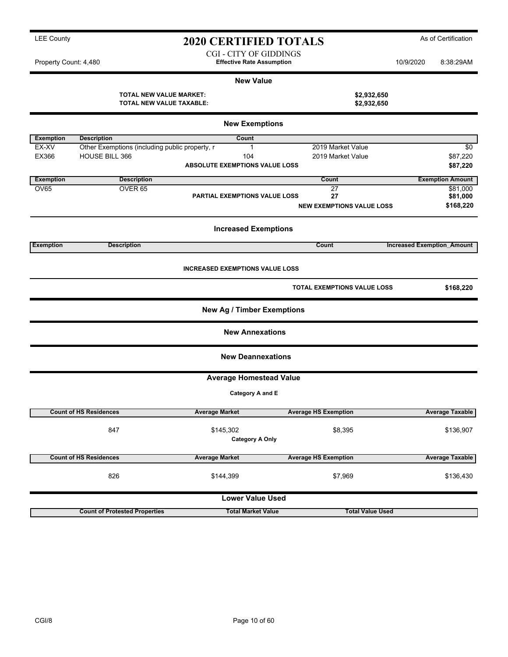| <b>LEE Countv</b> | <b>2020 CERTIFIED TOTALS</b> | As of Certification |
|-------------------|------------------------------|---------------------|
|-------------------|------------------------------|---------------------|

CGI - CITY OF GIDDINGS

Property Count: 4,480 **Effective Rate Assumption** 10/9/2020 8:38:29AM

#### **New Value**

| TOTAL NEW VALUE MARKET:  | \$2,932,650 |
|--------------------------|-------------|
| TOTAL NEW VALUE TAXABLE: | \$2,932,650 |

| <b>New Exemptions</b> |                                                |                                        |                                    |                                   |  |  |  |
|-----------------------|------------------------------------------------|----------------------------------------|------------------------------------|-----------------------------------|--|--|--|
| <b>Exemption</b>      | <b>Description</b>                             | Count                                  |                                    |                                   |  |  |  |
| EX-XV                 | Other Exemptions (including public property, r | $\mathbf{1}$                           | 2019 Market Value                  | \$0                               |  |  |  |
| EX366                 | <b>HOUSE BILL 366</b>                          | 104                                    | 2019 Market Value                  | \$87,220                          |  |  |  |
|                       |                                                | <b>ABSOLUTE EXEMPTIONS VALUE LOSS</b>  |                                    | \$87,220                          |  |  |  |
| <b>Exemption</b>      | <b>Description</b>                             |                                        | Count                              | <b>Exemption Amount</b>           |  |  |  |
| <b>OV65</b>           | OVER <sub>65</sub>                             |                                        | 27                                 | \$81.000                          |  |  |  |
|                       |                                                | <b>PARTIAL EXEMPTIONS VALUE LOSS</b>   | 27                                 | \$81,000                          |  |  |  |
|                       |                                                |                                        | <b>NEW EXEMPTIONS VALUE LOSS</b>   | \$168,220                         |  |  |  |
|                       |                                                | <b>Increased Exemptions</b>            |                                    |                                   |  |  |  |
| <b>Exemption</b>      | <b>Description</b>                             |                                        | Count                              | <b>Increased Exemption Amount</b> |  |  |  |
|                       |                                                | <b>INCREASED EXEMPTIONS VALUE LOSS</b> |                                    |                                   |  |  |  |
|                       |                                                |                                        | <b>TOTAL EXEMPTIONS VALUE LOSS</b> | \$168,220                         |  |  |  |
|                       |                                                | New Ag / Timber Exemptions             |                                    |                                   |  |  |  |
|                       |                                                | <b>New Annexations</b>                 |                                    |                                   |  |  |  |
|                       |                                                | <b>New Deannexations</b>               |                                    |                                   |  |  |  |
|                       |                                                | <b>Average Homestead Value</b>         |                                    |                                   |  |  |  |
|                       |                                                | Category A and E                       |                                    |                                   |  |  |  |
|                       | <b>Count of HS Residences</b>                  | <b>Average Market</b>                  | <b>Average HS Exemption</b>        | <b>Average Taxable</b>            |  |  |  |
|                       | 847                                            | \$145,302                              | \$8,395                            | \$136,907                         |  |  |  |
|                       |                                                | <b>Category A Only</b>                 |                                    |                                   |  |  |  |
|                       | <b>Count of HS Residences</b>                  | <b>Average Market</b>                  | <b>Average HS Exemption</b>        | <b>Average Taxable</b>            |  |  |  |
|                       | 826                                            | \$144,399                              | \$7,969                            | \$136,430                         |  |  |  |
|                       |                                                | <b>Lower Value Used</b>                |                                    |                                   |  |  |  |
|                       | <b>Count of Protested Properties</b>           | <b>Total Market Value</b>              | <b>Total Value Used</b>            |                                   |  |  |  |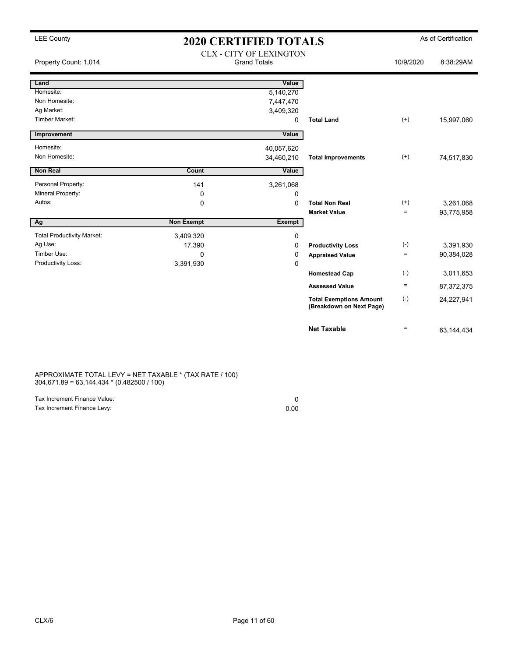|  | <b>LEE County</b> |
|--|-------------------|
|--|-------------------|

# LEE County **As of Certification 2020 CERTIFIED TOTALS** As of Certification

| Property Count: 1,014             |                   | <b>CLX - CITY OF LEXINGTON</b><br><b>Grand Totals</b> |                                                            | 10/9/2020 | 8:38:29AM  |
|-----------------------------------|-------------------|-------------------------------------------------------|------------------------------------------------------------|-----------|------------|
| Land<br>Homesite:                 |                   | Value                                                 |                                                            |           |            |
| Non Homesite:                     |                   | 5,140,270                                             |                                                            |           |            |
| Ag Market:                        |                   | 7,447,470                                             |                                                            |           |            |
| <b>Timber Market:</b>             |                   | 3,409,320<br>0                                        | <b>Total Land</b>                                          | $(+)$     | 15,997,060 |
|                                   |                   |                                                       |                                                            |           |            |
| Improvement                       |                   | Value                                                 |                                                            |           |            |
| Homesite:                         |                   | 40,057,620                                            |                                                            |           |            |
| Non Homesite:                     |                   | 34,460,210                                            | <b>Total Improvements</b>                                  | $^{(+)}$  | 74,517,830 |
| <b>Non Real</b>                   | Count             | Value                                                 |                                                            |           |            |
|                                   |                   |                                                       |                                                            |           |            |
| Personal Property:                | 141               | 3,261,068                                             |                                                            |           |            |
| <b>Mineral Property:</b>          | $\mathbf 0$       | 0                                                     |                                                            |           |            |
| Autos:                            | 0                 | $\Omega$                                              | <b>Total Non Real</b>                                      | $^{(+)}$  | 3,261,068  |
|                                   |                   |                                                       | <b>Market Value</b>                                        | $=$       | 93,775,958 |
| Ag                                | <b>Non Exempt</b> | <b>Exempt</b>                                         |                                                            |           |            |
| <b>Total Productivity Market:</b> | 3,409,320         | 0                                                     |                                                            |           |            |
| Ag Use:                           | 17,390            | 0                                                     | <b>Productivity Loss</b>                                   | $(-)$     | 3,391,930  |
| Timber Use:                       | $\Omega$          | 0                                                     | <b>Appraised Value</b>                                     | $=$       | 90,384,028 |
| Productivity Loss:                | 3,391,930         | 0                                                     |                                                            |           |            |
|                                   |                   |                                                       | <b>Homestead Cap</b>                                       | $(-)$     | 3,011,653  |
|                                   |                   |                                                       | <b>Assessed Value</b>                                      | $\equiv$  | 87,372,375 |
|                                   |                   |                                                       | <b>Total Exemptions Amount</b><br>(Breakdown on Next Page) | $(-)$     | 24,227,941 |
|                                   |                   |                                                       | <b>Net Taxable</b>                                         | $\equiv$  | 63,144,434 |

APPROXIMATE TOTAL LEVY = NET TAXABLE \* (TAX RATE / 100) 304,671.89 = 63,144,434 \* (0.482500 / 100)

| Tax Increment Finance Value: |      |
|------------------------------|------|
| Tax Increment Finance Levy:  | 0.00 |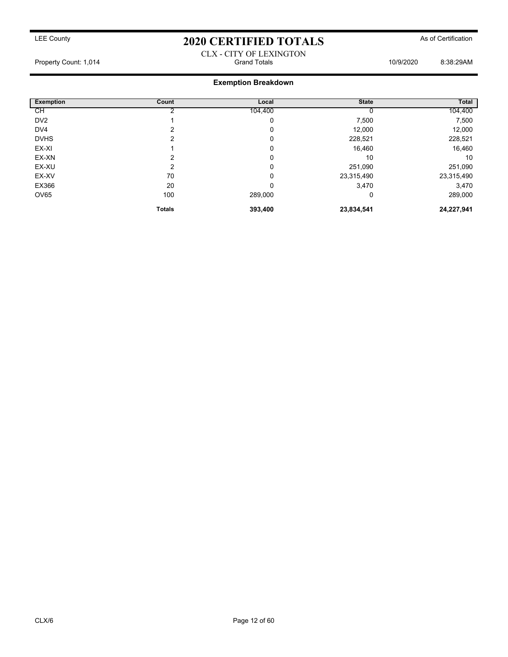### CLX - CITY OF LEXINGTON Property Count: 1,014 Grand Totals 10/9/2020 8:38:29AM

### **Exemption Breakdown**

| <b>Exemption</b> | Count         | Local   | <b>State</b> | Total      |
|------------------|---------------|---------|--------------|------------|
| СH               |               | 104,400 |              | 104,400    |
| DV <sub>2</sub>  |               | 0       | 7,500        | 7,500      |
| DV4              | າ             | 0       | 12,000       | 12,000     |
| <b>DVHS</b>      | 2             | 0       | 228,521      | 228,521    |
| EX-XI            |               | 0       | 16,460       | 16,460     |
| EX-XN            | っ             | 0       | 10           | 10         |
| EX-XU            | 2             | 0       | 251,090      | 251,090    |
| EX-XV            | 70            | 0       | 23,315,490   | 23,315,490 |
| EX366            | 20            | 0       | 3,470        | 3,470      |
| OV65             | 100           | 289,000 | 0            | 289,000    |
|                  | <b>Totals</b> | 393,400 | 23,834,541   | 24,227,941 |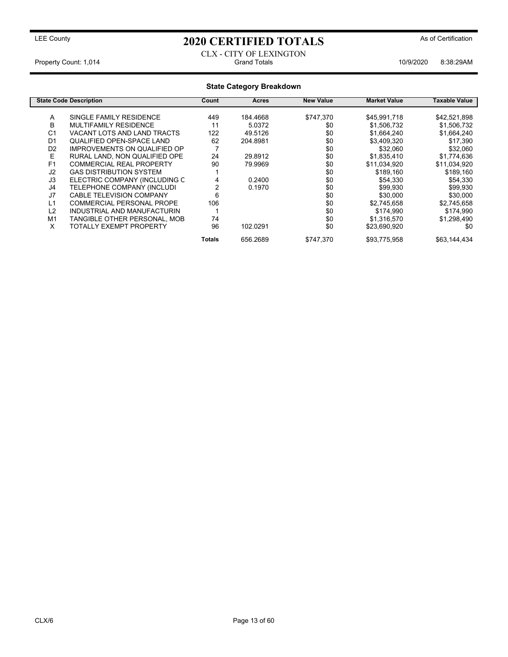### LEE County **As of Certification 2020 CERTIFIED TOTALS** As of Certification

CABLE TELEVISION COMPANY

TANGIBLE OTHER PERSONAL, MOB 74<br>TOTALLY EXEMPT PROPERTY 56 102.0291

#### CLX - CITY OF LEXINGTON Property Count: 1,014 **Crack 1009/2020** 8:38:29AM

### **State Category Breakdown State Code Description Count Acres New Value Market Value Taxable Value** A SINGLE FAMILY RESIDENCE 449 184.4668 \$747,370 \$45,991,718 \$42,521,898<br>B MULTIFAMILY RESIDENCE 11 5.0372 \$0 \$1.506.732 \$1.506.732 B MULTIFAMILY RESIDENCE 11 5.0372 \$0 \$1,506,732 \$1,506,732 C1 VACANT LOTS AND LAND TRACTS 122 49.5126 \$0 \$1,664,240 \$1,664,240 \$1,664,240<br>D1 QUALIFIED OPEN-SPACE LAND 62 204.8981 \$0 \$3,409,320 \$17,390 QUALIFIED OPEN-SPACE LAND 02 IMPROVEMENTS ON QUALIFIED OP 7 \$0 \$32,060 \$32,060<br> RURAL LAND, NON QUALIFIED OPE 24 29.8912 \$0 \$1.835.410 \$1.774.636 E RURAL LAND, NON QUALIFIED OPE 24 29.8912 \$0 \$1,835,410 \$1,774,636<br>
F1 COMMERCIAL REAL PROPERTY 90 79.9969 \$0 \$11,034,920 \$11,034,920 F1 COMMERCIAL REAL PROPERTY 90 79.9969 \$0 \$11,034,920 \$11,034,920 J2 GAS DISTRIBUTION SYSTEM 1 \$0 \$189,160 \$189,160<br>J3 ELECTRIC COMPANY (INCLUDING C 4 0.2400 \$0 \$54.330 \$54.330 J3 ELECTRIC COMPANY (INCLUDING C 4 0.2400 \$0 \$54,330<br>J4 TELEPHONE COMPANY (INCLUDI 2 0.1970 \$0 \$99,930

J4 TELEPHONE COMPANY (INCLUDI 2 0.1970 \$0 \$99,930 \$99,930

L1 COMMERCIAL PERSONAL PROPE 106 \$0 \$2,745,658 \$2,745,658 L2 INDUSTRIAL AND MANUFACTURIN 1<br>M1 TANGIBLE OTHER PERSONAL, MOB 74 1 \$0 \$1,316,570 \$1,298,490

X TOTALLY EXEMPT PROPERTY 96 102.0291 \$0 \$23,690,920 \$0 \$0

Totals 656.2689 \$747,370 \$93,775,958 \$63,144,434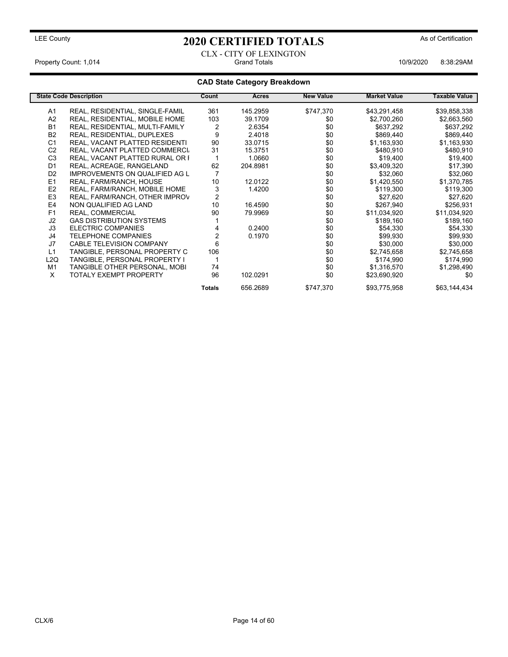CLX - CITY OF LEXINGTON Property Count: 1,014 **Count: 1,014** Grand Totals **10/9/2020** 8:38:29AM

### **CAD State Category Breakdown**

|                  | <b>State Code Description</b>         | Count         | <b>Acres</b> | <b>New Value</b> | <b>Market Value</b> | <b>Taxable Value</b> |
|------------------|---------------------------------------|---------------|--------------|------------------|---------------------|----------------------|
| A1               | REAL, RESIDENTIAL, SINGLE-FAMIL       | 361           | 145.2959     | \$747,370        | \$43,291,458        | \$39,858,338         |
| A <sub>2</sub>   | REAL, RESIDENTIAL, MOBILE HOME        | 103           | 39.1709      | \$0              | \$2,700,260         | \$2,663,560          |
| <b>B1</b>        | REAL, RESIDENTIAL, MULTI-FAMILY       | 2             | 2.6354       | \$0              | \$637,292           | \$637,292            |
| <b>B2</b>        | REAL, RESIDENTIAL, DUPLEXES           | 9             | 2.4018       | \$0              | \$869,440           | \$869,440            |
| C <sub>1</sub>   | REAL, VACANT PLATTED RESIDENTI        | 90            | 33.0715      | \$0              | \$1,163,930         | \$1,163,930          |
| C <sub>2</sub>   | REAL, VACANT PLATTED COMMERCI         | 31            | 15.3751      | \$0              | \$480,910           | \$480,910            |
| C <sub>3</sub>   | REAL, VACANT PLATTED RURAL OR F       |               | 1.0660       | \$0              | \$19,400            | \$19,400             |
| D <sub>1</sub>   | REAL, ACREAGE, RANGELAND              | 62            | 204.8981     | \$0              | \$3,409,320         | \$17,390             |
| D <sub>2</sub>   | <b>IMPROVEMENTS ON QUALIFIED AG L</b> |               |              | \$0              | \$32,060            | \$32,060             |
| E1               | REAL, FARM/RANCH, HOUSE               | 10            | 12.0122      | \$0              | \$1,420,550         | \$1,370,785          |
| E <sub>2</sub>   | REAL, FARM/RANCH, MOBILE HOME         | 3             | 1.4200       | \$0              | \$119.300           | \$119,300            |
| E <sub>3</sub>   | REAL, FARM/RANCH, OTHER IMPROV        | 2             |              | \$0              | \$27,620            | \$27,620             |
| E4               | NON QUALIFIED AG LAND                 | 10            | 16.4590      | \$0              | \$267,940           | \$256,931            |
| F <sub>1</sub>   | REAL, COMMERCIAL                      | 90            | 79.9969      | \$0              | \$11,034,920        | \$11,034,920         |
| J2               | <b>GAS DISTRIBUTION SYSTEMS</b>       |               |              | \$0              | \$189,160           | \$189,160            |
| J3               | ELECTRIC COMPANIES                    |               | 0.2400       | \$0              | \$54,330            | \$54,330             |
| J4               | <b>TELEPHONE COMPANIES</b>            |               | 0.1970       | \$0              | \$99,930            | \$99,930             |
| J7               | <b>CABLE TELEVISION COMPANY</b>       | 6             |              | \$0              | \$30,000            | \$30,000             |
| L1               | TANGIBLE, PERSONAL PROPERTY C         | 106           |              | \$0              | \$2,745,658         | \$2,745,658          |
| L <sub>2</sub> Q | TANGIBLE, PERSONAL PROPERTY I         |               |              | \$0              | \$174,990           | \$174,990            |
| M1               | TANGIBLE OTHER PERSONAL, MOBI         | 74            |              | \$0              | \$1,316,570         | \$1,298,490          |
| X                | <b>TOTALY EXEMPT PROPERTY</b>         | 96            | 102.0291     | \$0              | \$23,690,920        | \$0                  |
|                  |                                       | <b>Totals</b> | 656.2689     | \$747,370        | \$93,775,958        | \$63,144,434         |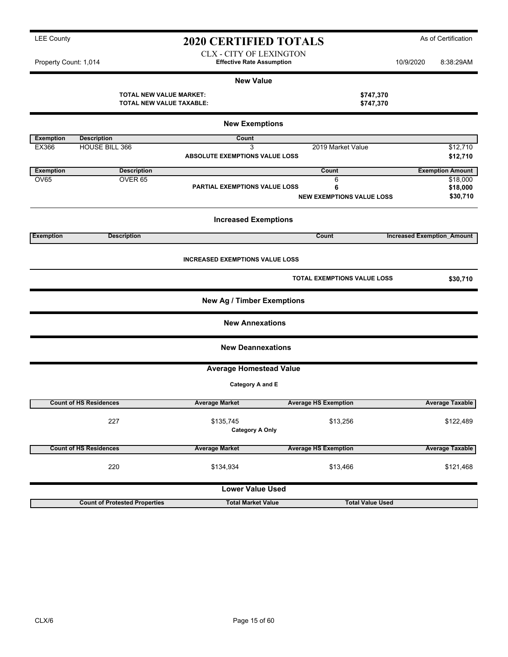| <b>LEE County</b>     | <b>2020 CERTIFIED TOTALS</b>     |           | As of Certification |
|-----------------------|----------------------------------|-----------|---------------------|
|                       | CLX - CITY OF LEXINGTON          |           |                     |
| Property Count: 1 014 | <b>Effective Rate Assumntion</b> | 10/9/2020 | 8.38.20AM           |

**X** - CITY OF LEXINGTON Property Count: 1,014 **Effective Rate Assumption** 10/9/2020 8:38:29AM

| <b>New Value</b> |  |
|------------------|--|
|------------------|--|

**TOTAL NEW VALUE MARKET: \$747,370 TOTAL NEW VALUE TAXABLE: \$747,370**

| <b>New Exemptions</b> |                                      |                                        |                                    |                                   |  |  |  |  |
|-----------------------|--------------------------------------|----------------------------------------|------------------------------------|-----------------------------------|--|--|--|--|
| <b>Exemption</b>      | <b>Description</b>                   | Count                                  |                                    |                                   |  |  |  |  |
| EX366                 | <b>HOUSE BILL 366</b>                | 3                                      | 2019 Market Value                  | \$12,710                          |  |  |  |  |
|                       |                                      | <b>ABSOLUTE EXEMPTIONS VALUE LOSS</b>  |                                    | \$12,710                          |  |  |  |  |
| <b>Exemption</b>      | <b>Description</b>                   |                                        | Count                              | <b>Exemption Amount</b>           |  |  |  |  |
| <b>OV65</b>           | OVER <sub>65</sub>                   |                                        | 6                                  | \$18,000                          |  |  |  |  |
|                       |                                      | <b>PARTIAL EXEMPTIONS VALUE LOSS</b>   | 6                                  | \$18,000                          |  |  |  |  |
|                       |                                      |                                        | <b>NEW EXEMPTIONS VALUE LOSS</b>   | \$30,710                          |  |  |  |  |
|                       |                                      | <b>Increased Exemptions</b>            |                                    |                                   |  |  |  |  |
| <b>Exemption</b>      | <b>Description</b>                   |                                        | Count                              | <b>Increased Exemption Amount</b> |  |  |  |  |
|                       |                                      | <b>INCREASED EXEMPTIONS VALUE LOSS</b> |                                    |                                   |  |  |  |  |
|                       |                                      |                                        | <b>TOTAL EXEMPTIONS VALUE LOSS</b> | \$30,710                          |  |  |  |  |
|                       |                                      | <b>New Ag / Timber Exemptions</b>      |                                    |                                   |  |  |  |  |
|                       |                                      | <b>New Annexations</b>                 |                                    |                                   |  |  |  |  |
|                       |                                      | <b>New Deannexations</b>               |                                    |                                   |  |  |  |  |
|                       |                                      | <b>Average Homestead Value</b>         |                                    |                                   |  |  |  |  |
|                       |                                      | Category A and E                       |                                    |                                   |  |  |  |  |
|                       | <b>Count of HS Residences</b>        | <b>Average Market</b>                  | <b>Average HS Exemption</b>        | <b>Average Taxable</b>            |  |  |  |  |
|                       | 227                                  | \$135,745<br><b>Category A Only</b>    | \$13,256                           | \$122,489                         |  |  |  |  |
|                       | <b>Count of HS Residences</b>        | <b>Average Market</b>                  | <b>Average HS Exemption</b>        | <b>Average Taxable</b>            |  |  |  |  |
|                       | 220                                  | \$134,934                              | \$13,466                           | \$121,468                         |  |  |  |  |
|                       |                                      | <b>Lower Value Used</b>                |                                    |                                   |  |  |  |  |
|                       | <b>Count of Protested Properties</b> | <b>Total Market Value</b>              | <b>Total Value Used</b>            |                                   |  |  |  |  |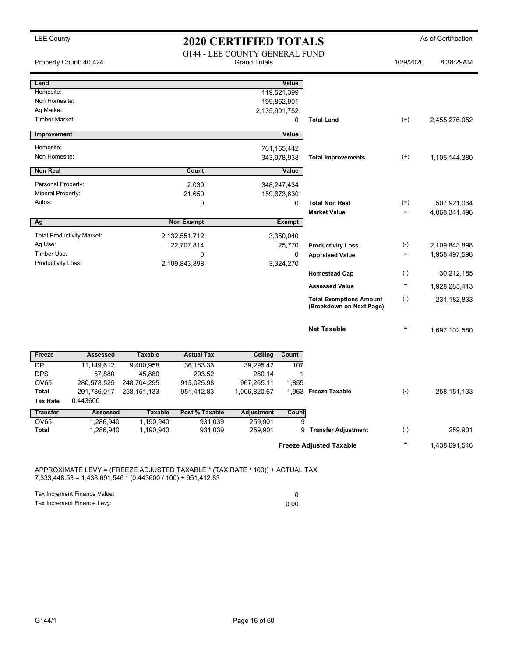| 8:38:29AM     | 10/9/2020       |                                                            |               | <b>Grand Totals</b> | <b>G144 - LEE COUNTY GENERAL FUND</b> |                | Property Count: 40,424            |                                   |
|---------------|-----------------|------------------------------------------------------------|---------------|---------------------|---------------------------------------|----------------|-----------------------------------|-----------------------------------|
|               |                 |                                                            | Value         |                     |                                       |                |                                   | Land                              |
|               |                 |                                                            | 119,521,399   |                     |                                       |                |                                   | Homesite:                         |
|               |                 |                                                            | 199,852,901   |                     |                                       |                |                                   | Non Homesite:                     |
|               |                 |                                                            |               | 2,135,901,752       |                                       |                |                                   | Ag Market:                        |
| 2,455,276,052 | $^{(+)}$        | <b>Total Land</b>                                          | 0             |                     |                                       |                |                                   | <b>Timber Market:</b>             |
|               |                 |                                                            | Value         |                     |                                       |                |                                   | Improvement                       |
|               |                 |                                                            | 761, 165, 442 |                     |                                       |                |                                   | Homesite:                         |
| 1,105,144,380 | $^{(+)}$        | <b>Total Improvements</b>                                  | 343,978,938   |                     |                                       |                |                                   | Non Homesite:                     |
|               |                 |                                                            | Value         |                     | Count                                 |                |                                   | <b>Non Real</b>                   |
|               |                 |                                                            | 348,247,434   |                     | 2,030                                 |                |                                   | Personal Property:                |
|               |                 |                                                            | 159,673,630   |                     | 21,650                                |                |                                   | Mineral Property:                 |
| 507,921,064   | $^{(+)}$        | <b>Total Non Real</b>                                      | 0             |                     | 0                                     |                |                                   | Autos:                            |
| 4,068,341,496 | $\quad \  \  =$ | <b>Market Value</b>                                        |               |                     |                                       |                |                                   |                                   |
|               |                 |                                                            | Exempt        |                     | <b>Non Exempt</b>                     |                |                                   | Ag                                |
|               |                 |                                                            | 3,350,040     |                     | 2,132,551,712                         |                | <b>Total Productivity Market:</b> |                                   |
| 2,109,843,898 | $(\cdot)$       | <b>Productivity Loss</b>                                   | 25,770        |                     | 22,707,814                            |                |                                   | Ag Use:                           |
| 1,958,497,598 | $\equiv$        | <b>Appraised Value</b>                                     | 0             |                     | 0                                     |                |                                   | Timber Use:<br>Productivity Loss: |
| 30,212,185    | $(\cdot)$       | <b>Homestead Cap</b>                                       | 3,324,270     |                     | 2,109,843,898                         |                |                                   |                                   |
| 1,928,285,413 | $\equiv$        | <b>Assessed Value</b>                                      |               |                     |                                       |                |                                   |                                   |
| 231,182,833   | $(\text{-})$    | <b>Total Exemptions Amount</b><br>(Breakdown on Next Page) |               |                     |                                       |                |                                   |                                   |
| 1,697,102,580 | $=$             | <b>Net Taxable</b>                                         |               |                     |                                       |                |                                   |                                   |
|               |                 |                                                            | Count         | <b>Ceiling</b>      | <b>Actual Tax</b>                     | <b>Taxable</b> | <b>Assessed</b>                   | Freeze                            |
|               |                 |                                                            | 107           | 39,295.42           | 36,183.33                             | 9,400,958      | 11,149,612                        | DP                                |
|               |                 |                                                            | 1             | 260.14              | 203.52                                | 45,880         | 57,880                            | <b>DPS</b>                        |
|               |                 |                                                            | 1,855         | 967,265.11          | 915,025.98                            | 248,704,295    | 280,578,525                       | <b>OV65</b>                       |
| 258, 151, 133 | $(-)$           | 1,963 Freeze Taxable                                       |               | 1,006,820.67        | 951,412.83                            | 258, 151, 133  | 291,786,017                       | <b>Total</b>                      |
|               |                 |                                                            |               |                     |                                       |                | 0.443600                          | <b>Tax Rate</b>                   |
|               |                 |                                                            | Count         | <b>Adjustment</b>   | Post % Taxable                        | <b>Taxable</b> | <b>Assessed</b>                   | <b>Transfer</b>                   |
|               |                 |                                                            | 9             | 259,901             | 931,039                               | 1,190,940      | 1,286,940                         | OV65                              |
| 259,901       | $(\cdot)$       | <b>Transfer Adjustment</b>                                 | 9             | 259,901             | 931,039                               | 1,190,940      | 1,286,940                         | <b>Total</b>                      |
| 1,438,691,546 | $\quad =$       | <b>Freeze Adjusted Taxable</b>                             |               |                     |                                       |                |                                   |                                   |

7,333,448.53 = 1,438,691,546 \* (0.443600 / 100) + 951,412.83

Tax Increment Finance Value: 0 Tax Increment Finance Levy: 0.00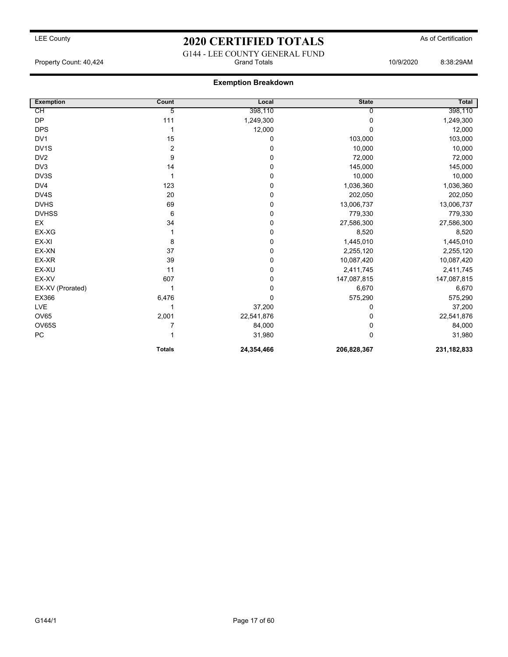### LEE County **2020 CERTIFIED TOTALS** As of Certification G144 - LEE COUNTY GENERAL FUND

Property Count: 40,424 Grand Totals 10/9/2020 8:38:29AM

### **Exemption Breakdown**

| <b>Exemption</b>  | Count          | Local      | <b>State</b> | Total         |
|-------------------|----------------|------------|--------------|---------------|
| CН                | 5              | 398,110    | 0            | 398,110       |
| <b>DP</b>         | 111            | 1,249,300  | 0            | 1,249,300     |
| <b>DPS</b>        |                | 12,000     | $\Omega$     | 12,000        |
| DV <sub>1</sub>   | 15             | 0          | 103,000      | 103,000       |
| DV <sub>1</sub> S | $\overline{2}$ | 0          | 10,000       | 10,000        |
| DV <sub>2</sub>   | 9              | 0          | 72,000       | 72,000        |
| DV3               | 14             | 0          | 145,000      | 145,000       |
| DV3S              | 1              | 0          | 10,000       | 10,000        |
| DV4               | 123            | 0          | 1,036,360    | 1,036,360     |
| DV4S              | 20             | 0          | 202,050      | 202,050       |
| <b>DVHS</b>       | 69             | 0          | 13,006,737   | 13,006,737    |
| <b>DVHSS</b>      | 6              | 0          | 779,330      | 779,330       |
| EX                | 34             | 0          | 27,586,300   | 27,586,300    |
| EX-XG             |                | 0          | 8,520        | 8,520         |
| EX-XI             | 8              | 0          | 1,445,010    | 1,445,010     |
| EX-XN             | 37             | 0          | 2,255,120    | 2,255,120     |
| EX-XR             | 39             | 0          | 10,087,420   | 10,087,420    |
| EX-XU             | 11             | 0          | 2,411,745    | 2,411,745     |
| EX-XV             | 607            | 0          | 147,087,815  | 147,087,815   |
| EX-XV (Prorated)  |                | 0          | 6,670        | 6,670         |
| EX366             | 6,476          | 0          | 575,290      | 575,290       |
| LVE               |                | 37,200     | 0            | 37,200        |
| OV65              | 2,001          | 22,541,876 | 0            | 22,541,876    |
| OV65S             |                | 84,000     | 0            | 84,000        |
| ${\sf PC}$        |                | 31,980     | $\Omega$     | 31,980        |
|                   | <b>Totals</b>  | 24,354,466 | 206,828,367  | 231, 182, 833 |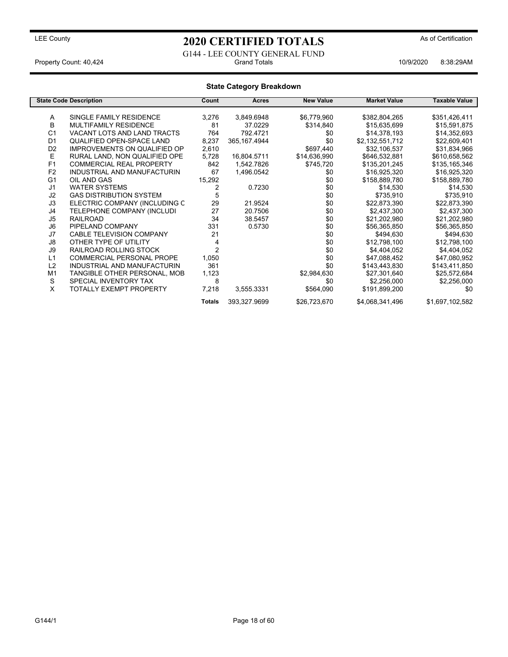### G144 - LEE COUNTY GENERAL FUND<br>Grand Totals Property Count: 40,424 **Accord Property Count: 40,424** Crand Totals 10/9/2020 8:38:29AM

### **State Category Breakdown**

|                | <b>State Code Description</b>       | Count          | Acres          | <b>New Value</b> | <b>Market Value</b> | Taxable Value   |
|----------------|-------------------------------------|----------------|----------------|------------------|---------------------|-----------------|
|                |                                     |                |                |                  |                     |                 |
| A              | SINGLE FAMILY RESIDENCE             | 3,276          | 3,849.6948     | \$6,779,960      | \$382,804,265       | \$351,426,411   |
| B              | <b>MULTIFAMILY RESIDENCE</b>        | 81             | 37.0229        | \$314,840        | \$15,635,699        | \$15,591,875    |
| C <sub>1</sub> | VACANT LOTS AND LAND TRACTS         | 764            | 792.4721       | \$0              | \$14,378,193        | \$14,352,693    |
| D <sub>1</sub> | <b>QUALIFIED OPEN-SPACE LAND</b>    | 8,237          | 365, 167. 4944 | \$0              | \$2,132,551,712     | \$22,609,401    |
| D <sub>2</sub> | <b>IMPROVEMENTS ON QUALIFIED OP</b> | 2,610          |                | \$697,440        | \$32,106,537        | \$31,834,966    |
| Е              | RURAL LAND, NON QUALIFIED OPE       | 5,728          | 16,804.5711    | \$14,636,990     | \$646,532,881       | \$610,658,562   |
| F1             | <b>COMMERCIAL REAL PROPERTY</b>     | 842            | 1,542.7826     | \$745,720        | \$135,201,245       | \$135,165,346   |
| F <sub>2</sub> | INDUSTRIAL AND MANUFACTURIN         | 67             | 1,496.0542     | \$0              | \$16,925,320        | \$16,925,320    |
| G <sub>1</sub> | OIL AND GAS                         | 15,292         |                | \$0              | \$158,889,780       | \$158,889,780   |
| J1             | <b>WATER SYSTEMS</b>                | 2              | 0.7230         | \$0              | \$14,530            | \$14,530        |
| J <sub>2</sub> | <b>GAS DISTRIBUTION SYSTEM</b>      | 5              |                | \$0              | \$735,910           | \$735,910       |
| J3             | ELECTRIC COMPANY (INCLUDING C       | 29             | 21.9524        | \$0              | \$22,873,390        | \$22,873,390    |
| J4             | TELEPHONE COMPANY (INCLUDI          | 27             | 20.7506        | \$0              | \$2,437,300         | \$2,437,300     |
| J <sub>5</sub> | <b>RAILROAD</b>                     | 34             | 38.5457        | \$0              | \$21,202,980        | \$21,202,980    |
| J6             | PIPELAND COMPANY                    | 331            | 0.5730         | \$0              | \$56,365,850        | \$56,365,850    |
| J7             | CABLE TELEVISION COMPANY            | 21             |                | \$0              | \$494,630           | \$494,630       |
| J8             | OTHER TYPE OF UTILITY               |                |                | \$0              | \$12,798,100        | \$12,798,100    |
| J9             | <b>RAILROAD ROLLING STOCK</b>       | $\overline{2}$ |                | \$0              | \$4,404,052         | \$4,404,052     |
| L1             | <b>COMMERCIAL PERSONAL PROPE</b>    | 1,050          |                | \$0              | \$47,088,452        | \$47,080,952    |
| L2             | INDUSTRIAL AND MANUFACTURIN         | 361            |                | \$0              | \$143,443,830       | \$143,411,850   |
| M <sub>1</sub> | TANGIBLE OTHER PERSONAL, MOB        | 1,123          |                | \$2,984,630      | \$27,301,640        | \$25,572,684    |
| S              | SPECIAL INVENTORY TAX               | 8              |                | \$0              | \$2,256,000         | \$2,256,000     |
| X              | TOTALLY EXEMPT PROPERTY             | 7,218          | 3,555.3331     | \$564,090        | \$191,899,200       | \$0             |
|                |                                     | <b>Totals</b>  | 393,327.9699   | \$26,723,670     | \$4,068,341,496     | \$1,697,102,582 |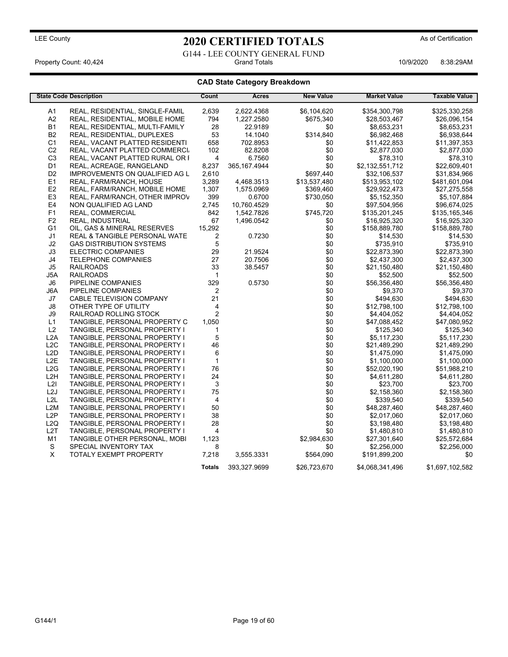# LEE County **2020 CERTIFIED TOTALS** As of Certification G144 - LEE COUNTY GENERAL FUND<br>Grand Totals

Property Count: 40,424 **Accord Property Count: 40,424** Crand Totals 10/9/2020 8:38:29AM

### **CAD State Category Breakdown**

|                  | <b>State Code Description</b>            | Count          | Acres         | <b>New Value</b> | <b>Market Value</b> | <b>Taxable Value</b> |
|------------------|------------------------------------------|----------------|---------------|------------------|---------------------|----------------------|
|                  |                                          |                |               |                  |                     |                      |
| A1               | REAL, RESIDENTIAL, SINGLE-FAMIL          | 2,639          | 2,622.4368    | \$6,104,620      | \$354,300,798       | \$325,330,258        |
| A2               | REAL, RESIDENTIAL, MOBILE HOME           | 794            | 1,227.2580    | \$675,340        | \$28,503,467        | \$26,096,154         |
| <b>B1</b>        | REAL, RESIDENTIAL, MULTI-FAMILY          | 28             | 22.9189       | \$0              | \$8,653,231         | \$8,653,231          |
| B <sub>2</sub>   | REAL, RESIDENTIAL, DUPLEXES              | 53             | 14.1040       | \$314,840        | \$6,982,468         | \$6,938,644          |
| C <sub>1</sub>   | REAL, VACANT PLATTED RESIDENTI           | 658            | 702.8953      | \$0              | \$11,422,853        | \$11,397,353         |
| C <sub>2</sub>   | REAL, VACANT PLATTED COMMERCI            | 102            | 82.8208       | \$0              | \$2,877,030         | \$2,877,030          |
| C <sub>3</sub>   | REAL, VACANT PLATTED RURAL OR F          | 4              | 6.7560        | \$0              | \$78,310            | \$78,310             |
| D1               | REAL, ACREAGE, RANGELAND                 | 8,237          | 365, 167.4944 | \$0              | \$2,132,551,712     | \$22,609,401         |
| D <sub>2</sub>   | <b>IMPROVEMENTS ON QUALIFIED AG L</b>    | 2,610          |               | \$697,440        | \$32,106,537        | \$31,834,966         |
| E <sub>1</sub>   | REAL, FARM/RANCH, HOUSE                  | 3,289          | 4,468.3513    | \$13,537,480     | \$513,953,102       | \$481,601,094        |
| E2               | REAL, FARM/RANCH, MOBILE HOME            | 1,307          | 1,575.0969    | \$369,460        | \$29,922,473        | \$27,275,558         |
| E <sub>3</sub>   | REAL, FARM/RANCH, OTHER IMPROV           | 399            | 0.6700        | \$730,050        | \$5,152,350         | \$5,107,884          |
| E4               | NON QUALIFIED AG LAND                    | 2,745          | 10,760.4529   | \$0              | \$97,504,956        | \$96,674,025         |
| F <sub>1</sub>   | REAL, COMMERCIAL                         | 842            | 1,542.7826    | \$745,720        | \$135,201,245       | \$135,165,346        |
| F <sub>2</sub>   | <b>REAL, INDUSTRIAL</b>                  | 67             | 1,496.0542    | \$0              | \$16,925,320        | \$16,925,320         |
| G <sub>1</sub>   | OIL, GAS & MINERAL RESERVES              | 15,292         |               | \$0              | \$158,889,780       | \$158,889,780        |
| J1               | <b>REAL &amp; TANGIBLE PERSONAL WATE</b> | 2              | 0.7230        | \$0              | \$14,530            | \$14,530             |
| J2               | <b>GAS DISTRIBUTION SYSTEMS</b>          | 5              |               | \$0              | \$735,910           | \$735,910            |
| J3               | <b>ELECTRIC COMPANIES</b>                | 29             | 21.9524       | \$0              | \$22,873,390        | \$22,873,390         |
| J4               | <b>TELEPHONE COMPANIES</b>               | 27             | 20.7506       | \$0              | \$2,437,300         | \$2,437,300          |
| J5               | <b>RAILROADS</b>                         | 33             | 38.5457       | \$0              | \$21,150,480        | \$21,150,480         |
| J5A              | <b>RAILROADS</b>                         | $\mathbf{1}$   |               | \$0              | \$52,500            | \$52,500             |
| J6               | PIPELINE COMPANIES                       | 329            | 0.5730        | \$0              | \$56,356,480        | \$56,356,480         |
| J6A              | PIPELINE COMPANIES                       | 2              |               | \$0              | \$9,370             | \$9,370              |
| J7               | CABLE TELEVISION COMPANY                 | 21             |               | \$0              | \$494,630           | \$494,630            |
| J8               | OTHER TYPE OF UTILITY                    | 4              |               | \$0              | \$12,798,100        | \$12,798,100         |
| J9               | RAILROAD ROLLING STOCK                   | $\overline{2}$ |               | \$0              | \$4,404,052         | \$4,404,052          |
| L1               | TANGIBLE, PERSONAL PROPERTY C            | 1,050          |               | \$0              | \$47,088,452        | \$47,080,952         |
| L2               | TANGIBLE, PERSONAL PROPERTY I            | $\mathbf{1}$   |               | \$0              | \$125,340           | \$125,340            |
| L2A              | TANGIBLE, PERSONAL PROPERTY I            | 5              |               | \$0              | \$5,117,230         | \$5,117,230          |
| L <sub>2</sub> C | TANGIBLE, PERSONAL PROPERTY I            | 46             |               | \$0              | \$21,489,290        | \$21,489,290         |
| L2D              | TANGIBLE, PERSONAL PROPERTY I            | 6              |               | \$0              | \$1,475,090         | \$1,475,090          |
| L <sub>2</sub> E | TANGIBLE, PERSONAL PROPERTY I            | $\mathbf{1}$   |               | \$0              | \$1,100,000         | \$1,100,000          |
| L2G              | TANGIBLE, PERSONAL PROPERTY I            | 76             |               | \$0              | \$52,020,190        | \$51,988,210         |
| L <sub>2</sub> H | TANGIBLE, PERSONAL PROPERTY I            | 24             |               | \$0              | \$4,611,280         | \$4,611,280          |
| L2I              | TANGIBLE, PERSONAL PROPERTY I            | 3              |               | \$0              | \$23,700            | \$23,700             |
| L <sub>2</sub> J | TANGIBLE, PERSONAL PROPERTY I            | 75             |               | \$0              | \$2,158,360         | \$2,158,360          |
| L2L              | TANGIBLE, PERSONAL PROPERTY I            | 4              |               | \$0              | \$339,540           | \$339,540            |
| L <sub>2</sub> M | TANGIBLE, PERSONAL PROPERTY I            | 50             |               | \$0              | \$48,287,460        | \$48,287,460         |
| L2P              | TANGIBLE, PERSONAL PROPERTY I            | 38             |               | \$0              | \$2,017,060         | \$2,017,060          |
| L2Q              | TANGIBLE, PERSONAL PROPERTY I            | 28             |               | \$0              | \$3,198,480         | \$3,198,480          |
| L <sub>2</sub> T | TANGIBLE, PERSONAL PROPERTY I            | $\overline{4}$ |               | \$0              | \$1,480,810         | \$1,480,810          |
| M1               | TANGIBLE OTHER PERSONAL, MOBI            | 1,123          |               | \$2,984,630      | \$27,301,640        | \$25,572,684         |
| S                | SPECIAL INVENTORY TAX                    | 8              |               | \$0              | \$2,256,000         | \$2,256,000          |
| X                | <b>TOTALY EXEMPT PROPERTY</b>            | 7,218          | 3,555.3331    | \$564,090        | \$191,899,200       | \$0                  |
|                  |                                          | <b>Totals</b>  | 393,327.9699  | \$26,723,670     | \$4,068,341,496     | \$1,697,102,582      |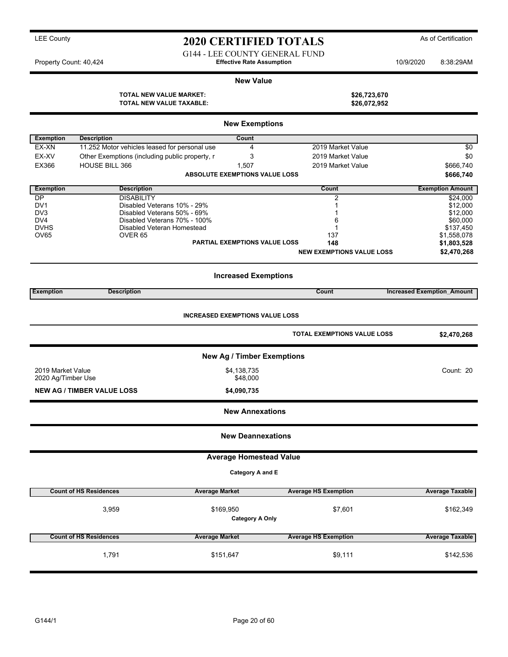## LEE County **As of Certification 2020 CERTIFIED TOTALS** As of Certification

G144 - LEE COUNTY GENERAL FUND Property Count: 40,424 **Effective Rate Assumption** 10/9/2020 8:38:29AM

#### **New Value**

**TOTAL NEW VALUE MARKET: \$26,723,670**

|                    | TOTAL NEW VALUE TAXABLE:                                   |                                        | \$26,072,952                     |                                   |
|--------------------|------------------------------------------------------------|----------------------------------------|----------------------------------|-----------------------------------|
|                    |                                                            | <b>New Exemptions</b>                  |                                  |                                   |
| <b>Exemption</b>   | <b>Description</b>                                         | Count                                  |                                  |                                   |
| EX-XN              | 11.252 Motor vehicles leased for personal use              | 4                                      | 2019 Market Value                | \$0                               |
| EX-XV              | Other Exemptions (including public property, r             | 3                                      | 2019 Market Value                | \$0                               |
| EX366              | HOUSE BILL 366                                             | 1,507                                  | 2019 Market Value                | \$666,740                         |
|                    |                                                            | ABSOLUTE EXEMPTIONS VALUE LOSS         |                                  | \$666,740                         |
| <b>Exemption</b>   | <b>Description</b>                                         |                                        | Count                            | <b>Exemption Amount</b>           |
| DP                 | <b>DISABILITY</b>                                          |                                        | 2                                | \$24,000                          |
| DV1<br>DV3         | Disabled Veterans 10% - 29%<br>Disabled Veterans 50% - 69% |                                        |                                  | \$12,000                          |
| DV4                | Disabled Veterans 70% - 100%                               |                                        | 6                                | \$12,000<br>\$60,000              |
| <b>DVHS</b>        | Disabled Veteran Homestead                                 |                                        |                                  | \$137,450                         |
| <b>OV65</b>        | OVER <sub>65</sub>                                         |                                        | 137                              | \$1,558,078                       |
|                    |                                                            | <b>PARTIAL EXEMPTIONS VALUE LOSS</b>   | 148                              | \$1,803,528                       |
|                    |                                                            |                                        | <b>NEW EXEMPTIONS VALUE LOSS</b> | \$2,470,268                       |
|                    |                                                            | <b>Increased Exemptions</b>            |                                  |                                   |
| <b>Exemption</b>   | <b>Description</b>                                         |                                        | Count                            | <b>Increased Exemption Amount</b> |
|                    |                                                            | <b>INCREASED EXEMPTIONS VALUE LOSS</b> | TOTAL EXEMPTIONS VALUE LOSS      | \$2,470,268                       |
|                    |                                                            | <b>New Ag / Timber Exemptions</b>      |                                  |                                   |
| 2019 Market Value  |                                                            | \$4,138,735                            |                                  | Count: 20                         |
| 2020 Ag/Timber Use |                                                            | \$48,000                               |                                  |                                   |
|                    | <b>NEW AG / TIMBER VALUE LOSS</b>                          | \$4,090,735                            |                                  |                                   |
|                    |                                                            | <b>New Annexations</b>                 |                                  |                                   |
|                    |                                                            | <b>New Deannexations</b>               |                                  |                                   |
|                    |                                                            | <b>Average Homestead Value</b>         |                                  |                                   |
|                    |                                                            | Category A and E                       |                                  |                                   |
|                    | <b>Count of HS Residences</b>                              | <b>Average Market</b>                  | <b>Average HS Exemption</b>      | <b>Average Taxable</b>            |
|                    | 3,959                                                      | \$169,950<br><b>Category A Only</b>    | \$7,601                          | \$162,349                         |
|                    | <b>Count of HS Residences</b>                              | <b>Average Market</b>                  | <b>Average HS Exemption</b>      | <b>Average Taxable</b>            |
|                    | 1,791                                                      | \$151,647                              | \$9,111                          | \$142,536                         |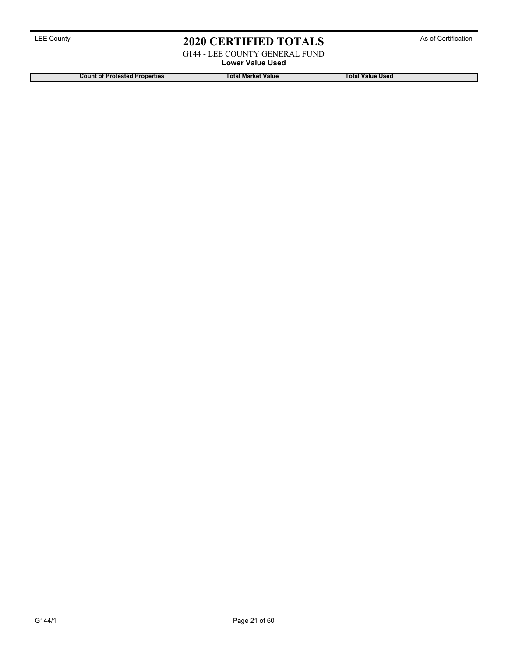G144 - LEE COUNTY GENERAL FUND

**Lower Value Used**

**Count of Protested Properties Total Market Value Total Value Used**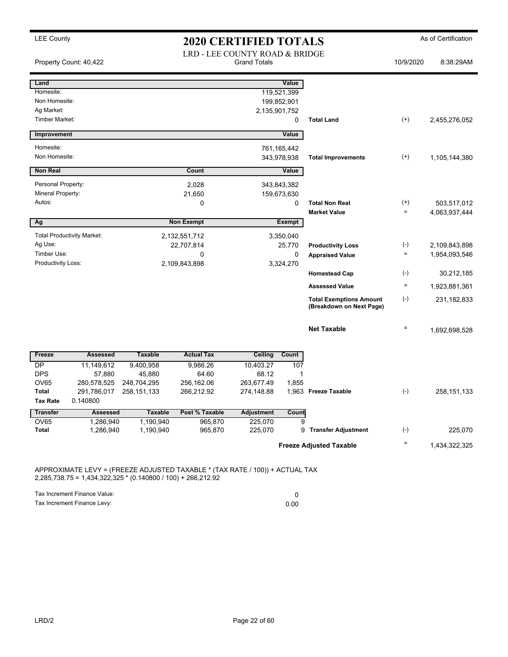|                             | Property Count: 40,422            |                        | LRD - LEE COUNTY ROAD & BRIDGE | <b>Grand Totals</b> |             |                                                            | 10/9/2020         | 8:38:29AM     |
|-----------------------------|-----------------------------------|------------------------|--------------------------------|---------------------|-------------|------------------------------------------------------------|-------------------|---------------|
| Land                        |                                   |                        |                                |                     | Value       |                                                            |                   |               |
| Homesite:                   |                                   |                        |                                |                     | 119,521,399 |                                                            |                   |               |
| Non Homesite:               |                                   |                        |                                |                     | 199,852,901 |                                                            |                   |               |
| Ag Market:                  |                                   |                        |                                | 2,135,901,752       |             |                                                            |                   |               |
| Timber Market:              |                                   |                        |                                |                     | 0           | <b>Total Land</b>                                          | $(+)$             | 2,455,276,052 |
| Improvement                 |                                   |                        |                                |                     | Value       |                                                            |                   |               |
| Homesite:                   |                                   |                        |                                |                     | 761,165,442 |                                                            |                   |               |
| Non Homesite:               |                                   |                        |                                |                     | 343,978,938 | <b>Total Improvements</b>                                  | $^{(+)}$          | 1,105,144,380 |
| <b>Non Real</b>             |                                   |                        | Count                          |                     | Value       |                                                            |                   |               |
| Personal Property:          |                                   |                        | 2,028                          |                     | 343,843,382 |                                                            |                   |               |
| Mineral Property:           |                                   |                        | 21,650                         |                     | 159,673,630 |                                                            |                   |               |
| Autos:                      |                                   |                        | 0                              |                     | $\Omega$    | <b>Total Non Real</b>                                      | $^{(+)}$          | 503,517,012   |
|                             |                                   |                        |                                |                     |             | <b>Market Value</b>                                        | $=$               | 4,063,937,444 |
| Ag                          |                                   |                        | <b>Non Exempt</b>              |                     | Exempt      |                                                            |                   |               |
|                             | <b>Total Productivity Market:</b> |                        | 2,132,551,712                  |                     | 3,350,040   |                                                            |                   |               |
| Ag Use:                     |                                   |                        | 22,707,814                     |                     | 25,770      | <b>Productivity Loss</b>                                   | $(\cdot)$         | 2,109,843,898 |
| Timber Use:                 |                                   |                        | 0                              |                     | 0           | <b>Appraised Value</b>                                     | $\qquad \qquad =$ | 1,954,093,546 |
| Productivity Loss:          |                                   |                        | 2,109,843,898                  |                     | 3,324,270   | <b>Homestead Cap</b>                                       | $(-)$             | 30,212,185    |
|                             |                                   |                        |                                |                     |             | <b>Assessed Value</b>                                      | $\quad \  \  =$   |               |
|                             |                                   |                        |                                |                     |             |                                                            |                   | 1,923,881,361 |
|                             |                                   |                        |                                |                     |             | <b>Total Exemptions Amount</b><br>(Breakdown on Next Page) | $(-)$             | 231, 182, 833 |
|                             |                                   |                        |                                |                     |             | <b>Net Taxable</b>                                         | $\qquad \qquad =$ | 1,692,698,528 |
| Freeze                      | <b>Assessed</b>                   | <b>Taxable</b>         | <b>Actual Tax</b>              | Ceiling             | Count       |                                                            |                   |               |
| DP                          | 11,149,612                        | 9,400,958              | 9,986.26                       | 10,403.27           | 107         |                                                            |                   |               |
| <b>DPS</b>                  | 57,880                            | 45,880                 | 64.60                          | 68.12               | 1           |                                                            |                   |               |
| OV65                        | 280,578,525                       | 248,704,295            | 256,162.06                     | 263,677.49          | 1,855       |                                                            |                   |               |
| Total                       | 291,786,017                       | 258, 151, 133          | 266,212.92                     | 274,148.88          |             | 1,963 Freeze Taxable                                       | $(-)$             | 258, 151, 133 |
| <b>Tax Rate</b>             | 0.140800                          |                        |                                |                     |             |                                                            |                   |               |
| <b>Transfer</b>             | <b>Assessed</b>                   | <b>Taxable</b>         | Post % Taxable                 | <b>Adjustment</b>   | Count       |                                                            |                   |               |
| <b>OV65</b><br><b>Total</b> | 1,286,940<br>1,286,940            | 1,190,940<br>1,190,940 | 965,870<br>965,870             | 225,070<br>225,070  | 9<br>9      | <b>Transfer Adjustment</b>                                 | $(-)$             | 225,070       |
|                             |                                   |                        |                                |                     |             |                                                            |                   |               |
|                             |                                   |                        |                                |                     |             | <b>Freeze Adjusted Taxable</b>                             | $\equiv$          | 1,434,322,325 |

2,285,738.75 = 1,434,322,325 \* (0.140800 / 100) + 266,212.92

Tax Increment Finance Value: 0 Tax Increment Finance Levy: 0.00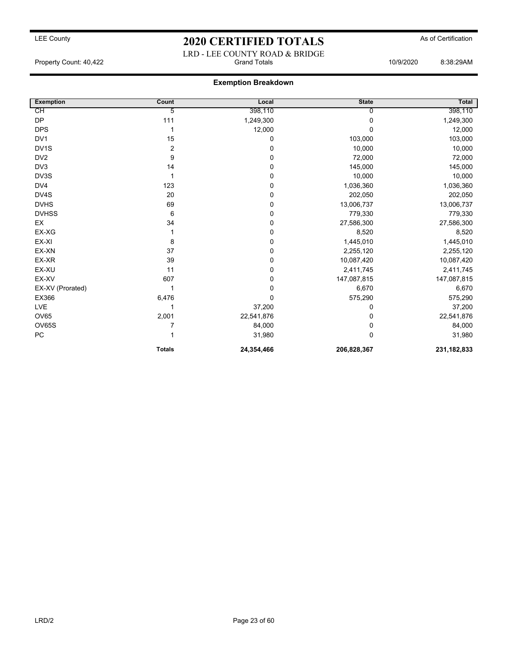### LRD - LEE COUNTY ROAD & BRIDGE Property Count: 40,422 Grand Totals 10/9/2020 8:38:29AM

### **Exemption Breakdown**

| <b>Exemption</b>  | Count          | Local      | <b>State</b> | Total         |
|-------------------|----------------|------------|--------------|---------------|
| CН                | 5              | 398,110    | U            | 398,110       |
| <b>DP</b>         | 111            | 1,249,300  | $\Omega$     | 1,249,300     |
| <b>DPS</b>        |                | 12,000     | $\Omega$     | 12,000        |
| DV <sub>1</sub>   | 15             | 0          | 103,000      | 103,000       |
| DV <sub>1</sub> S | $\overline{2}$ | 0          | 10,000       | 10,000        |
| DV <sub>2</sub>   | 9              | 0          | 72,000       | 72,000        |
| DV <sub>3</sub>   | 14             | 0          | 145,000      | 145,000       |
| DV3S              |                | 0          | 10,000       | 10,000        |
| DV4               | 123            | 0          | 1,036,360    | 1,036,360     |
| DV4S              | 20             | 0          | 202,050      | 202,050       |
| <b>DVHS</b>       | 69             | 0          | 13,006,737   | 13,006,737    |
| <b>DVHSS</b>      | 6              | 0          | 779,330      | 779,330       |
| EX                | 34             | 0          | 27,586,300   | 27,586,300    |
| EX-XG             |                | 0          | 8,520        | 8,520         |
| EX-XI             | 8              | 0          | 1,445,010    | 1,445,010     |
| EX-XN             | 37             | 0          | 2,255,120    | 2,255,120     |
| EX-XR             | 39             | 0          | 10,087,420   | 10,087,420    |
| EX-XU             | 11             | 0          | 2,411,745    | 2,411,745     |
| EX-XV             | 607            | 0          | 147,087,815  | 147,087,815   |
| EX-XV (Prorated)  |                | 0          | 6,670        | 6,670         |
| EX366             | 6,476          | 0          | 575,290      | 575,290       |
| LVE               |                | 37,200     | 0            | 37,200        |
| <b>OV65</b>       | 2,001          | 22,541,876 | 0            | 22,541,876    |
| <b>OV65S</b>      |                | 84,000     | 0            | 84,000        |
| ${\sf PC}$        |                | 31,980     | $\Omega$     | 31,980        |
|                   | <b>Totals</b>  | 24,354,466 | 206,828,367  | 231, 182, 833 |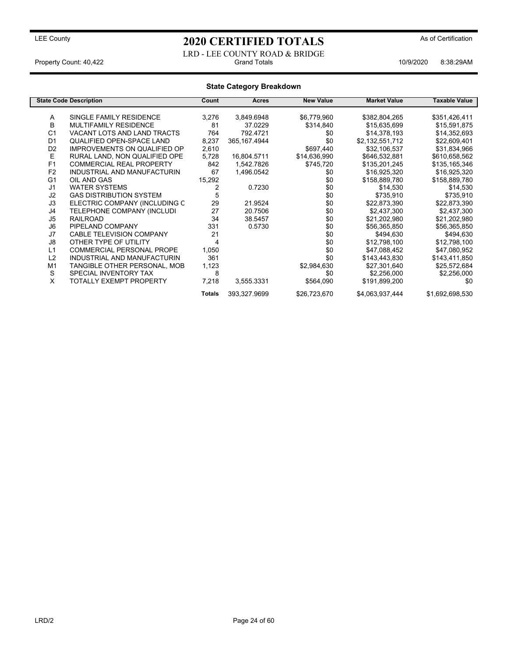### LEE County **As of Certification 2020 CERTIFIED TOTALS** As of Certification

LRD - LEE COUNTY ROAD & BRIDGE Property Count: 40,422 **Crand Totals 10/9/2020** 8:38:29AM

#### **State Category Breakdown State Code Description Count Acres New Value Market Value Taxable Value** A SINGLE FAMILY RESIDENCE 3,276 3,849.6948 \$6,779,960 \$382,804,265 \$351,426,411<br>B MULTIFAMILY RESIDENCE 81 37.0229 \$314.840 \$15.635.699 \$15.591.875 B MULTIFAMILY RESIDENCE 81 37.0229 \$314,840 \$15,635,699 \$15,591,875 C1 VACANT LOTS AND LAND TRACTS 764 792.4721 \$0 \$14,378,193 \$14,352,693<br>D1 QUALIFIED OPEN-SPACE LAND 8,237 365,167.4944 \$0 \$2,132,551,712 \$22,609,401 QUALIFIED OPEN-SPACE LAND D2 IMPROVEMENTS ON QUALIFIED OP 2,610 \$697,440 \$32,106,537 \$31,834,966<br>E RURAL LAND, NON QUALIFIED OPE 5,728 16,804.5711 \$14,636,990 \$646,532,881 \$610,658,562 E RURAL LAND, NON QUALIFIED OPE 5,728 16,804.5711 \$14,636,990 \$646,532,881 \$610,658,562<br>F1 COMMERCIAL REAL PROPERTY 842 1,542.7826 \$745,720 \$135,201,245 \$135,165,346 F1 COMMERCIAL REAL PROPERTY 842 1,542.7826 \$745,720 \$135,201,245 \$135,165,346<br>F2 INDUSTRIAL AND MANUFACTURIN 67 1,496.0542 \$0 \$16,925,320 \$16,925,320 F2 INDUSTRIAL AND MANUFACTURIN 67 1,496.0542 \$0 \$16,925,320 \$16,925,320 G1 OIL AND GAS 15,292 \$0 \$158,889,780 \$158,889,780 J1 WATER SYSTEMS 2 0.7230 \$0 \$14,530 \$14,530 GAS DISTRIBUTION SYSTEM 5 \$0 \$135,910 \$735,910 \$735,910 \$735,910 \$735,910 \$735,910 \$735,910 \$735,910 \$735,910 J3 ELECTRIC COMPANY (INCLUDING C 29 21.9524 \$0 \$22,873,390 \$22,873,390 J4 TELEPHONE COMPANY (INCLUDI 27 20.7506 \$0 \$2,437,300 \$2,437,300 J5 RAILROAD 34 38.5457 \$0 \$21,202,980 \$21,202,980 J6 PIPELAND COMPANY 331 0.5730 \$0 \$56,365,850 \$56,365,850 J7 CABLE TELEVISION COMPANY 21 21 \$0 \$494,630 \$494,630 18 OTHER TYPE OF UTILITY 10 4 4 4 50 \$12,798,100 \$12,798,100 \$12,798,100<br>1.1 COMMERCIAL PERSONAL PROPE 1,050 \$1 547,088,452 \$47,088,452 \$47,080,952 COMMERCIAL PERSONAL PROPE L2 INDUSTRIAL AND MANUFACTURIN 361 \$0 \$143,443,830 \$143,411,850 M1 TANGIBLE OTHER PERSONAL, MOB 1,123 \$2,984,630 \$27,301,640 \$25,572,684<br>SPECIAL INVENTORY TAX 8 \$4,256,000 \$2,256,000 \$2,256,000 S SPECIAL INVENTORY TAX 8 \$0 \$2,256,000 \$2,256,000 TOTALLY EXEMPT PROPERTY  $7,218$   $3,555.3331$   $$564,090$   $$191,899,200$   $$0$

**Totals** 393,327.9699 \$26,723,670 \$4,063,937,444 \$1,692,698,530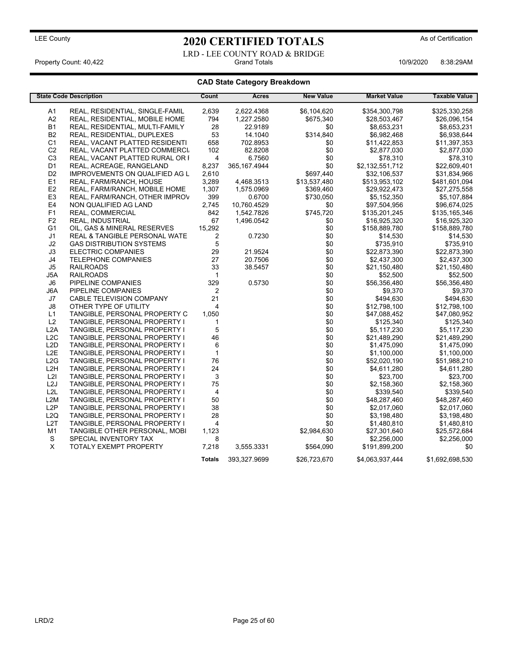LRD - LEE COUNTY ROAD & BRIDGE<br>Grand Totals Property Count: 40,422 **Accord Property Count: 40,422** Crand Totals 10/9/2020 8:38:29AM

### **CAD State Category Breakdown**

|                  | <b>State Code Description</b>         | Count          | <b>Acres</b>   | <b>New Value</b> | <b>Market Value</b>         | <b>Taxable Value</b> |
|------------------|---------------------------------------|----------------|----------------|------------------|-----------------------------|----------------------|
|                  |                                       |                |                |                  |                             |                      |
| A1               | REAL, RESIDENTIAL, SINGLE-FAMIL       | 2.639          | 2,622.4368     | \$6,104,620      | \$354,300,798               | \$325,330,258        |
| A2               | REAL, RESIDENTIAL, MOBILE HOME        | 794            | 1,227.2580     | \$675,340        | \$28,503,467                | \$26,096,154         |
| <b>B1</b>        | REAL, RESIDENTIAL, MULTI-FAMILY       | 28             | 22.9189        | \$0              | \$8,653,231                 | \$8,653,231          |
| <b>B2</b>        | REAL, RESIDENTIAL, DUPLEXES           | 53             | 14.1040        | \$314,840        | \$6,982,468                 | \$6,938,644          |
| C <sub>1</sub>   | REAL, VACANT PLATTED RESIDENTI        | 658            | 702.8953       | \$0              | \$11,422,853                | \$11,397,353         |
| C <sub>2</sub>   | REAL, VACANT PLATTED COMMERCI         | 102            | 82.8208        | \$0              | \$2,877,030                 | \$2,877,030          |
| C <sub>3</sub>   | REAL, VACANT PLATTED RURAL OR I       | 4              | 6.7560         | \$0              | \$78,310                    | \$78,310             |
| D <sub>1</sub>   | REAL, ACREAGE, RANGELAND              | 8,237          | 365, 167. 4944 | \$0              | \$2,132,551,712             | \$22,609,401         |
| D <sub>2</sub>   | <b>IMPROVEMENTS ON QUALIFIED AG L</b> | 2.610          |                | \$697,440        | \$32,106,537                | \$31,834,966         |
| E <sub>1</sub>   | REAL, FARM/RANCH, HOUSE               | 3,289          | 4,468.3513     | \$13,537,480     | \$513,953,102               | \$481,601,094        |
| E2               | REAL, FARM/RANCH, MOBILE HOME         | 1,307          | 1,575.0969     | \$369.460        | \$29.922.473                | \$27,275,558         |
| E <sub>3</sub>   | REAL, FARM/RANCH, OTHER IMPROV        | 399            | 0.6700         | \$730,050        | \$5,152,350                 | \$5,107,884          |
| E <sub>4</sub>   | NON QUALIFIED AG LAND                 | 2,745          | 10,760.4529    | \$0              | \$97,504,956                | \$96,674,025         |
| F <sub>1</sub>   | REAL, COMMERCIAL                      | 842            | 1,542.7826     | \$745,720        | \$135,201,245               | \$135,165,346        |
| F <sub>2</sub>   | REAL, INDUSTRIAL                      | 67             | 1,496.0542     | \$0              | \$16,925,320                | \$16,925,320         |
| G <sub>1</sub>   | OIL, GAS & MINERAL RESERVES           | 15,292         |                | \$0              | \$158,889,780               | \$158,889,780        |
| J1               | REAL & TANGIBLE PERSONAL WATE         | 2              | 0.7230         | \$0              | \$14,530                    | \$14,530             |
| J2               | <b>GAS DISTRIBUTION SYSTEMS</b>       | 5              |                | \$0              | \$735,910                   | \$735,910            |
| J3               | <b>ELECTRIC COMPANIES</b>             | 29             | 21.9524        | \$0              | \$22,873,390                | \$22,873,390         |
| J4               | <b>TELEPHONE COMPANIES</b>            | 27             | 20.7506        | \$0              | \$2,437,300                 | \$2,437,300          |
| J5               | <b>RAILROADS</b>                      | 33             | 38.5457        | \$0              | \$21,150,480                | \$21,150,480         |
| J5A              | <b>RAILROADS</b>                      | $\mathbf{1}$   |                | \$0              | \$52,500                    | \$52,500             |
| J6               | PIPELINE COMPANIES                    | 329            | 0.5730         | \$0              | \$56,356,480                | \$56,356,480         |
| J6A              | PIPELINE COMPANIES                    | 2              |                | \$0              | \$9,370                     | \$9,370              |
| J7               | <b>CABLE TELEVISION COMPANY</b>       | 21             |                | \$0              | \$494,630                   | \$494,630            |
| J8               | OTHER TYPE OF UTILITY                 | $\overline{4}$ |                | \$0              | \$12,798,100                | \$12,798,100         |
| L1               | TANGIBLE, PERSONAL PROPERTY C         | 1,050          |                | \$0              | \$47,088,452                | \$47,080,952         |
| L2               | TANGIBLE, PERSONAL PROPERTY I         | $\mathbf{1}$   |                | \$0              | \$125,340                   | \$125,340            |
| L <sub>2</sub> A | TANGIBLE, PERSONAL PROPERTY I         | 5              |                | \$0              | \$5,117,230                 | \$5,117,230          |
| L <sub>2</sub> C | TANGIBLE, PERSONAL PROPERTY I         | 46             |                | \$0              | \$21,489,290                | \$21,489,290         |
| L <sub>2</sub> D | TANGIBLE, PERSONAL PROPERTY I         | 6              |                | \$0              | \$1,475,090                 | \$1,475,090          |
| L <sub>2</sub> E | TANGIBLE, PERSONAL PROPERTY I         | $\mathbf{1}$   |                | \$0              | \$1,100,000                 | \$1,100,000          |
| L2G              | TANGIBLE, PERSONAL PROPERTY I         | 76             |                | \$0              | \$52,020,190                | \$51,988,210         |
| L <sub>2</sub> H | TANGIBLE, PERSONAL PROPERTY I         | 24             |                | \$0              | \$4,611,280                 | \$4,611,280          |
| L2I              | TANGIBLE, PERSONAL PROPERTY I         | 3              |                | \$0              | \$23,700                    | \$23,700             |
| L <sub>2</sub> J | TANGIBLE, PERSONAL PROPERTY I         | 75             |                | \$0              | \$2,158,360                 | \$2,158,360          |
| L2L              | TANGIBLE, PERSONAL PROPERTY I         | 4              |                | \$0              | \$339,540                   | \$339,540            |
| L2M              | TANGIBLE, PERSONAL PROPERTY I         | 50             |                | \$0              | \$48,287,460                | \$48,287,460         |
| L <sub>2</sub> P | TANGIBLE, PERSONAL PROPERTY I         | 38             |                | \$0              | \$2,017,060                 | \$2,017,060          |
| L <sub>2Q</sub>  | TANGIBLE, PERSONAL PROPERTY I         | 28             |                | \$0              | \$3,198,480                 | \$3,198,480          |
| L <sub>2</sub> T | TANGIBLE, PERSONAL PROPERTY I         | 4              |                | \$0              | \$1,480,810                 | \$1,480,810          |
| M <sub>1</sub>   | TANGIBLE OTHER PERSONAL, MOBI         | 1,123          |                | \$2,984,630      |                             | \$25,572,684         |
| S                | SPECIAL INVENTORY TAX                 | 8              |                | \$0              | \$27,301,640<br>\$2,256,000 | \$2,256,000          |
| X                |                                       |                | 3,555.3331     | \$564,090        |                             | \$0                  |
|                  | TOTALY EXEMPT PROPERTY                | 7,218          |                |                  | \$191,899,200               |                      |
|                  |                                       | <b>Totals</b>  | 393,327.9699   | \$26,723,670     | \$4,063,937,444             | \$1,692,698,530      |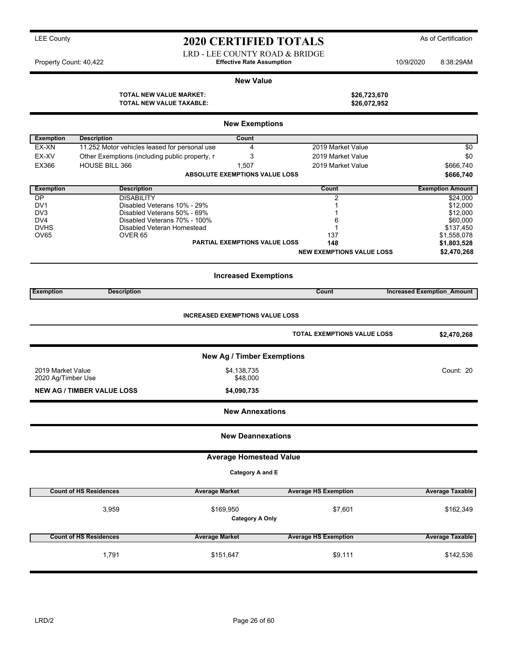## LEE County **As of Certification 2020 CERTIFIED TOTALS** As of Certification

LRD - LEE COUNTY ROAD & BRIDGE

Property Count: 40,422 **Effective Rate Assumption** 10/9/2020 8:38:29AM

#### **New Value**

**TOTAL NEW VALUE MARKET: \$26,723,670 TOTAL NEW VALUE TAXABLE: \$26,072,952**

|                    |                                                             | <b>New Exemptions</b>                  |                                    |                                   |
|--------------------|-------------------------------------------------------------|----------------------------------------|------------------------------------|-----------------------------------|
| <b>Exemption</b>   | <b>Description</b>                                          | Count                                  |                                    |                                   |
| EX-XN              | 11.252 Motor vehicles leased for personal use               | 4                                      | 2019 Market Value                  | $\sqrt{6}$                        |
| EX-XV              | Other Exemptions (including public property, r              | 3                                      | 2019 Market Value                  | \$0                               |
| EX366              | HOUSE BILL 366                                              | 1,507                                  | 2019 Market Value                  | \$666,740                         |
|                    |                                                             | <b>ABSOLUTE EXEMPTIONS VALUE LOSS</b>  |                                    | \$666,740                         |
| <b>Exemption</b>   | <b>Description</b>                                          |                                        | Count                              | <b>Exemption Amount</b>           |
| DP                 | <b>DISABILITY</b>                                           |                                        | 2                                  | \$24,000                          |
| DV1                | Disabled Veterans 10% - 29%                                 |                                        | 1                                  | \$12,000                          |
| DV3<br>DV4         | Disabled Veterans 50% - 69%<br>Disabled Veterans 70% - 100% |                                        | 1<br>6                             | \$12,000<br>\$60,000              |
| <b>DVHS</b>        | Disabled Veteran Homestead                                  |                                        | 1                                  | \$137,450                         |
| OV65               | OVER <sub>65</sub>                                          |                                        | 137                                | \$1,558,078                       |
|                    |                                                             | <b>PARTIAL EXEMPTIONS VALUE LOSS</b>   | 148                                | \$1,803,528                       |
|                    |                                                             |                                        | <b>NEW EXEMPTIONS VALUE LOSS</b>   | \$2,470,268                       |
|                    |                                                             | <b>Increased Exemptions</b>            |                                    |                                   |
| <b>Exemption</b>   | <b>Description</b>                                          |                                        | Count                              | <b>Increased Exemption Amount</b> |
|                    |                                                             |                                        |                                    |                                   |
|                    |                                                             | <b>INCREASED EXEMPTIONS VALUE LOSS</b> |                                    |                                   |
|                    |                                                             |                                        | <b>TOTAL EXEMPTIONS VALUE LOSS</b> | \$2,470,268                       |
|                    |                                                             | <b>New Ag / Timber Exemptions</b>      |                                    |                                   |
| 2019 Market Value  |                                                             | \$4,138,735                            |                                    | Count: 20                         |
| 2020 Ag/Timber Use |                                                             | \$48,000                               |                                    |                                   |
|                    | <b>NEW AG / TIMBER VALUE LOSS</b>                           | \$4,090,735                            |                                    |                                   |
|                    |                                                             | <b>New Annexations</b>                 |                                    |                                   |
|                    |                                                             | <b>New Deannexations</b>               |                                    |                                   |
|                    |                                                             | <b>Average Homestead Value</b>         |                                    |                                   |
|                    |                                                             | Category A and E                       |                                    |                                   |
|                    |                                                             |                                        |                                    |                                   |
|                    | <b>Count of HS Residences</b><br><b>Average Market</b>      |                                        | <b>Average HS Exemption</b>        | <b>Average Taxable</b>            |
|                    | 3,959                                                       | \$169,950                              | \$7,601                            | \$162,349                         |
|                    |                                                             | <b>Category A Only</b>                 |                                    |                                   |
|                    |                                                             |                                        |                                    |                                   |
|                    | <b>Count of HS Residences</b><br><b>Average Market</b>      |                                        | <b>Average HS Exemption</b>        | <b>Average Taxable</b>            |
|                    | 1,791                                                       | \$151,647                              | \$9,111                            | \$142,536                         |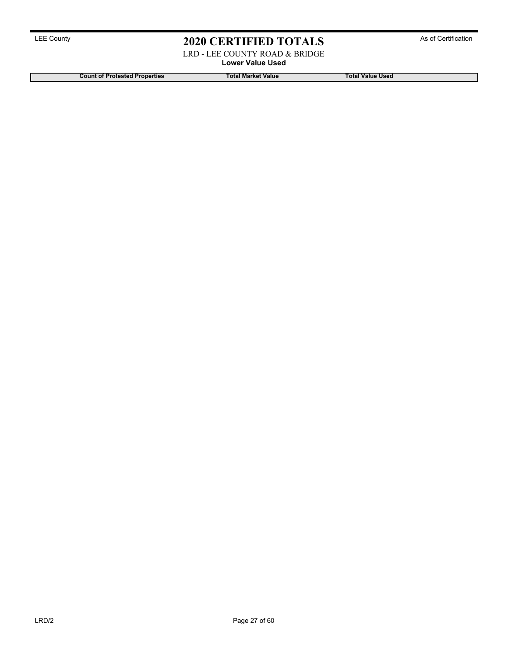LRD - LEE COUNTY ROAD & BRIDGE

**Lower Value Used**

**Count of Protested Properties Total Market Value Total Value Used**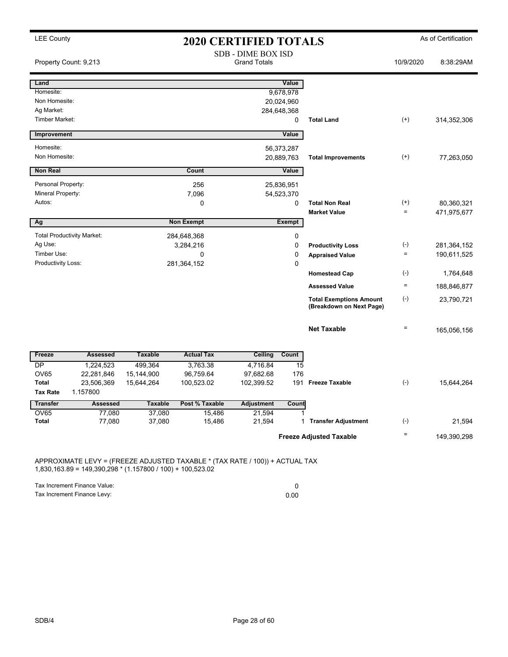| <b>LEE County</b>                 |                                   |                | <b>2020 CERTIFIED TOTALS</b> |                                                  |               |                                                            |                      | As of Certification |
|-----------------------------------|-----------------------------------|----------------|------------------------------|--------------------------------------------------|---------------|------------------------------------------------------------|----------------------|---------------------|
|                                   | Property Count: 9,213             |                |                              | <b>SDB - DIME BOX ISD</b><br><b>Grand Totals</b> |               |                                                            | 10/9/2020            | 8:38:29AM           |
| Land                              |                                   |                |                              |                                                  | Value         |                                                            |                      |                     |
| Homesite:                         |                                   |                |                              |                                                  | 9,678,978     |                                                            |                      |                     |
| Non Homesite:                     |                                   |                |                              |                                                  | 20,024,960    |                                                            |                      |                     |
| Ag Market:                        |                                   |                |                              |                                                  | 284,648,368   |                                                            |                      |                     |
| <b>Timber Market:</b>             |                                   |                |                              |                                                  | 0             | <b>Total Land</b>                                          | $(+)$                | 314,352,306         |
| Improvement                       |                                   |                |                              |                                                  | Value         |                                                            |                      |                     |
| Homesite:                         |                                   |                |                              |                                                  | 56,373,287    |                                                            |                      |                     |
| Non Homesite:                     |                                   |                |                              |                                                  | 20,889,763    | <b>Total Improvements</b>                                  | $(+)$                | 77,263,050          |
| <b>Non Real</b>                   |                                   |                | Count                        |                                                  | Value         |                                                            |                      |                     |
|                                   |                                   |                |                              |                                                  |               |                                                            |                      |                     |
| Personal Property:                |                                   |                | 256                          |                                                  | 25,836,951    |                                                            |                      |                     |
| Mineral Property:<br>Autos:       |                                   |                | 7,096                        |                                                  | 54,523,370    |                                                            |                      |                     |
|                                   |                                   |                | 0                            |                                                  | 0             | <b>Total Non Real</b><br><b>Market Value</b>               | $^{(+)}$<br>$\equiv$ | 80,360,321          |
| Ag                                |                                   |                | <b>Non Exempt</b>            |                                                  | <b>Exempt</b> |                                                            |                      | 471,975,677         |
|                                   |                                   |                |                              |                                                  |               |                                                            |                      |                     |
|                                   | <b>Total Productivity Market:</b> |                | 284,648,368                  |                                                  | 0             |                                                            |                      |                     |
| Ag Use:                           |                                   |                | 3,284,216                    |                                                  | $\mathbf 0$   | <b>Productivity Loss</b>                                   | $(-)$                | 281,364,152         |
| Timber Use:<br>Productivity Loss: |                                   |                | $\Omega$                     |                                                  | 0             | <b>Appraised Value</b>                                     | $\equiv$             | 190,611,525         |
|                                   |                                   |                | 281,364,152                  |                                                  | $\Omega$      | <b>Homestead Cap</b>                                       | $(-)$                | 1,764,648           |
|                                   |                                   |                |                              |                                                  |               |                                                            | $\equiv$             |                     |
|                                   |                                   |                |                              |                                                  |               | <b>Assessed Value</b>                                      |                      | 188,846,877         |
|                                   |                                   |                |                              |                                                  |               | <b>Total Exemptions Amount</b><br>(Breakdown on Next Page) | $(-)$                | 23,790,721          |
|                                   |                                   |                |                              |                                                  |               | <b>Net Taxable</b>                                         | $\equiv$             | 165,056,156         |
| Freeze                            | <b>Assessed</b>                   | <b>Taxable</b> | <b>Actual Tax</b>            | Ceiling                                          | Count         |                                                            |                      |                     |
| DP                                | 1,224,523                         | 499,364        | 3,763.38                     | 4.716.84                                         | 15            |                                                            |                      |                     |
| <b>OV65</b>                       | 22,281,846                        | 15,144,900     | 96,759.64                    | 97,682.68                                        | 176           |                                                            |                      |                     |
| <b>Total</b>                      | 23,506,369                        | 15,644,264     | 100,523.02                   | 102,399.52                                       | 191           | <b>Freeze Taxable</b>                                      | $(-)$                | 15,644,264          |
| <b>Tax Rate</b>                   | 1.157800                          |                |                              |                                                  |               |                                                            |                      |                     |
| <b>Transfer</b>                   | <b>Assessed</b>                   | <b>Taxable</b> | Post % Taxable               | <b>Adjustment</b>                                | Count         |                                                            |                      |                     |
| <b>OV65</b>                       | 77,080                            | 37,080         | 15,486                       | 21,594                                           |               |                                                            |                      |                     |
| <b>Total</b>                      | 77,080                            | 37,080         | 15,486                       | 21,594                                           | $\mathbf 1$   | <b>Transfer Adjustment</b>                                 | $(-)$                | 21,594              |
|                                   |                                   |                |                              |                                                  |               | <b>Freeze Adjusted Taxable</b>                             | $\quad \  \  =$      | 149,390,298         |

APPROXIMATE LEVY = (FREEZE ADJUSTED TAXABLE \* (TAX RATE / 100)) + ACTUAL TAX 1,830,163.89 = 149,390,298 \* (1.157800 / 100) + 100,523.02

Tax Increment Finance Value: 0

Tax Increment Finance Levy: 0.00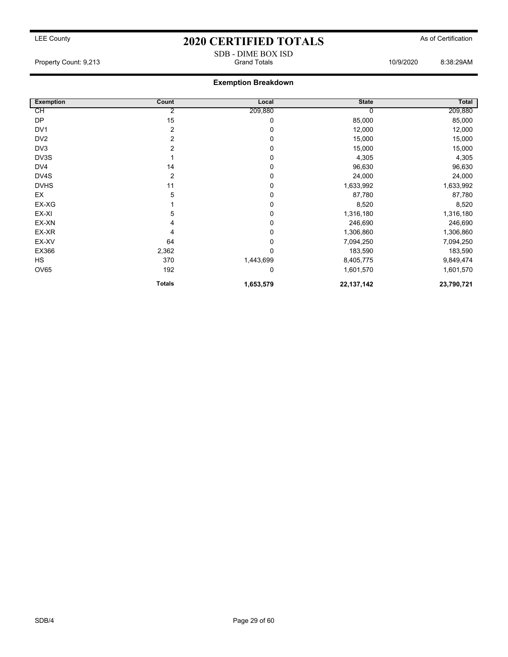### **Exemption Breakdown**

| <b>Exemption</b> | Count         | Local       | <b>State</b> | Total      |
|------------------|---------------|-------------|--------------|------------|
| CH               | 2             | 209,880     |              | 209,880    |
| <b>DP</b>        | 15            | 0           | 85,000       | 85,000     |
| DV1              | 2             | 0           | 12,000       | 12,000     |
| DV <sub>2</sub>  | 2             | 0           | 15,000       | 15,000     |
| DV3              | 2             | 0           | 15,000       | 15,000     |
| DV3S             |               | 0           | 4,305        | 4,305      |
| DV4              | 14            | 0           | 96,630       | 96,630     |
| DV4S             | 2             | 0           | 24,000       | 24,000     |
| <b>DVHS</b>      | 11            | 0           | 1,633,992    | 1,633,992  |
| EX               | 5             | 0           | 87,780       | 87,780     |
| EX-XG            |               | 0           | 8,520        | 8,520      |
| EX-XI            | 5             | 0           | 1,316,180    | 1,316,180  |
| EX-XN            |               | 0           | 246,690      | 246,690    |
| EX-XR            | 4             | 0           | 1,306,860    | 1,306,860  |
| EX-XV            | 64            | 0           | 7,094,250    | 7,094,250  |
| EX366            | 2,362         | $\mathbf 0$ | 183,590      | 183,590    |
| <b>HS</b>        | 370           | 1,443,699   | 8,405,775    | 9,849,474  |
| <b>OV65</b>      | 192           | 0           | 1,601,570    | 1,601,570  |
|                  | <b>Totals</b> | 1,653,579   | 22, 137, 142 | 23,790,721 |

SDB - DIME BOX ISD Property Count: 9,213 Grand Totals 10/9/2020 8:38:29AM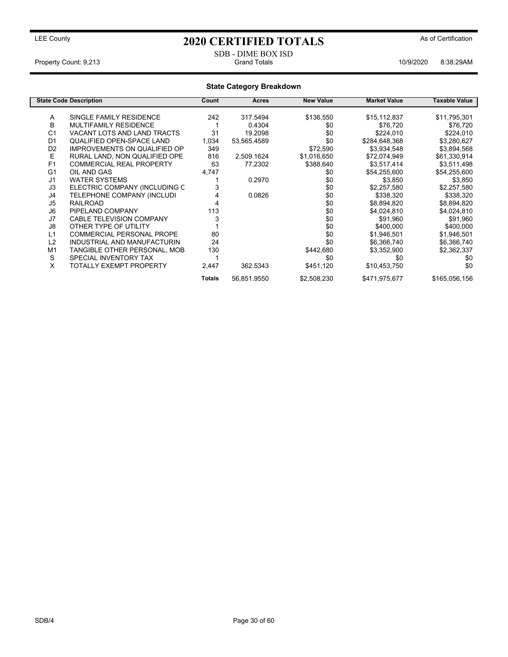### SDB - DIME BOX ISD Property Count: 9,213 **Accord Property Count: 9,213** Crand Totals **10/9/2020** 8:38:29AM

|                |                                     |               | <b>State Category Breakdown</b> |                  |                     |                      |
|----------------|-------------------------------------|---------------|---------------------------------|------------------|---------------------|----------------------|
|                | <b>State Code Description</b>       | Count         | Acres                           | <b>New Value</b> | <b>Market Value</b> | <b>Taxable Value</b> |
| A              | SINGLE FAMILY RESIDENCE             | 242           | 317.5494                        | \$136,550        | \$15,112,837        | \$11,795,301         |
| B              | <b>MULTIFAMILY RESIDENCE</b>        |               | 0.4304                          | \$0              | \$76,720            | \$76,720             |
| C <sub>1</sub> | VACANT LOTS AND LAND TRACTS         | 31            | 19.2098                         | \$0              | \$224,010           | \$224,010            |
| D <sub>1</sub> | QUALIFIED OPEN-SPACE LAND           | 1,034         | 53,565.4589                     | \$0              | \$284,648,368       | \$3,280,627          |
| D <sub>2</sub> | <b>IMPROVEMENTS ON QUALIFIED OP</b> | 349           |                                 | \$72,590         | \$3,934,548         | \$3,894,568          |
| Ε              | RURAL LAND, NON QUALIFIED OPE       | 816           | 2,509.1624                      | \$1,016,650      | \$72,074,949        | \$61,330,914         |
| F <sub>1</sub> | <b>COMMERCIAL REAL PROPERTY</b>     | 63            | 77.2302                         | \$388,640        | \$3,517,414         | \$3,511,498          |
| G <sub>1</sub> | OIL AND GAS                         | 4,747         |                                 | \$0              | \$54,255,600        | \$54,255,600         |
| J <sub>1</sub> | <b>WATER SYSTEMS</b>                |               | 0.2970                          | \$0              | \$3,850             | \$3,850              |
| J3             | ELECTRIC COMPANY (INCLUDING C       |               |                                 | \$0              | \$2,257,580         | \$2,257,580          |
| J4             | TELEPHONE COMPANY (INCLUDI          |               | 0.0826                          | \$0              | \$338,320           | \$338,320            |
| J <sub>5</sub> | <b>RAILROAD</b>                     |               |                                 | \$0              | \$8,894,820         | \$8,894,820          |
| J <sub>6</sub> | PIPELAND COMPANY                    | 113           |                                 | \$0              | \$4,024,810         | \$4,024,810          |
| J7             | <b>CABLE TELEVISION COMPANY</b>     | 3             |                                 | \$0              | \$91,960            | \$91,960             |
| J8             | OTHER TYPE OF UTILITY               |               |                                 | \$0              | \$400,000           | \$400,000            |
| L1             | <b>COMMERCIAL PERSONAL PROPE</b>    | 80            |                                 | \$0              | \$1,946,501         | \$1,946,501          |
| L2             | INDUSTRIAL AND MANUFACTURIN         | 24            |                                 | \$0              | \$6,366,740         | \$6,366,740          |
| M <sub>1</sub> | TANGIBLE OTHER PERSONAL, MOB        | 130           |                                 | \$442,680        | \$3,352,900         | \$2,362,337          |
| S              | SPECIAL INVENTORY TAX               |               |                                 | \$0              | \$0                 | \$0                  |
| X              | <b>TOTALLY EXEMPT PROPERTY</b>      | 2,447         | 362.5343                        | \$451,120        | \$10,453,750        | \$0                  |
|                |                                     | <b>Totals</b> | 56,851.9550                     | \$2,508,230      | \$471,975,677       | \$165,056,156        |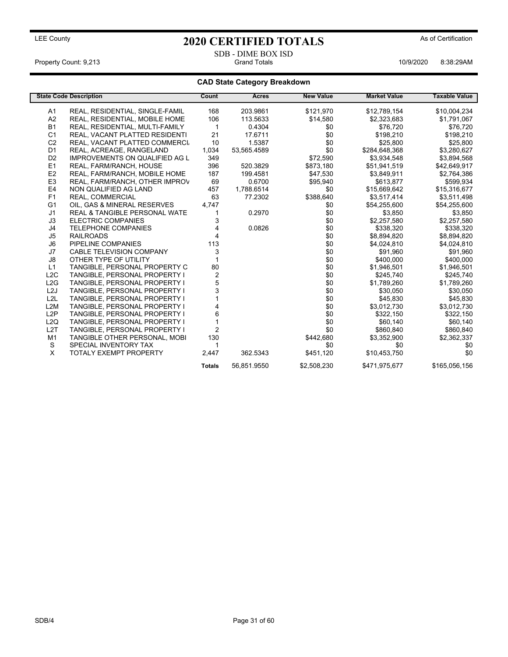SDB - DIME BOX ISD<br>Grand Totals Property Count: 9,213 **Accord Property Count: 9,213** Crand Totals **10/9/2020** 8:38:29AM

### **CAD State Category Breakdown**

|                  | <b>State Code Description</b>            | <b>Count</b>     | <b>Acres</b> | <b>New Value</b> | <b>Market Value</b> | <b>Taxable Value</b> |
|------------------|------------------------------------------|------------------|--------------|------------------|---------------------|----------------------|
| A <sub>1</sub>   | REAL, RESIDENTIAL, SINGLE-FAMIL          | 168              | 203.9861     | \$121,970        | \$12,789,154        | \$10,004,234         |
| A <sub>2</sub>   | REAL, RESIDENTIAL, MOBILE HOME           | 106              | 113.5633     | \$14,580         | \$2,323,683         | \$1,791,067          |
| <b>B1</b>        | REAL, RESIDENTIAL, MULTI-FAMILY          | 1                | 0.4304       | \$0              | \$76.720            | \$76,720             |
| C <sub>1</sub>   | REAL, VACANT PLATTED RESIDENTI           | 21               | 17.6711      | \$0              | \$198,210           | \$198,210            |
| C <sub>2</sub>   | REAL, VACANT PLATTED COMMERCI            | 10               | 1.5387       | \$0              | \$25,800            | \$25,800             |
| D <sub>1</sub>   | REAL, ACREAGE, RANGELAND                 | 1,034            | 53,565.4589  | \$0              | \$284,648,368       | \$3,280,627          |
| D <sub>2</sub>   | <b>IMPROVEMENTS ON QUALIFIED AG L</b>    | 349              |              | \$72,590         | \$3,934,548         | \$3,894,568          |
| E1               | REAL, FARM/RANCH, HOUSE                  | 396              | 520.3829     | \$873,180        | \$51,941,519        | \$42,649,917         |
| E <sub>2</sub>   | REAL, FARM/RANCH, MOBILE HOME            | 187              | 199.4581     | \$47,530         | \$3,849,911         | \$2,764,386          |
| E <sub>3</sub>   | REAL, FARM/RANCH, OTHER IMPROV           | 69               | 0.6700       | \$95,940         | \$613,877           | \$599,934            |
| E <sub>4</sub>   | NON QUALIFIED AG LAND                    | 457              | 1,788.6514   | \$0              | \$15,669,642        | \$15,316,677         |
| F1               | REAL, COMMERCIAL                         | 63               | 77.2302      | \$388,640        | \$3,517,414         | \$3,511,498          |
| G <sub>1</sub>   | OIL, GAS & MINERAL RESERVES              | 4,747            |              | \$0              | \$54,255,600        | \$54,255,600         |
| J1               | <b>REAL &amp; TANGIBLE PERSONAL WATE</b> |                  | 0.2970       | \$0              | \$3,850             | \$3,850              |
| J3               | <b>ELECTRIC COMPANIES</b>                | 3                |              | \$0              | \$2,257,580         | \$2,257,580          |
| J <sub>4</sub>   | TELEPHONE COMPANIES                      | 4                | 0.0826       | \$0              | \$338,320           | \$338,320            |
| J <sub>5</sub>   | <b>RAILROADS</b>                         | 4                |              | \$0              | \$8,894,820         | \$8,894,820          |
| J <sub>6</sub>   | PIPELINE COMPANIES                       | 113              |              | \$0              | \$4,024,810         | \$4,024,810          |
| J7               | <b>CABLE TELEVISION COMPANY</b>          | 3                |              | \$0              | \$91,960            | \$91,960             |
| J8               | OTHER TYPE OF UTILITY                    |                  |              | \$0              | \$400,000           | \$400,000            |
| L1               | TANGIBLE, PERSONAL PROPERTY C            | 80               |              | \$0              | \$1,946,501         | \$1,946,501          |
| L2C              | TANGIBLE, PERSONAL PROPERTY I            | $\boldsymbol{2}$ |              | \$0              | \$245,740           | \$245,740            |
| L2G              | TANGIBLE, PERSONAL PROPERTY I            | 5                |              | \$0              | \$1,789,260         | \$1,789,260          |
| L2J              | TANGIBLE, PERSONAL PROPERTY I            | 3                |              | \$0              | \$30,050            | \$30,050             |
| L2L              | TANGIBLE, PERSONAL PROPERTY I            |                  |              | \$0              | \$45,830            | \$45,830             |
| L <sub>2</sub> M | TANGIBLE, PERSONAL PROPERTY I            |                  |              | \$0              | \$3,012,730         | \$3,012,730          |
| L2P              | <b>TANGIBLE, PERSONAL PROPERTY I</b>     | 6                |              | \$0              | \$322,150           | \$322,150            |
| L2Q              | TANGIBLE, PERSONAL PROPERTY I            |                  |              | \$0              | \$60,140            | \$60,140             |
| L <sub>2</sub> T | TANGIBLE, PERSONAL PROPERTY I            | $\overline{2}$   |              | \$0              | \$860,840           | \$860,840            |
| M <sub>1</sub>   | TANGIBLE OTHER PERSONAL, MOBI            | 130              |              | \$442,680        | \$3,352,900         | \$2,362,337          |
| S                | SPECIAL INVENTORY TAX                    |                  |              | \$0              | \$0                 | \$0                  |
| X                | <b>TOTALY EXEMPT PROPERTY</b>            | 2,447            | 362.5343     | \$451,120        | \$10,453,750        | \$0                  |
|                  |                                          | <b>Totals</b>    | 56,851.9550  | \$2,508,230      | \$471,975,677       | \$165,056,156        |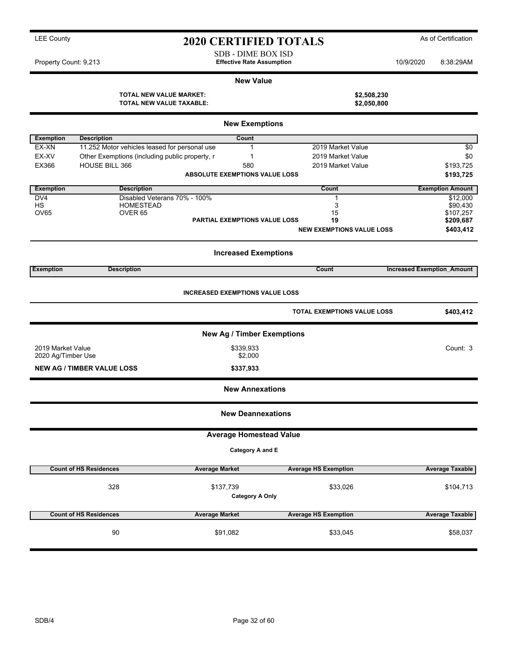| <b>LEE County</b>     |                                                                   | <b>2020 CERTIFIED TOTALS</b>                           |                            |           | As of Certification     |
|-----------------------|-------------------------------------------------------------------|--------------------------------------------------------|----------------------------|-----------|-------------------------|
| Property Count: 9,213 |                                                                   | SDB - DIME BOX ISD<br><b>Effective Rate Assumption</b> |                            | 10/9/2020 | 8:38:29AM               |
|                       |                                                                   | <b>New Value</b>                                       |                            |           |                         |
|                       | <b>TOTAL NEW VALUE MARKET:</b><br><b>TOTAL NEW VALUE TAXABLE:</b> |                                                        | \$2,508,230<br>\$2,050,800 |           |                         |
|                       |                                                                   |                                                        |                            |           |                         |
|                       |                                                                   | <b>New Exemptions</b>                                  |                            |           |                         |
| <b>Exemption</b>      | <b>Description</b>                                                | Count                                                  |                            |           |                         |
| EX-XN                 | 11.252 Motor vehicles leased for personal use                     |                                                        | 2019 Market Value          |           | \$0                     |
| EX-XV                 | Other Exemptions (including public property, r                    |                                                        | 2019 Market Value          |           | \$0                     |
| EX366                 | <b>HOUSE BILL 366</b>                                             | 580                                                    | 2019 Market Value          |           | \$193,725               |
|                       |                                                                   | <b>ABSOLUTE EXEMPTIONS VALUE LOSS</b>                  |                            |           | \$193,725               |
| <b>Exemption</b>      | <b>Description</b>                                                |                                                        | Count                      |           | <b>Exemption Amount</b> |

HS HOMESTEAD 3 \$90,430 OV65 OVER 65 15 \$107,257 **PARTIAL EXEMPTIONS VALUE LOSS 19 19 \$209,687 NEW EXEMPTIONS VALUE LOSS \$403,412 Increased Exemptions Exemption Description Count Increased Exemption\_Amount INCREASED EXEMPTIONS VALUE LOSS TOTAL EXEMPTIONS VALUE LOSS \$403,412 New Ag / Timber Exemptions** 2019 Market Value \$339,933 Count: 3 2020 Ag/Timber Use **NEW AG / TIMBER VALUE LOSS \$337,933 New Annexations New Deannexations Average Homestead Value Category A and E Count of HS Residences Average Market Average HS Exemption Average Taxable**

| 328                           | \$137,739             | \$33,026<br><b>Category A Only</b> | \$104,713              |
|-------------------------------|-----------------------|------------------------------------|------------------------|
| <b>Count of HS Residences</b> | <b>Average Market</b> | <b>Average HS Exemption</b>        | <b>Average Taxable</b> |
| 90                            | \$91,082              | \$33,045                           | \$58,037               |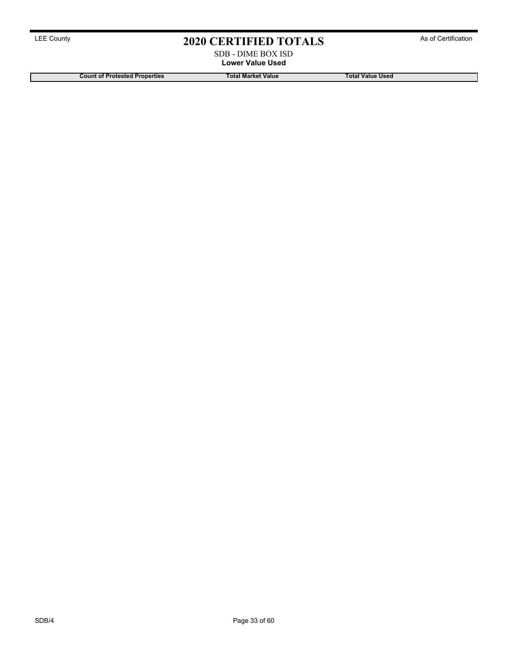### SDB - DIME BOX ISD **Lower Value Used**

**Count of Protested Properties Total Market Value Total Value Used**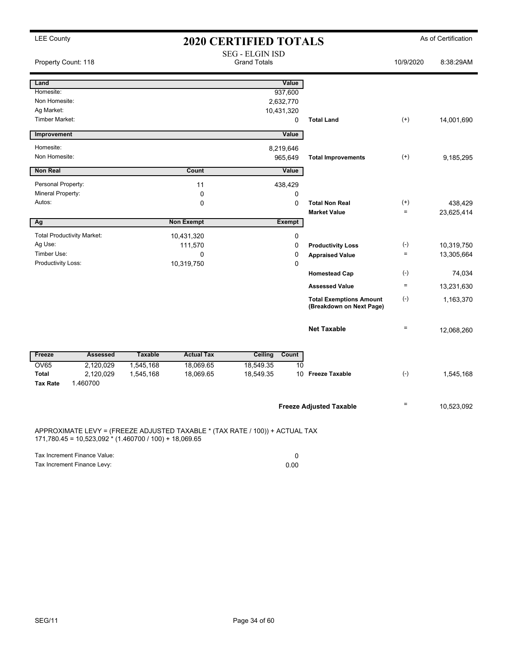| <b>LEE County</b>               |                                                          |                |                                                                              | <b>2020 CERTIFIED TOTALS</b>                  |                          |                                                            |                      | As of Certification   |
|---------------------------------|----------------------------------------------------------|----------------|------------------------------------------------------------------------------|-----------------------------------------------|--------------------------|------------------------------------------------------------|----------------------|-----------------------|
| Property Count: 118             |                                                          |                |                                                                              | <b>SEG - ELGIN ISD</b><br><b>Grand Totals</b> |                          |                                                            | 10/9/2020            | 8:38:29AM             |
| Land                            |                                                          |                |                                                                              |                                               | Value                    |                                                            |                      |                       |
| Homesite:                       |                                                          |                |                                                                              |                                               | 937,600                  |                                                            |                      |                       |
| Non Homesite:                   |                                                          |                |                                                                              |                                               | 2,632,770                |                                                            |                      |                       |
| Ag Market:                      |                                                          |                |                                                                              |                                               | 10,431,320               |                                                            |                      |                       |
| <b>Timber Market:</b>           |                                                          |                |                                                                              |                                               | 0                        | <b>Total Land</b>                                          | $^{(+)}$             | 14,001,690            |
| Improvement                     |                                                          |                |                                                                              |                                               | Value                    |                                                            |                      |                       |
| Homesite:                       |                                                          |                |                                                                              |                                               | 8,219,646                |                                                            |                      |                       |
| Non Homesite:                   |                                                          |                |                                                                              |                                               | 965,649                  | <b>Total Improvements</b>                                  | $^{(+)}$             | 9,185,295             |
| <b>Non Real</b>                 |                                                          |                | Count                                                                        |                                               | Value                    |                                                            |                      |                       |
|                                 |                                                          |                |                                                                              |                                               |                          |                                                            |                      |                       |
| Personal Property:              |                                                          |                | 11                                                                           |                                               | 438,429                  |                                                            |                      |                       |
| Mineral Property:<br>Autos:     |                                                          |                | $\mathbf 0$                                                                  |                                               | $\mathbf 0$              |                                                            |                      |                       |
|                                 |                                                          |                | $\mathbf 0$                                                                  |                                               | $\mathbf 0$              | <b>Total Non Real</b><br><b>Market Value</b>               | $^{(+)}$<br>$\equiv$ | 438,429<br>23,625,414 |
| Ag                              |                                                          |                | <b>Non Exempt</b>                                                            |                                               | <b>Exempt</b>            |                                                            |                      |                       |
|                                 |                                                          |                |                                                                              |                                               |                          |                                                            |                      |                       |
| Ag Use:                         | <b>Total Productivity Market:</b>                        |                | 10,431,320<br>111,570                                                        |                                               | $\mathbf 0$<br>$\pmb{0}$ | <b>Productivity Loss</b>                                   | $(\text{-})$         | 10,319,750            |
| Timber Use:                     |                                                          |                | 0                                                                            |                                               | 0                        | <b>Appraised Value</b>                                     | $\equiv$             | 13,305,664            |
| Productivity Loss:              |                                                          |                | 10,319,750                                                                   |                                               | $\mathbf 0$              |                                                            |                      |                       |
|                                 |                                                          |                |                                                                              |                                               |                          | <b>Homestead Cap</b>                                       | $(\text{-})$         | 74,034                |
|                                 |                                                          |                |                                                                              |                                               |                          | <b>Assessed Value</b>                                      | $\quad \  \  =$      | 13,231,630            |
|                                 |                                                          |                |                                                                              |                                               |                          | <b>Total Exemptions Amount</b><br>(Breakdown on Next Page) | $(\text{-})$         | 1,163,370             |
|                                 |                                                          |                |                                                                              |                                               |                          | <b>Net Taxable</b>                                         | $\equiv$             | 12,068,260            |
| Freeze                          | <b>Assessed</b>                                          | <b>Taxable</b> | <b>Actual Tax</b>                                                            | Ceiling                                       | Count                    |                                                            |                      |                       |
| <b>OV65</b>                     | 2,120,029                                                | 1,545,168      | 18,069.65                                                                    | 18,549.35                                     | 10                       |                                                            |                      |                       |
| <b>Total</b><br><b>Tax Rate</b> | 2,120,029<br>1.460700                                    | 1,545,168      | 18,069.65                                                                    | 18,549.35                                     |                          | 10 Freeze Taxable                                          | $(-)$                | 1,545,168             |
|                                 |                                                          |                |                                                                              |                                               |                          | <b>Freeze Adjusted Taxable</b>                             | Ξ                    | 10,523,092            |
|                                 | $171,780.45 = 10,523,092 * (1.460700 / 100) + 18,069.65$ |                | APPROXIMATE LEVY = (FREEZE ADJUSTED TAXABLE * (TAX RATE / 100)) + ACTUAL TAX |                                               |                          |                                                            |                      |                       |
|                                 | Tax Increment Finance Value:                             |                |                                                                              |                                               | $\mathbf 0$              |                                                            |                      |                       |

Tax Increment Finance Levy: 0.00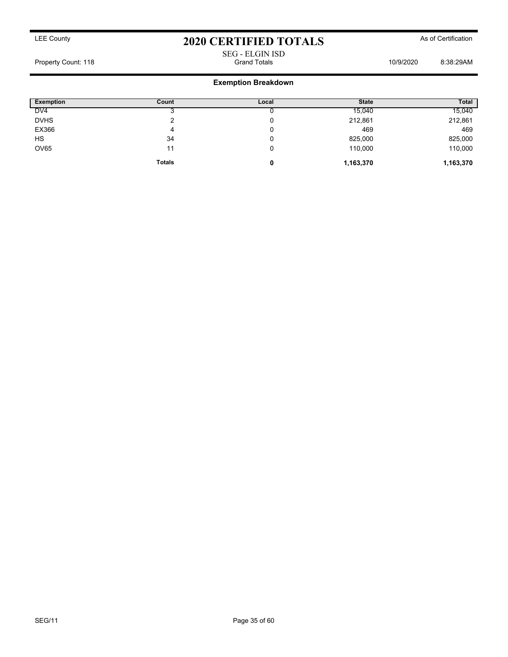### SEG - ELGIN ISD Property Count: 118 **Property Count: 118** Crand Totals **10/9/2020** 8:38:29AM

### **Exemption Breakdown**

| <b>Exemption</b> | Count         | Local | <b>State</b> | <b>Total</b> |
|------------------|---------------|-------|--------------|--------------|
| DV <sub>4</sub>  |               |       | 15,040       | 15,040       |
| <b>DVHS</b>      | ົ             | v     | 212,861      | 212,861      |
| EX366            | 4             | v     | 469          | 469          |
| <b>HS</b>        | 34            | v     | 825,000      | 825,000      |
| OV65             | 11            | v     | 110,000      | 110,000      |
|                  | <b>Totals</b> | 0     | 1,163,370    | 1,163,370    |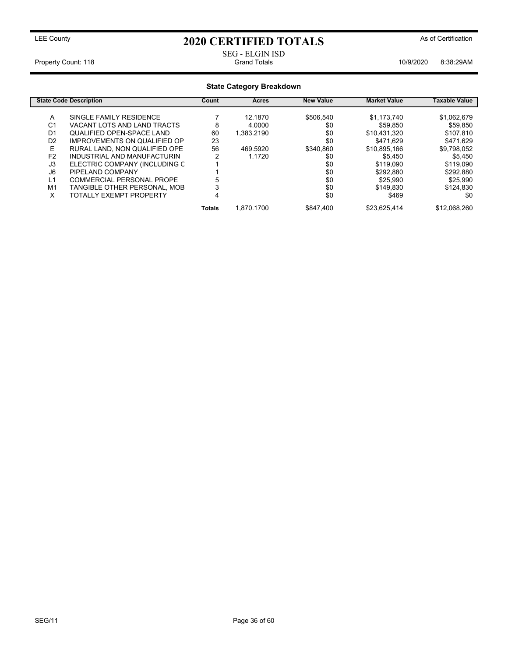# SEG - ELGIN ISD

Property Count: 118 **Property Count: 118** Crand Totals **10/9/2020** 8:38:29AM

|                | <b>State Category Breakdown</b>  |        |            |                  |                     |                      |  |  |  |  |
|----------------|----------------------------------|--------|------------|------------------|---------------------|----------------------|--|--|--|--|
|                | <b>State Code Description</b>    | Count  | Acres      | <b>New Value</b> | <b>Market Value</b> | <b>Taxable Value</b> |  |  |  |  |
| A              | SINGLE FAMILY RESIDENCE          |        | 12.1870    | \$506.540        | \$1,173,740         | \$1,062,679          |  |  |  |  |
| C <sub>1</sub> | VACANT LOTS AND LAND TRACTS      | 8      | 4.0000     | \$0              | \$59,850            | \$59,850             |  |  |  |  |
| D <sub>1</sub> | <b>QUALIFIED OPEN-SPACE LAND</b> | 60     | 1.383.2190 | \$0              | \$10,431,320        | \$107.810            |  |  |  |  |
| D <sub>2</sub> | IMPROVEMENTS ON QUALIFIED OP     | 23     |            | \$0              | \$471.629           | \$471.629            |  |  |  |  |
| E              | RURAL LAND, NON QUALIFIED OPE    | 56     | 469.5920   | \$340.860        | \$10,895,166        | \$9,798,052          |  |  |  |  |
| F <sub>2</sub> | INDUSTRIAL AND MANUFACTURIN      | 2      | 1.1720     | \$0              | \$5.450             | \$5.450              |  |  |  |  |
| J3             | ELECTRIC COMPANY (INCLUDING C    |        |            | \$0              | \$119,090           | \$119,090            |  |  |  |  |
| J6             | PIPELAND COMPANY                 |        |            | \$0              | \$292,880           | \$292.880            |  |  |  |  |
| L1             | COMMERCIAL PERSONAL PROPE        |        |            | \$0              | \$25,990            | \$25,990             |  |  |  |  |
| M <sub>1</sub> | TANGIBLE OTHER PERSONAL, MOB     |        |            | \$0              | \$149.830           | \$124.830            |  |  |  |  |
| X              | TOTALLY EXEMPT PROPERTY          | 4      |            | \$0              | \$469               | \$0                  |  |  |  |  |
|                |                                  | Totals | 1.870.1700 | \$847.400        | \$23,625,414        | \$12,068,260         |  |  |  |  |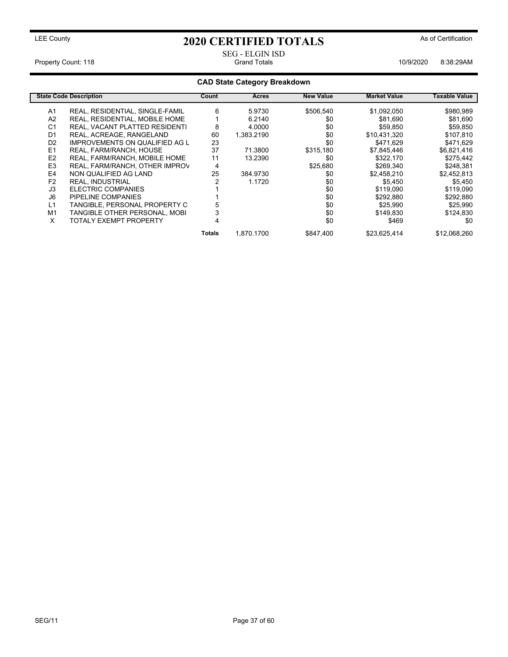# SEG - ELGIN ISD

Property Count: 118 **Property Count: 118** Crand Totals **10/9/2020** 8:38:29AM

### **CAD State Category Breakdown**

|                | <b>State Code Description</b>         | Count  | Acres      | <b>New Value</b> | <b>Market Value</b> | Taxable Value |
|----------------|---------------------------------------|--------|------------|------------------|---------------------|---------------|
| A1             | REAL, RESIDENTIAL, SINGLE-FAMIL       | 6      | 5.9730     | \$506.540        | \$1,092,050         | \$980,989     |
| A <sub>2</sub> | REAL, RESIDENTIAL, MOBILE HOME        |        | 6.2140     | \$0              | \$81,690            | \$81,690      |
| C <sub>1</sub> | REAL, VACANT PLATTED RESIDENTI        | 8      | 4.0000     | \$0              | \$59.850            | \$59,850      |
| D <sub>1</sub> | REAL, ACREAGE, RANGELAND              | 60     | 1,383.2190 | \$0              | \$10,431,320        | \$107,810     |
| D <sub>2</sub> | <b>IMPROVEMENTS ON QUALIFIED AG L</b> | 23     |            | \$0              | \$471.629           | \$471,629     |
| E <sub>1</sub> | REAL, FARM/RANCH, HOUSE               | 37     | 71.3800    | \$315,180        | \$7,845,446         | \$6,821,416   |
| E <sub>2</sub> | REAL, FARM/RANCH, MOBILE HOME         | 11     | 13.2390    | \$0              | \$322,170           | \$275,442     |
| E <sub>3</sub> | REAL, FARM/RANCH, OTHER IMPROV        | 4      |            | \$25,680         | \$269.340           | \$248.381     |
| E4             | NON QUALIFIED AG LAND                 | 25     | 384.9730   | \$0              | \$2,458,210         | \$2,452,813   |
| F <sub>2</sub> | <b>REAL, INDUSTRIAL</b>               |        | 1.1720     | \$0              | \$5,450             | \$5,450       |
| J3             | ELECTRIC COMPANIES                    |        |            | \$0              | \$119,090           | \$119,090     |
| J6             | PIPELINE COMPANIES                    |        |            | \$0              | \$292,880           | \$292,880     |
| L1             | TANGIBLE, PERSONAL PROPERTY C         |        |            | \$0              | \$25.990            | \$25,990      |
| M1             | TANGIBLE OTHER PERSONAL, MOBI         |        |            | \$0              | \$149,830           | \$124,830     |
| X              | <b>TOTALY EXEMPT PROPERTY</b>         |        |            | \$0              | \$469               | \$0           |
|                |                                       | Totals | 1.870.1700 | \$847.400        | \$23,625,414        | \$12,068,260  |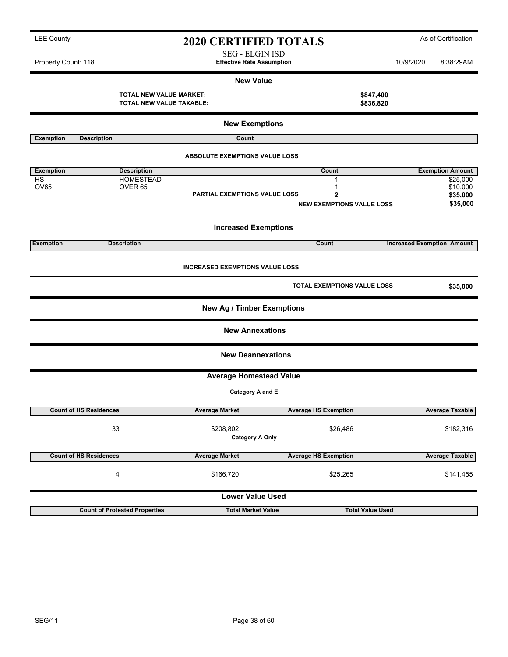| <b>TOTAL NEW VALUE MARKET:</b><br><b>TOTAL NEW VALUE TAXABLE:</b> |                                        |                                        |  |                                  | \$847,400<br>\$836,820            |  |  |  |  |
|-------------------------------------------------------------------|----------------------------------------|----------------------------------------|--|----------------------------------|-----------------------------------|--|--|--|--|
|                                                                   | <b>New Exemptions</b>                  |                                        |  |                                  |                                   |  |  |  |  |
| <b>Exemption</b>                                                  | <b>Description</b>                     | Count                                  |  |                                  |                                   |  |  |  |  |
|                                                                   |                                        | <b>ABSOLUTE EXEMPTIONS VALUE LOSS</b>  |  |                                  |                                   |  |  |  |  |
| <b>Exemption</b>                                                  | <b>Description</b>                     |                                        |  | Count                            | <b>Exemption Amount</b>           |  |  |  |  |
| <b>HS</b><br><b>OV65</b>                                          | <b>HOMESTEAD</b><br>OVER <sub>65</sub> |                                        |  | $\mathbf{1}$<br>1                | \$25,000<br>\$10,000              |  |  |  |  |
|                                                                   |                                        | PARTIAL EXEMPTIONS VALUE LOSS          |  | 2                                | \$35,000                          |  |  |  |  |
|                                                                   |                                        |                                        |  | <b>NEW EXEMPTIONS VALUE LOSS</b> | \$35,000                          |  |  |  |  |
|                                                                   |                                        | <b>Increased Exemptions</b>            |  |                                  |                                   |  |  |  |  |
| <b>Exemption</b>                                                  | <b>Description</b>                     |                                        |  | Count                            | <b>Increased Exemption Amount</b> |  |  |  |  |
|                                                                   |                                        | <b>INCREASED EXEMPTIONS VALUE LOSS</b> |  |                                  |                                   |  |  |  |  |
|                                                                   |                                        |                                        |  | TOTAL EXEMPTIONS VALUE LOSS      | \$35,000                          |  |  |  |  |
|                                                                   |                                        | <b>New Ag / Timber Exemptions</b>      |  |                                  |                                   |  |  |  |  |
|                                                                   |                                        | <b>New Annexations</b>                 |  |                                  |                                   |  |  |  |  |
|                                                                   |                                        | <b>New Deannexations</b>               |  |                                  |                                   |  |  |  |  |
|                                                                   |                                        | <b>Average Homestead Value</b>         |  |                                  |                                   |  |  |  |  |
|                                                                   |                                        | Category A and E                       |  |                                  |                                   |  |  |  |  |
|                                                                   | <b>Count of HS Residences</b>          | <b>Average Market</b>                  |  | <b>Average HS Exemption</b>      | <b>Average Taxable</b>            |  |  |  |  |
|                                                                   | 33                                     | \$208,802<br><b>Category A Only</b>    |  | \$26,486                         | \$182,316                         |  |  |  |  |
|                                                                   | <b>Count of HS Residences</b>          | <b>Average Market</b>                  |  | <b>Average HS Exemption</b>      | <b>Average Taxable</b>            |  |  |  |  |
|                                                                   | 4                                      | \$166,720                              |  | \$25,265                         | \$141,455                         |  |  |  |  |
|                                                                   |                                        | <b>Lower Value Used</b>                |  |                                  |                                   |  |  |  |  |

### LEE County **2020 CERTIFIED TOTALS** As of Certification SEG - ELGIN ISD

**New Value**

Property Count: 118 **Effective Rate Assumption Effective Rate Assumption** 10/9/2020 8:38:29AM

**Count of Protested Properties Total Market Value Total Value Used**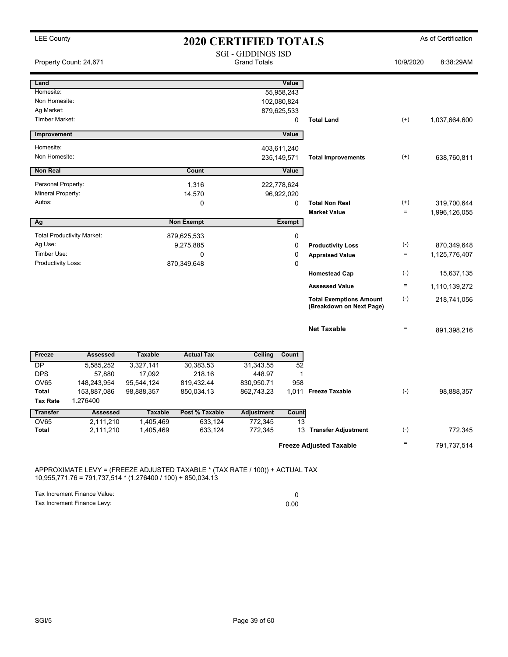| <b>SGI - GIDDINGS ISD</b><br><b>Grand Totals</b><br>Property Count: 24,671<br>10/9/2020<br>Land<br>Value<br>Homesite:<br>55,958,243<br>Non Homesite:<br>102,080,824<br>Ag Market:<br>879,625,533<br>Timber Market:<br>$^{(+)}$<br>0<br><b>Total Land</b><br>1,037,664,600<br>Improvement<br>Value<br>Homesite:<br>403,611,240<br>Non Homesite:<br>$^{(+)}$<br>235, 149, 571<br>638,760,811<br><b>Total Improvements</b><br><b>Non Real</b><br>Count<br>Value<br>Personal Property:<br>1,316<br>222,778,624<br>Mineral Property:<br>14,570<br>96,922,020<br>Autos:<br>$^{(+)}$<br>0<br>0<br><b>Total Non Real</b><br>319,700,644<br>$\quad =$<br><b>Market Value</b><br>1,996,126,055<br>Ag<br><b>Non Exempt</b><br>Exempt<br><b>Total Productivity Market:</b><br>879,625,533<br>0<br>Ag Use:<br>9,275,885<br>0<br>$(\textnormal{-})$<br>870,349,648<br><b>Productivity Loss</b><br>Timber Use:<br>0<br>0<br>$\equiv$<br>1,125,776,407<br><b>Appraised Value</b><br>Productivity Loss:<br>870,349,648<br>0<br>$(\cdot)$<br><b>Homestead Cap</b><br><b>Assessed Value</b><br>$\equiv$<br>1,110,139,272<br>$(-)$<br><b>Total Exemptions Amount</b><br>218,741,056<br>(Breakdown on Next Page)<br><b>Net Taxable</b><br>$\equiv$<br><b>Assessed</b><br><b>Taxable</b><br><b>Actual Tax</b><br><b>Ceiling</b><br>Count<br>Freeze<br>DP<br>5,585,252<br>3,327,141<br>30,383.53<br>31,343.55<br>52<br><b>DPS</b><br>17,092<br>218.16<br>448.97<br>57,880<br>1<br><b>OV65</b><br>819,432.44<br>830,950.71<br>958<br>148,243,954<br>95,544,124<br>$(\text{-})$<br>Total<br>153,887,086<br>98,888,357<br>850,034.13<br>862,743.23<br>1,011 Freeze Taxable<br>98,888,357<br>1.276400<br>Tax Rate<br><b>Adjustment</b><br><b>Transfer</b><br><b>Assessed</b><br><b>Taxable</b><br>Post % Taxable<br>Count<br>OV65<br>2,111,210<br>1,405,469<br>633,124<br>772,345<br>13<br>$(\text{-})$<br>Total<br>2,111,210<br>633,124<br>772,345<br>13 Transfer Adjustment<br>1,405,469<br>Ξ<br><b>Freeze Adjusted Taxable</b> | <b>LEE County</b> | <b>2020 CERTIFIED TOTALS</b> |  |  |  |  |  | As of Certification |
|--------------------------------------------------------------------------------------------------------------------------------------------------------------------------------------------------------------------------------------------------------------------------------------------------------------------------------------------------------------------------------------------------------------------------------------------------------------------------------------------------------------------------------------------------------------------------------------------------------------------------------------------------------------------------------------------------------------------------------------------------------------------------------------------------------------------------------------------------------------------------------------------------------------------------------------------------------------------------------------------------------------------------------------------------------------------------------------------------------------------------------------------------------------------------------------------------------------------------------------------------------------------------------------------------------------------------------------------------------------------------------------------------------------------------------------------------------------------------------------------------------------------------------------------------------------------------------------------------------------------------------------------------------------------------------------------------------------------------------------------------------------------------------------------------------------------------------------------------------------------------------------------------------------------------------------------------------------------------------------------------------|-------------------|------------------------------|--|--|--|--|--|---------------------|
|                                                                                                                                                                                                                                                                                                                                                                                                                                                                                                                                                                                                                                                                                                                                                                                                                                                                                                                                                                                                                                                                                                                                                                                                                                                                                                                                                                                                                                                                                                                                                                                                                                                                                                                                                                                                                                                                                                                                                                                                        |                   |                              |  |  |  |  |  | 8:38:29AM           |
|                                                                                                                                                                                                                                                                                                                                                                                                                                                                                                                                                                                                                                                                                                                                                                                                                                                                                                                                                                                                                                                                                                                                                                                                                                                                                                                                                                                                                                                                                                                                                                                                                                                                                                                                                                                                                                                                                                                                                                                                        |                   |                              |  |  |  |  |  |                     |
|                                                                                                                                                                                                                                                                                                                                                                                                                                                                                                                                                                                                                                                                                                                                                                                                                                                                                                                                                                                                                                                                                                                                                                                                                                                                                                                                                                                                                                                                                                                                                                                                                                                                                                                                                                                                                                                                                                                                                                                                        |                   |                              |  |  |  |  |  |                     |
|                                                                                                                                                                                                                                                                                                                                                                                                                                                                                                                                                                                                                                                                                                                                                                                                                                                                                                                                                                                                                                                                                                                                                                                                                                                                                                                                                                                                                                                                                                                                                                                                                                                                                                                                                                                                                                                                                                                                                                                                        |                   |                              |  |  |  |  |  |                     |
|                                                                                                                                                                                                                                                                                                                                                                                                                                                                                                                                                                                                                                                                                                                                                                                                                                                                                                                                                                                                                                                                                                                                                                                                                                                                                                                                                                                                                                                                                                                                                                                                                                                                                                                                                                                                                                                                                                                                                                                                        |                   |                              |  |  |  |  |  |                     |
|                                                                                                                                                                                                                                                                                                                                                                                                                                                                                                                                                                                                                                                                                                                                                                                                                                                                                                                                                                                                                                                                                                                                                                                                                                                                                                                                                                                                                                                                                                                                                                                                                                                                                                                                                                                                                                                                                                                                                                                                        |                   |                              |  |  |  |  |  |                     |
|                                                                                                                                                                                                                                                                                                                                                                                                                                                                                                                                                                                                                                                                                                                                                                                                                                                                                                                                                                                                                                                                                                                                                                                                                                                                                                                                                                                                                                                                                                                                                                                                                                                                                                                                                                                                                                                                                                                                                                                                        |                   |                              |  |  |  |  |  |                     |
|                                                                                                                                                                                                                                                                                                                                                                                                                                                                                                                                                                                                                                                                                                                                                                                                                                                                                                                                                                                                                                                                                                                                                                                                                                                                                                                                                                                                                                                                                                                                                                                                                                                                                                                                                                                                                                                                                                                                                                                                        |                   |                              |  |  |  |  |  |                     |
|                                                                                                                                                                                                                                                                                                                                                                                                                                                                                                                                                                                                                                                                                                                                                                                                                                                                                                                                                                                                                                                                                                                                                                                                                                                                                                                                                                                                                                                                                                                                                                                                                                                                                                                                                                                                                                                                                                                                                                                                        |                   |                              |  |  |  |  |  |                     |
|                                                                                                                                                                                                                                                                                                                                                                                                                                                                                                                                                                                                                                                                                                                                                                                                                                                                                                                                                                                                                                                                                                                                                                                                                                                                                                                                                                                                                                                                                                                                                                                                                                                                                                                                                                                                                                                                                                                                                                                                        |                   |                              |  |  |  |  |  |                     |
|                                                                                                                                                                                                                                                                                                                                                                                                                                                                                                                                                                                                                                                                                                                                                                                                                                                                                                                                                                                                                                                                                                                                                                                                                                                                                                                                                                                                                                                                                                                                                                                                                                                                                                                                                                                                                                                                                                                                                                                                        |                   |                              |  |  |  |  |  |                     |
|                                                                                                                                                                                                                                                                                                                                                                                                                                                                                                                                                                                                                                                                                                                                                                                                                                                                                                                                                                                                                                                                                                                                                                                                                                                                                                                                                                                                                                                                                                                                                                                                                                                                                                                                                                                                                                                                                                                                                                                                        |                   |                              |  |  |  |  |  |                     |
|                                                                                                                                                                                                                                                                                                                                                                                                                                                                                                                                                                                                                                                                                                                                                                                                                                                                                                                                                                                                                                                                                                                                                                                                                                                                                                                                                                                                                                                                                                                                                                                                                                                                                                                                                                                                                                                                                                                                                                                                        |                   |                              |  |  |  |  |  |                     |
|                                                                                                                                                                                                                                                                                                                                                                                                                                                                                                                                                                                                                                                                                                                                                                                                                                                                                                                                                                                                                                                                                                                                                                                                                                                                                                                                                                                                                                                                                                                                                                                                                                                                                                                                                                                                                                                                                                                                                                                                        |                   |                              |  |  |  |  |  |                     |
|                                                                                                                                                                                                                                                                                                                                                                                                                                                                                                                                                                                                                                                                                                                                                                                                                                                                                                                                                                                                                                                                                                                                                                                                                                                                                                                                                                                                                                                                                                                                                                                                                                                                                                                                                                                                                                                                                                                                                                                                        |                   |                              |  |  |  |  |  |                     |
|                                                                                                                                                                                                                                                                                                                                                                                                                                                                                                                                                                                                                                                                                                                                                                                                                                                                                                                                                                                                                                                                                                                                                                                                                                                                                                                                                                                                                                                                                                                                                                                                                                                                                                                                                                                                                                                                                                                                                                                                        |                   |                              |  |  |  |  |  |                     |
|                                                                                                                                                                                                                                                                                                                                                                                                                                                                                                                                                                                                                                                                                                                                                                                                                                                                                                                                                                                                                                                                                                                                                                                                                                                                                                                                                                                                                                                                                                                                                                                                                                                                                                                                                                                                                                                                                                                                                                                                        |                   |                              |  |  |  |  |  |                     |
|                                                                                                                                                                                                                                                                                                                                                                                                                                                                                                                                                                                                                                                                                                                                                                                                                                                                                                                                                                                                                                                                                                                                                                                                                                                                                                                                                                                                                                                                                                                                                                                                                                                                                                                                                                                                                                                                                                                                                                                                        |                   |                              |  |  |  |  |  |                     |
|                                                                                                                                                                                                                                                                                                                                                                                                                                                                                                                                                                                                                                                                                                                                                                                                                                                                                                                                                                                                                                                                                                                                                                                                                                                                                                                                                                                                                                                                                                                                                                                                                                                                                                                                                                                                                                                                                                                                                                                                        |                   |                              |  |  |  |  |  | 15,637,135          |
|                                                                                                                                                                                                                                                                                                                                                                                                                                                                                                                                                                                                                                                                                                                                                                                                                                                                                                                                                                                                                                                                                                                                                                                                                                                                                                                                                                                                                                                                                                                                                                                                                                                                                                                                                                                                                                                                                                                                                                                                        |                   |                              |  |  |  |  |  |                     |
|                                                                                                                                                                                                                                                                                                                                                                                                                                                                                                                                                                                                                                                                                                                                                                                                                                                                                                                                                                                                                                                                                                                                                                                                                                                                                                                                                                                                                                                                                                                                                                                                                                                                                                                                                                                                                                                                                                                                                                                                        |                   |                              |  |  |  |  |  |                     |
|                                                                                                                                                                                                                                                                                                                                                                                                                                                                                                                                                                                                                                                                                                                                                                                                                                                                                                                                                                                                                                                                                                                                                                                                                                                                                                                                                                                                                                                                                                                                                                                                                                                                                                                                                                                                                                                                                                                                                                                                        |                   |                              |  |  |  |  |  |                     |
|                                                                                                                                                                                                                                                                                                                                                                                                                                                                                                                                                                                                                                                                                                                                                                                                                                                                                                                                                                                                                                                                                                                                                                                                                                                                                                                                                                                                                                                                                                                                                                                                                                                                                                                                                                                                                                                                                                                                                                                                        |                   |                              |  |  |  |  |  | 891,398,216         |
|                                                                                                                                                                                                                                                                                                                                                                                                                                                                                                                                                                                                                                                                                                                                                                                                                                                                                                                                                                                                                                                                                                                                                                                                                                                                                                                                                                                                                                                                                                                                                                                                                                                                                                                                                                                                                                                                                                                                                                                                        |                   |                              |  |  |  |  |  |                     |
|                                                                                                                                                                                                                                                                                                                                                                                                                                                                                                                                                                                                                                                                                                                                                                                                                                                                                                                                                                                                                                                                                                                                                                                                                                                                                                                                                                                                                                                                                                                                                                                                                                                                                                                                                                                                                                                                                                                                                                                                        |                   |                              |  |  |  |  |  |                     |
|                                                                                                                                                                                                                                                                                                                                                                                                                                                                                                                                                                                                                                                                                                                                                                                                                                                                                                                                                                                                                                                                                                                                                                                                                                                                                                                                                                                                                                                                                                                                                                                                                                                                                                                                                                                                                                                                                                                                                                                                        |                   |                              |  |  |  |  |  |                     |
|                                                                                                                                                                                                                                                                                                                                                                                                                                                                                                                                                                                                                                                                                                                                                                                                                                                                                                                                                                                                                                                                                                                                                                                                                                                                                                                                                                                                                                                                                                                                                                                                                                                                                                                                                                                                                                                                                                                                                                                                        |                   |                              |  |  |  |  |  |                     |
|                                                                                                                                                                                                                                                                                                                                                                                                                                                                                                                                                                                                                                                                                                                                                                                                                                                                                                                                                                                                                                                                                                                                                                                                                                                                                                                                                                                                                                                                                                                                                                                                                                                                                                                                                                                                                                                                                                                                                                                                        |                   |                              |  |  |  |  |  |                     |
|                                                                                                                                                                                                                                                                                                                                                                                                                                                                                                                                                                                                                                                                                                                                                                                                                                                                                                                                                                                                                                                                                                                                                                                                                                                                                                                                                                                                                                                                                                                                                                                                                                                                                                                                                                                                                                                                                                                                                                                                        |                   |                              |  |  |  |  |  |                     |
|                                                                                                                                                                                                                                                                                                                                                                                                                                                                                                                                                                                                                                                                                                                                                                                                                                                                                                                                                                                                                                                                                                                                                                                                                                                                                                                                                                                                                                                                                                                                                                                                                                                                                                                                                                                                                                                                                                                                                                                                        |                   |                              |  |  |  |  |  |                     |
|                                                                                                                                                                                                                                                                                                                                                                                                                                                                                                                                                                                                                                                                                                                                                                                                                                                                                                                                                                                                                                                                                                                                                                                                                                                                                                                                                                                                                                                                                                                                                                                                                                                                                                                                                                                                                                                                                                                                                                                                        |                   |                              |  |  |  |  |  |                     |
|                                                                                                                                                                                                                                                                                                                                                                                                                                                                                                                                                                                                                                                                                                                                                                                                                                                                                                                                                                                                                                                                                                                                                                                                                                                                                                                                                                                                                                                                                                                                                                                                                                                                                                                                                                                                                                                                                                                                                                                                        |                   |                              |  |  |  |  |  | 772,345             |
|                                                                                                                                                                                                                                                                                                                                                                                                                                                                                                                                                                                                                                                                                                                                                                                                                                                                                                                                                                                                                                                                                                                                                                                                                                                                                                                                                                                                                                                                                                                                                                                                                                                                                                                                                                                                                                                                                                                                                                                                        |                   |                              |  |  |  |  |  | 791,737,514         |
|                                                                                                                                                                                                                                                                                                                                                                                                                                                                                                                                                                                                                                                                                                                                                                                                                                                                                                                                                                                                                                                                                                                                                                                                                                                                                                                                                                                                                                                                                                                                                                                                                                                                                                                                                                                                                                                                                                                                                                                                        |                   |                              |  |  |  |  |  |                     |

APPROXIMATE LEVY = (FREEZE ADJUSTED TAXABLE \* (TAX RATE / 100)) + ACTUAL TAX 10,955,771.76 = 791,737,514 \* (1.276400 / 100) + 850,034.13

Tax Increment Finance Value: 0 Tax Increment Finance Levy: 0.00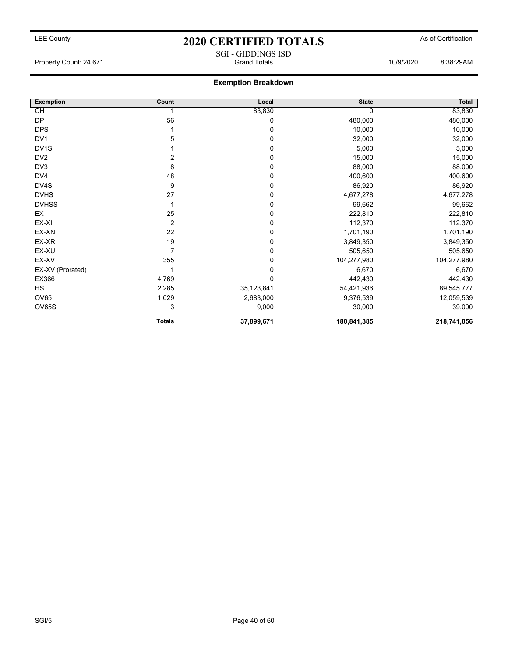### LEE County **2020 CERTIFIED TOTALS** As of Certification SGI - GIDDINGS ISD

Property Count: 24,671 Grand Totals 10/9/2020 8:38:29AM

### **Exemption Breakdown**

| <b>Exemption</b>  | Count         | Local      | <b>State</b> | Total       |
|-------------------|---------------|------------|--------------|-------------|
| СH                |               | 83,830     |              | 83,830      |
| DP                | 56            | 0          | 480,000      | 480,000     |
| <b>DPS</b>        |               | 0          | 10,000       | 10,000      |
| DV <sub>1</sub>   | 5             | 0          | 32,000       | 32,000      |
| DV <sub>1</sub> S |               | 0          | 5,000        | 5,000       |
| DV <sub>2</sub>   | 2             | 0          | 15,000       | 15,000      |
| DV3               | 8             | 0          | 88,000       | 88,000      |
| DV4               | 48            | 0          | 400,600      | 400,600     |
| DV4S              | 9             | 0          | 86,920       | 86,920      |
| <b>DVHS</b>       | 27            | 0          | 4,677,278    | 4,677,278   |
| <b>DVHSS</b>      |               | 0          | 99,662       | 99,662      |
| EX                | 25            | 0          | 222,810      | 222,810     |
| EX-XI             | 2             | 0          | 112,370      | 112,370     |
| EX-XN             | 22            | 0          | 1,701,190    | 1,701,190   |
| EX-XR             | 19            | 0          | 3,849,350    | 3,849,350   |
| EX-XU             | 7             | 0          | 505,650      | 505,650     |
| EX-XV             | 355           | 0          | 104,277,980  | 104,277,980 |
| EX-XV (Prorated)  |               | 0          | 6,670        | 6,670       |
| EX366             | 4,769         | 0          | 442,430      | 442,430     |
| <b>HS</b>         | 2,285         | 35,123,841 | 54,421,936   | 89,545,777  |
| OV65              | 1,029         | 2,683,000  | 9,376,539    | 12,059,539  |
| OV65S             | 3             | 9,000      | 30,000       | 39,000      |
|                   | <b>Totals</b> | 37,899,671 | 180,841,385  | 218,741,056 |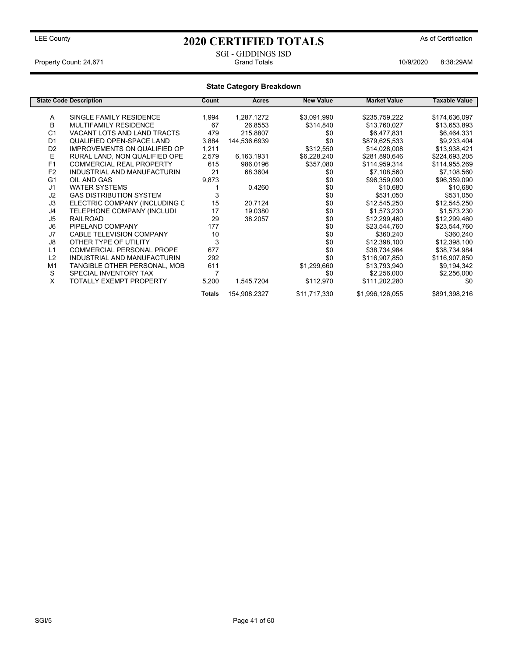### SGI - GIDDINGS ISD<br>Grand Totals Property Count: 24,671 **And Count: 24,671** Grand Totals **10/9/2020** 8:38:29AM

### **State Category Breakdown**

|                | <b>State Code Description</b>       | Count  | <b>Acres</b> | <b>New Value</b> | <b>Market Value</b> | <b>Taxable Value</b> |
|----------------|-------------------------------------|--------|--------------|------------------|---------------------|----------------------|
| A              | SINGLE FAMILY RESIDENCE             |        |              |                  |                     |                      |
|                |                                     | 1,994  | 1,287.1272   | \$3,091,990      | \$235,759,222       | \$174,636,097        |
| В              | MULTIFAMILY RESIDENCE               | 67     | 26.8553      | \$314,840        | \$13,760,027        | \$13,653,893         |
| C <sub>1</sub> | <b>VACANT LOTS AND LAND TRACTS</b>  | 479    | 215.8807     | \$0              | \$6,477,831         | \$6,464,331          |
| D <sub>1</sub> | <b>QUALIFIED OPEN-SPACE LAND</b>    | 3,884  | 144,536.6939 | \$0              | \$879,625,533       | \$9,233,404          |
| D <sub>2</sub> | <b>IMPROVEMENTS ON QUALIFIED OP</b> | 1,211  |              | \$312,550        | \$14,028,008        | \$13,938,421         |
| Е              | RURAL LAND, NON QUALIFIED OPE       | 2,579  | 6,163.1931   | \$6,228,240      | \$281,890,646       | \$224,693,205        |
| F <sub>1</sub> | <b>COMMERCIAL REAL PROPERTY</b>     | 615    | 986.0196     | \$357,080        | \$114,959,314       | \$114,955,269        |
| F <sub>2</sub> | INDUSTRIAL AND MANUFACTURIN         | 21     | 68.3604      | \$0              | \$7,108,560         | \$7,108,560          |
| G <sub>1</sub> | OIL AND GAS                         | 9,873  |              | \$0              | \$96,359,090        | \$96,359,090         |
| J <sub>1</sub> | <b>WATER SYSTEMS</b>                |        | 0.4260       | \$0              | \$10.680            | \$10,680             |
| J2             | <b>GAS DISTRIBUTION SYSTEM</b>      | 3      |              | \$0              | \$531,050           | \$531,050            |
| J3             | ELECTRIC COMPANY (INCLUDING C       | 15     | 20.7124      | \$0              | \$12,545,250        | \$12,545,250         |
| J4             | TELEPHONE COMPANY (INCLUDI          | 17     | 19.0380      | \$0              | \$1,573,230         | \$1,573,230          |
| J5             | <b>RAILROAD</b>                     | 29     | 38.2057      | \$0              | \$12,299,460        | \$12,299,460         |
| J <sub>6</sub> | PIPELAND COMPANY                    | 177    |              | \$0              | \$23,544,760        | \$23,544,760         |
| J7             | <b>CABLE TELEVISION COMPANY</b>     | 10     |              | \$0              | \$360,240           | \$360,240            |
| J8             | OTHER TYPE OF UTILITY               | 3      |              | \$0              | \$12,398,100        | \$12,398,100         |
| L1             | <b>COMMERCIAL PERSONAL PROPE</b>    | 677    |              | \$0              | \$38,734,984        | \$38,734,984         |
| L2             | INDUSTRIAL AND MANUFACTURIN         | 292    |              | \$0              | \$116,907,850       | \$116,907,850        |
| M <sub>1</sub> | TANGIBLE OTHER PERSONAL, MOB        | 611    |              | \$1,299,660      | \$13,793,940        | \$9,194,342          |
| S              | SPECIAL INVENTORY TAX               | 7      |              | \$0              | \$2,256,000         | \$2,256,000          |
| X              | TOTALLY EXEMPT PROPERTY             | 5,200  | 1,545.7204   | \$112,970        | \$111,202,280       | \$0                  |
|                |                                     | Totals | 154,908.2327 | \$11,717,330     | \$1,996,126,055     | \$891,398,216        |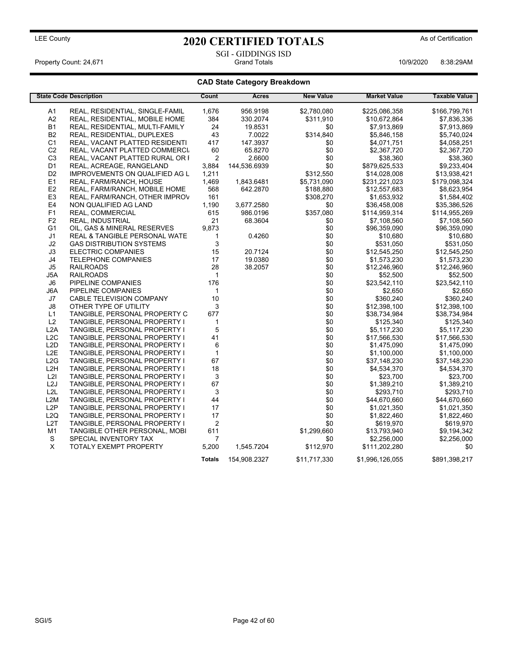### SGI - GIDDINGS ISD<br>Grand Totals Property Count: 24,671 **And Count: 24,671** Grand Totals **10/9/2020** 8:38:29AM

### **CAD State Category Breakdown**

|                  | <b>State Code Description</b>   | Count            | Acres        | <b>New Value</b> | <b>Market Value</b> | <b>Taxable Value</b> |
|------------------|---------------------------------|------------------|--------------|------------------|---------------------|----------------------|
| A1               | REAL, RESIDENTIAL, SINGLE-FAMIL | 1,676            | 956.9198     | \$2,780,080      | \$225,086,358       | \$166,799,761        |
| A2               | REAL, RESIDENTIAL, MOBILE HOME  | 384              | 330.2074     | \$311,910        | \$10,672,864        | \$7,836,336          |
| <b>B1</b>        | REAL, RESIDENTIAL, MULTI-FAMILY | 24               | 19.8531      | \$0              | \$7,913,869         | \$7,913,869          |
| <b>B2</b>        | REAL, RESIDENTIAL, DUPLEXES     | 43               | 7.0022       | \$314,840        | \$5,846,158         | \$5,740,024          |
| C <sub>1</sub>   | REAL, VACANT PLATTED RESIDENTI  | 417              | 147.3937     | \$0              | \$4,071,751         | \$4,058,251          |
| C <sub>2</sub>   | REAL, VACANT PLATTED COMMERCI.  | 60               | 65.8270      | \$0              | \$2,367,720         | \$2,367,720          |
| C <sub>3</sub>   | REAL, VACANT PLATTED RURAL OR F | $\overline{2}$   | 2.6600       | \$0              | \$38,360            | \$38,360             |
| D <sub>1</sub>   | REAL, ACREAGE, RANGELAND        | 3,884            | 144,536.6939 | \$0              | \$879,625,533       | \$9,233,404          |
| D <sub>2</sub>   | IMPROVEMENTS ON QUALIFIED AG L  | 1,211            |              | \$312,550        | \$14,028,008        | \$13,938,421         |
| E <sub>1</sub>   | REAL, FARM/RANCH, HOUSE         | 1,469            | 1,843.6481   | \$5,731,090      | \$231,221,023       | \$179,098,324        |
| E <sub>2</sub>   | REAL, FARM/RANCH, MOBILE HOME   | 568              | 642.2870     | \$188,880        | \$12,557,683        | \$8,623,954          |
| E3               | REAL, FARM/RANCH, OTHER IMPROV  | 161              |              | \$308,270        | \$1,653,932         | \$1,584,402          |
| E4               | NON QUALIFIED AG LAND           | 1,190            | 3,677.2580   | \$0              | \$36,458,008        | \$35,386,526         |
| F <sub>1</sub>   | REAL, COMMERCIAL                | 615              | 986.0196     | \$357,080        | \$114,959,314       | \$114,955,269        |
| F <sub>2</sub>   | REAL, INDUSTRIAL                | 21               | 68.3604      | \$0              | \$7,108,560         | \$7,108,560          |
| G <sub>1</sub>   | OIL, GAS & MINERAL RESERVES     | 9,873            |              | \$0              | \$96,359,090        | \$96,359,090         |
| J <sub>1</sub>   | REAL & TANGIBLE PERSONAL WATE   | $\mathbf{1}$     | 0.4260       | \$0              | \$10,680            | \$10,680             |
| J2               | <b>GAS DISTRIBUTION SYSTEMS</b> | 3                |              | \$0              | \$531,050           | \$531,050            |
| J3               | <b>ELECTRIC COMPANIES</b>       | 15               | 20.7124      | \$0              | \$12,545,250        | \$12,545,250         |
| J <sub>4</sub>   | <b>TELEPHONE COMPANIES</b>      | 17               | 19.0380      | \$0              | \$1,573,230         | \$1,573,230          |
| J5               | <b>RAILROADS</b>                | 28               | 38.2057      | \$0              | \$12,246,960        | \$12,246,960         |
| J5A              | <b>RAILROADS</b>                | $\mathbf{1}$     |              | \$0              | \$52,500            | \$52,500             |
| J6               | PIPELINE COMPANIES              | 176              |              | \$0              | \$23,542,110        | \$23,542,110         |
| J6A              | PIPELINE COMPANIES              | $\mathbf{1}$     |              | \$0              | \$2,650             | \$2,650              |
| J7               | CABLE TELEVISION COMPANY        | 10               |              | \$0              | \$360,240           | \$360,240            |
| J8               | OTHER TYPE OF UTILITY           | 3                |              | \$0              | \$12,398,100        | \$12,398,100         |
| L1               | TANGIBLE, PERSONAL PROPERTY C   | 677              |              | \$0              | \$38,734,984        | \$38,734,984         |
| L2               | TANGIBLE, PERSONAL PROPERTY I   | 1                |              | \$0              | \$125,340           | \$125,340            |
| L <sub>2</sub> A | TANGIBLE, PERSONAL PROPERTY I   | 5                |              | \$0              | \$5,117,230         | \$5,117,230          |
| L <sub>2</sub> C | TANGIBLE, PERSONAL PROPERTY I   | 41               |              | \$0              | \$17,566,530        | \$17,566,530         |
| L2D              | TANGIBLE, PERSONAL PROPERTY I   | 6                |              | \$0              | \$1,475,090         | \$1,475,090          |
| L <sub>2</sub> E | TANGIBLE, PERSONAL PROPERTY I   | $\mathbf{1}$     |              | \$0              | \$1,100,000         | \$1,100,000          |
| L2G              | TANGIBLE, PERSONAL PROPERTY I   | 67               |              | \$0              | \$37,148,230        | \$37,148,230         |
| L <sub>2</sub> H | TANGIBLE, PERSONAL PROPERTY I   | 18               |              | \$0              | \$4,534,370         | \$4,534,370          |
| L2I              | TANGIBLE, PERSONAL PROPERTY I   | 3                |              | \$0              | \$23,700            | \$23,700             |
| L <sub>2</sub> J | TANGIBLE, PERSONAL PROPERTY I   | 67               |              | \$0              | \$1,389,210         | \$1,389,210          |
| L2L              | TANGIBLE, PERSONAL PROPERTY I   | 3                |              | \$0              | \$293,710           | \$293,710            |
| L2M              | TANGIBLE, PERSONAL PROPERTY I   | 44               |              | \$0              | \$44,670,660        | \$44,670,660         |
| L <sub>2</sub> P | TANGIBLE, PERSONAL PROPERTY I   | 17               |              | \$0              | \$1,021,350         | \$1,021,350          |
| L <sub>2Q</sub>  | TANGIBLE, PERSONAL PROPERTY I   | 17               |              | \$0              | \$1,822,460         | \$1,822,460          |
| L <sub>2</sub> T | TANGIBLE, PERSONAL PROPERTY I   | $\boldsymbol{2}$ |              | \$0              | \$619,970           | \$619,970            |
| M <sub>1</sub>   | TANGIBLE OTHER PERSONAL, MOBI   | 611              |              | \$1,299,660      | \$13,793,940        | \$9,194,342          |
| S                | SPECIAL INVENTORY TAX           | 7                |              | \$0              | \$2,256,000         | \$2,256,000          |
| X                | TOTALY EXEMPT PROPERTY          | 5,200            | 1,545.7204   | \$112,970        | \$111,202,280       | \$0                  |
|                  |                                 | <b>Totals</b>    | 154,908.2327 | \$11,717,330     | \$1,996,126,055     | \$891,398,217        |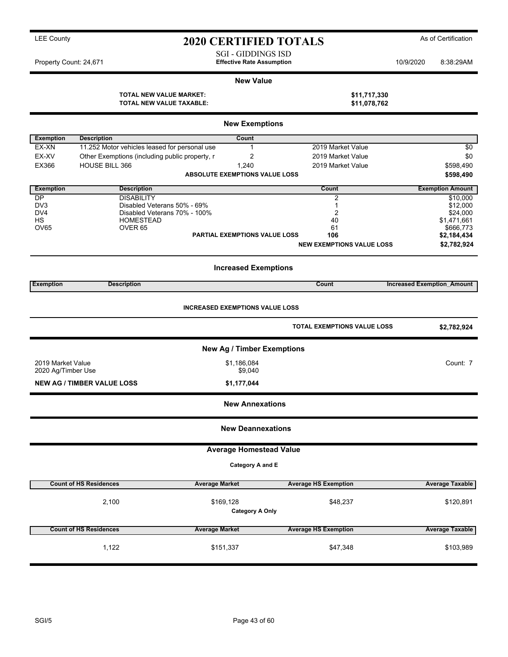SGI - GIDDINGS ISD Property Count: 24,671 **Effective Rate Assumption Effective Rate Assumption** 10/9/2020 8:38:29AM

#### **New Value**

| TOTAL NEW VALUE MARKET:  | \$11,717,330 |
|--------------------------|--------------|
| TOTAL NEW VALUE TAXABLE: | \$11,078,762 |

| <b>New Exemptions</b> |                                                             |                                        |                                  |                                   |  |  |  |
|-----------------------|-------------------------------------------------------------|----------------------------------------|----------------------------------|-----------------------------------|--|--|--|
| <b>Exemption</b>      | <b>Description</b>                                          | Count                                  |                                  |                                   |  |  |  |
| EX-XN                 | 11.252 Motor vehicles leased for personal use               | 1                                      | 2019 Market Value                | \$0                               |  |  |  |
| EX-XV                 | Other Exemptions (including public property, r              | 2                                      | 2019 Market Value                | \$0                               |  |  |  |
| EX366                 | HOUSE BILL 366                                              | 1,240                                  | 2019 Market Value                | \$598,490                         |  |  |  |
|                       |                                                             | <b>ABSOLUTE EXEMPTIONS VALUE LOSS</b>  |                                  | \$598,490                         |  |  |  |
| <b>Exemption</b>      | <b>Description</b>                                          |                                        | Count                            | <b>Exemption Amount</b>           |  |  |  |
| DP                    | <b>DISABILITY</b>                                           |                                        | 2                                | \$10,000                          |  |  |  |
| DV3<br>DV4            | Disabled Veterans 50% - 69%<br>Disabled Veterans 70% - 100% |                                        | 1                                | \$12,000<br>\$24,000              |  |  |  |
| НS                    | <b>HOMESTEAD</b>                                            |                                        | $\overline{2}$<br>40             | \$1,471,661                       |  |  |  |
| OV65                  | OVER <sub>65</sub>                                          |                                        | 61                               | \$666,773                         |  |  |  |
|                       |                                                             | PARTIAL EXEMPTIONS VALUE LOSS          | 106                              | \$2,184,434                       |  |  |  |
|                       |                                                             |                                        | <b>NEW EXEMPTIONS VALUE LOSS</b> | \$2,782,924                       |  |  |  |
|                       |                                                             | <b>Increased Exemptions</b>            |                                  |                                   |  |  |  |
| <b>Exemption</b>      | <b>Description</b>                                          |                                        | Count                            | <b>Increased Exemption Amount</b> |  |  |  |
|                       |                                                             | <b>INCREASED EXEMPTIONS VALUE LOSS</b> | TOTAL EXEMPTIONS VALUE LOSS      | \$2,782,924                       |  |  |  |
|                       |                                                             |                                        |                                  |                                   |  |  |  |
|                       |                                                             | <b>New Ag / Timber Exemptions</b>      |                                  |                                   |  |  |  |
| 2019 Market Value     |                                                             | \$1,186,084                            |                                  | Count: 7                          |  |  |  |
| 2020 Ag/Timber Use    |                                                             | \$9,040                                |                                  |                                   |  |  |  |
|                       | <b>NEW AG / TIMBER VALUE LOSS</b>                           | \$1,177,044                            |                                  |                                   |  |  |  |
|                       |                                                             | <b>New Annexations</b>                 |                                  |                                   |  |  |  |
|                       |                                                             | <b>New Deannexations</b>               |                                  |                                   |  |  |  |
|                       |                                                             | <b>Average Homestead Value</b>         |                                  |                                   |  |  |  |
|                       |                                                             | Category A and E                       |                                  |                                   |  |  |  |
|                       | <b>Count of HS Residences</b><br><b>Average Market</b>      |                                        | <b>Average HS Exemption</b>      | <b>Average Taxable</b>            |  |  |  |
|                       | 2,100                                                       |                                        |                                  |                                   |  |  |  |
|                       |                                                             | \$169,128<br><b>Category A Only</b>    | \$48,237                         | \$120,891                         |  |  |  |
|                       |                                                             |                                        |                                  |                                   |  |  |  |
|                       | <b>Count of HS Residences</b><br><b>Average Market</b>      |                                        | <b>Average HS Exemption</b>      | <b>Average Taxable</b>            |  |  |  |
|                       | 1,122                                                       | \$151,337                              | \$47,348                         | \$103,989                         |  |  |  |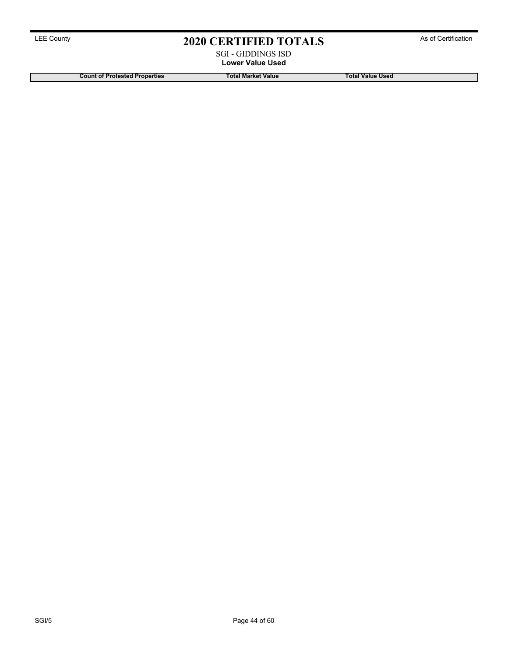### SGI - GIDDINGS ISD **Lower Value Used**

**Count of Protested Properties Total Market Value Total Value Used**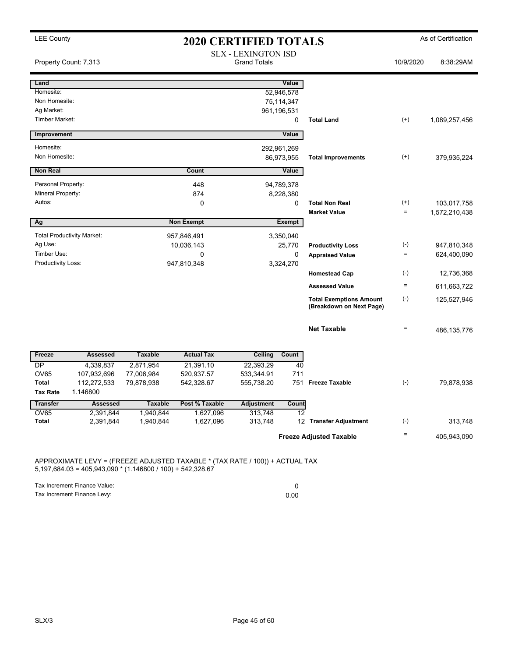| <b>LEE County</b><br><b>2020 CERTIFIED TOTALS</b> |                                   |                |                   |                                                   |             | As of Certification                                        |              |               |
|---------------------------------------------------|-----------------------------------|----------------|-------------------|---------------------------------------------------|-------------|------------------------------------------------------------|--------------|---------------|
|                                                   | Property Count: 7,313             |                |                   | <b>SLX - LEXINGTON ISD</b><br><b>Grand Totals</b> |             |                                                            | 10/9/2020    | 8:38:29AM     |
| Land                                              |                                   |                |                   |                                                   | Value       |                                                            |              |               |
| Homesite:                                         |                                   |                |                   |                                                   | 52,946,578  |                                                            |              |               |
| Non Homesite:                                     |                                   |                |                   |                                                   | 75,114,347  |                                                            |              |               |
| Ag Market:<br>Timber Market:                      |                                   |                |                   |                                                   | 961,196,531 |                                                            |              |               |
|                                                   |                                   |                |                   |                                                   | 0           | <b>Total Land</b>                                          | $(+)$        | 1,089,257,456 |
| Improvement                                       |                                   |                |                   |                                                   | Value       |                                                            |              |               |
| Homesite:                                         |                                   |                |                   |                                                   | 292,961,269 |                                                            |              |               |
| Non Homesite:                                     |                                   |                |                   |                                                   | 86,973,955  | <b>Total Improvements</b>                                  | $^{(+)}$     | 379,935,224   |
| <b>Non Real</b>                                   |                                   |                | Count             |                                                   | Value       |                                                            |              |               |
| Personal Property:                                |                                   |                | 448               |                                                   | 94,789,378  |                                                            |              |               |
| Mineral Property:                                 |                                   |                | 874               |                                                   | 8,228,380   |                                                            |              |               |
| Autos:                                            |                                   |                | 0                 |                                                   | 0           | <b>Total Non Real</b>                                      | $^{(+)}$     | 103,017,758   |
|                                                   |                                   |                |                   |                                                   |             | <b>Market Value</b>                                        | $\equiv$     | 1,572,210,438 |
| Ag                                                |                                   |                | <b>Non Exempt</b> |                                                   | Exempt      |                                                            |              |               |
|                                                   | <b>Total Productivity Market:</b> |                | 957,846,491       |                                                   | 3,350,040   |                                                            |              |               |
| Ag Use:                                           |                                   |                | 10,036,143        |                                                   | 25,770      | <b>Productivity Loss</b>                                   | $(\text{-})$ | 947,810,348   |
| Timber Use:                                       |                                   |                | $\Omega$          |                                                   | $\mathbf 0$ | <b>Appraised Value</b>                                     | $\equiv$     | 624,400,090   |
| Productivity Loss:                                |                                   |                | 947,810,348       |                                                   | 3,324,270   |                                                            |              |               |
|                                                   |                                   |                |                   |                                                   |             | <b>Homestead Cap</b>                                       | $(-)$        | 12,736,368    |
|                                                   |                                   |                |                   |                                                   |             | <b>Assessed Value</b>                                      | $\equiv$     | 611,663,722   |
|                                                   |                                   |                |                   |                                                   |             | <b>Total Exemptions Amount</b><br>(Breakdown on Next Page) | $(-)$        | 125,527,946   |
|                                                   |                                   |                |                   |                                                   |             | <b>Net Taxable</b>                                         | $=$          | 486,135,776   |
| Freeze                                            | <b>Assessed</b>                   | <b>Taxable</b> | <b>Actual Tax</b> | Ceiling                                           | Count       |                                                            |              |               |
| DP                                                | 4,339,837                         | 2,871,954      | 21,391.10         | 22,393.29                                         | 40          |                                                            |              |               |
| <b>OV65</b>                                       | 107,932,696                       | 77,006,984     | 520,937.57        | 533,344.91                                        | 711         |                                                            |              |               |
| Total                                             | 112,272,533                       | 79,878,938     | 542,328.67        | 555,738.20                                        | 751         | <b>Freeze Taxable</b>                                      | $(-)$        | 79,878,938    |
| <b>Tax Rate</b>                                   | 1.146800                          |                |                   |                                                   |             |                                                            |              |               |
| <b>Transfer</b>                                   | <b>Assessed</b>                   | <b>Taxable</b> | Post % Taxable    | <b>Adjustment</b>                                 | Count       |                                                            |              |               |
| <b>OV65</b>                                       | 2,391,844                         | 1,940,844      | 1,627,096         | 313,748                                           | 12          |                                                            |              |               |
| Total                                             | 2,391,844                         | 1,940,844      | 1,627,096         | 313,748                                           |             | 12 Transfer Adjustment                                     | $(-)$        | 313,748       |
|                                                   |                                   |                |                   |                                                   |             | <b>Freeze Adjusted Taxable</b>                             | $\equiv$     | 405,943,090   |

APPROXIMATE LEVY = (FREEZE ADJUSTED TAXABLE \* (TAX RATE / 100)) + ACTUAL TAX 5,197,684.03 = 405,943,090 \* (1.146800 / 100) + 542,328.67

Tax Increment Finance Value: 0

Tax Increment Finance Levy: 0.00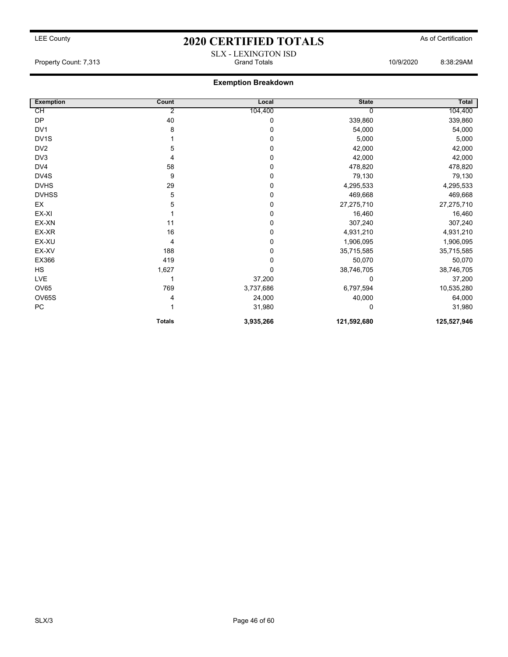### LEE County **2020 CERTIFIED TOTALS** As of Certification SLX - LEXINGTON ISD

#### Property Count: 7,313 Grand Totals 10/9/2020 8:38:29AM

### **Exemption Breakdown**

| <b>Exemption</b>  | Count         | Local     | <b>State</b> | Total       |
|-------------------|---------------|-----------|--------------|-------------|
| CH                | 2             | 104,400   |              | 104,400     |
| <b>DP</b>         | 40            | 0         | 339,860      | 339,860     |
| DV1               | 8             | 0         | 54,000       | 54,000      |
| DV <sub>1</sub> S |               | 0         | 5,000        | 5,000       |
| DV <sub>2</sub>   | 5             | 0         | 42,000       | 42,000      |
| DV3               | 4             | 0         | 42,000       | 42,000      |
| DV4               | 58            | 0         | 478,820      | 478,820     |
| DV4S              | 9             | 0         | 79,130       | 79,130      |
| <b>DVHS</b>       | 29            | 0         | 4,295,533    | 4,295,533   |
| <b>DVHSS</b>      | 5             | 0         | 469,668      | 469,668     |
| EX                | 5             | 0         | 27,275,710   | 27,275,710  |
| EX-XI             |               | 0         | 16,460       | 16,460      |
| EX-XN             | 11            | 0         | 307,240      | 307,240     |
| EX-XR             | 16            | 0         | 4,931,210    | 4,931,210   |
| EX-XU             | 4             | 0         | 1,906,095    | 1,906,095   |
| EX-XV             | 188           | 0         | 35,715,585   | 35,715,585  |
| EX366             | 419           | 0         | 50,070       | 50,070      |
| <b>HS</b>         | 1,627         | 0         | 38,746,705   | 38,746,705  |
| LVE               |               | 37,200    | $\Omega$     | 37,200      |
| OV65              | 769           | 3,737,686 | 6,797,594    | 10,535,280  |
| OV65S             | 4             | 24,000    | 40,000       | 64,000      |
| PC                |               | 31,980    | 0            | 31,980      |
|                   | <b>Totals</b> | 3,935,266 | 121,592,680  | 125,527,946 |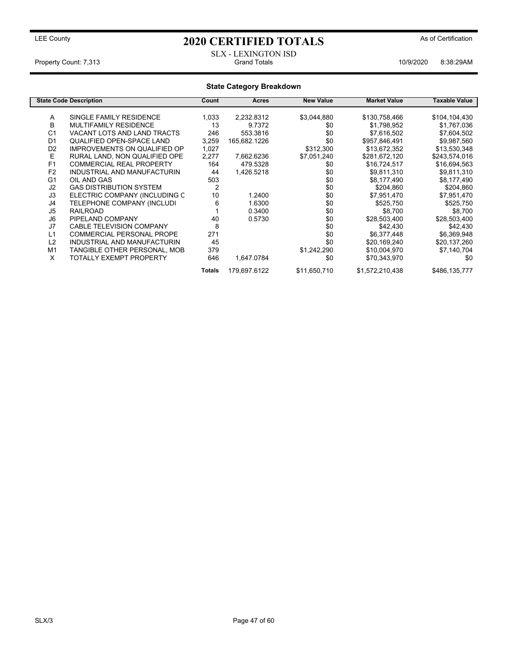### LEE County **As of Certification 2020 CERTIFIED TOTALS** As of Certification

### SLX - LEXINGTON ISD Property Count: 7,313 **Property Count: 7,313** Crand Totals 10/9/2020 8:38:29AM

#### **State Category Breakdown State Code Description Count Acres New Value Market Value Taxable Value** A SINGLE FAMILY RESIDENCE 1,033 2,232.8312 \$3,044,880 \$130,758,466 \$104,104,430<br>B MULTIFAMILY RESIDENCE 13 9.7372 \$0 \$1.798.952 \$1.767.036 B MULTIFAMILY RESIDENCE 13 9.7372 \$0 \$1,798,952 \$1,767,036 C1 VACANT LOTS AND LAND TRACTS 246 553.3816 \$0 \$7,616,502 \$7,604,502<br>D1 QUALIFIED OPEN-SPACE LAND 3,259 165,682.1226 \$0 \$957,846,491 \$9,987,560 QUALIFIED OPEN-SPACE LAND D2 IMPROVEMENTS ON QUALIFIED OP 1,027 \$312,300 \$13,672,352 \$13,530,348<br>E RURAL LAND, NON QUALIFIED OPE 2,277 7,662.6236 \$7,051,240 \$281,672,120 \$243,574,016 E RURAL LAND, NON QUALIFIED OPE 2,277 7,662.6236 \$7,051,240 \$281,672,120 \$243,574,016<br>F1 COMMERCIAL REAL PROPERTY 164 479.5328 \$0 \$16,724,517 \$16,694,563 F1 COMMERCIAL REAL PROPERTY 164 479.5328 \$0 \$16,724,517 \$16,694,563<br>
F2 INDUSTRIAL AND MANUFACTURIN 44 1,426.5218 \$0 \$9,811,310 \$9,811,310 F2 INDUSTRIAL AND MANUFACTURIN 44 1,426.5218 \$0 \$9,811,310 \$9,811,310 G1 OIL AND GAS 503 \$0 \$8,177,490 \$8,177,490 J2 GAS DISTRIBUTION SYSTEM 2 \$0 \$204,860 \$204,860 ELECTRIC COMPANY (INCLUDING C 10 1.2400 \$0 J4 TELEPHONE COMPANY (INCLUDI 6 1.6300 \$0 \$525,750 \$525,750 J5 RAILROAD 1 0.3400 \$0 \$8,700 \$8,700 J6 PIPELAND COMPANY 40 0.5730 \$0 \$28,503,400 \$28,503,400 J7 CABLE TELEVISION COMPANY 8 \$0 \$42,430 \$42,430 L1 COMMERCIAL PERSONAL PROPE 271 30 \$6,377,448 L2 INDUSTRIAL AND MANUFACTURIN 45 \$0 \$20,169,240 \$20,137,260 TANGIBLE OTHER PERSONAL, MOB 379<br>TOTALLY EXEMPT PROPERTY 646 1,647.0784 X TOTALLY EXEMPT PROPERTY 646 1,647.0784 \$0 \$70,343,970 \$0 \$0 **Totals** 179,697.6122 \$11,650,710 \$1,572,210,438 \$486,135,777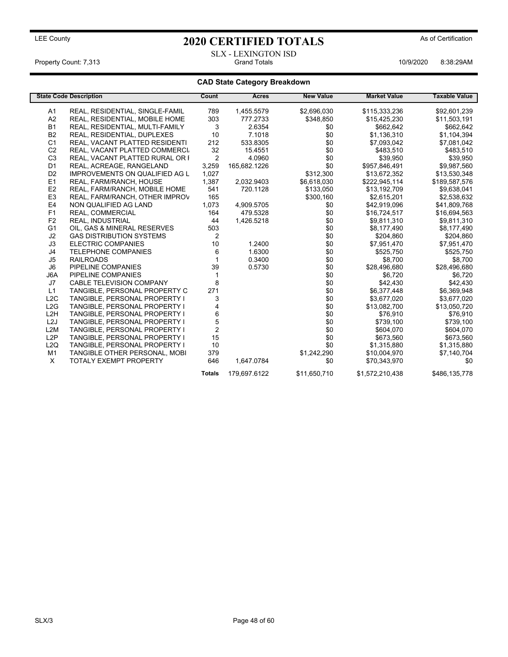SLX - LEXINGTON ISD Property Count: 7,313 Grand Totals 10/9/2020 8:38:29AM

### **CAD State Category Breakdown**

|                  | <b>State Code Description</b>         | Count          | <b>Acres</b> | <b>New Value</b> | <b>Market Value</b> | <b>Taxable Value</b> |
|------------------|---------------------------------------|----------------|--------------|------------------|---------------------|----------------------|
| A1               | REAL, RESIDENTIAL, SINGLE-FAMIL       | 789            | 1,455.5579   | \$2,696,030      | \$115,333,236       | \$92,601,239         |
| A <sub>2</sub>   | REAL, RESIDENTIAL, MOBILE HOME        | 303            | 777.2733     | \$348,850        | \$15,425,230        | \$11,503,191         |
| <b>B1</b>        | REAL, RESIDENTIAL, MULTI-FAMILY       | 3              | 2.6354       | \$0              | \$662,642           | \$662,642            |
| <b>B2</b>        | REAL, RESIDENTIAL, DUPLEXES           | 10             | 7.1018       | \$0              | \$1,136,310         | \$1,104,394          |
| C <sub>1</sub>   | REAL, VACANT PLATTED RESIDENTI        | 212            | 533.8305     | \$0              | \$7,093,042         | \$7,081,042          |
| C <sub>2</sub>   | REAL, VACANT PLATTED COMMERCI         | 32             | 15.4551      | \$0              | \$483,510           | \$483,510            |
| C <sub>3</sub>   | REAL, VACANT PLATTED RURAL OR I       | $\overline{2}$ | 4.0960       | \$0              | \$39,950            | \$39,950             |
| D <sub>1</sub>   | REAL, ACREAGE, RANGELAND              | 3,259          | 165,682.1226 | \$0              | \$957,846,491       | \$9,987,560          |
| D <sub>2</sub>   | <b>IMPROVEMENTS ON QUALIFIED AG L</b> | 1,027          |              | \$312,300        | \$13,672,352        | \$13,530,348         |
| E1               | REAL, FARM/RANCH, HOUSE               | 1,387          | 2,032.9403   | \$6,618,030      | \$222,945,114       | \$189,587,576        |
| E <sub>2</sub>   | REAL, FARM/RANCH, MOBILE HOME         | 541            | 720.1128     | \$133,050        | \$13,192,709        | \$9,638,041          |
| E <sub>3</sub>   | REAL, FARM/RANCH, OTHER IMPROV        | 165            |              | \$300,160        | \$2,615,201         | \$2,538,632          |
| E <sub>4</sub>   | NON QUALIFIED AG LAND                 | 1,073          | 4,909.5705   | \$0              | \$42,919,096        | \$41,809,768         |
| F <sub>1</sub>   | REAL, COMMERCIAL                      | 164            | 479.5328     | \$0              | \$16,724,517        | \$16,694,563         |
| F <sub>2</sub>   | <b>REAL, INDUSTRIAL</b>               | 44             | 1,426.5218   | \$0              | \$9,811,310         | \$9,811,310          |
| G <sub>1</sub>   | OIL, GAS & MINERAL RESERVES           | 503            |              | \$0              | \$8,177,490         | \$8,177,490          |
| J <sub>2</sub>   | <b>GAS DISTRIBUTION SYSTEMS</b>       | $\overline{2}$ |              | \$0              | \$204,860           | \$204,860            |
| J3               | <b>ELECTRIC COMPANIES</b>             | 10             | 1.2400       | \$0              | \$7,951,470         | \$7,951,470          |
| J4               | <b>TELEPHONE COMPANIES</b>            | 6              | 1.6300       | \$0              | \$525,750           | \$525,750            |
| J <sub>5</sub>   | <b>RAILROADS</b>                      |                | 0.3400       | \$0              | \$8,700             | \$8,700              |
| J <sub>6</sub>   | PIPELINE COMPANIES                    | 39             | 0.5730       | \$0              | \$28,496,680        | \$28,496,680         |
| J6A              | PIPELINE COMPANIES                    |                |              | \$0              | \$6,720             | \$6,720              |
| J7               | <b>CABLE TELEVISION COMPANY</b>       | 8              |              | \$0              | \$42,430            | \$42,430             |
| L1               | TANGIBLE, PERSONAL PROPERTY C         | 271            |              | \$0              | \$6,377,448         | \$6,369,948          |
| L2C              | TANGIBLE, PERSONAL PROPERTY I         | 3              |              | \$0              | \$3,677,020         | \$3,677,020          |
| L2G              | TANGIBLE, PERSONAL PROPERTY I         | 4              |              | \$0              | \$13,082,700        | \$13,050,720         |
| L <sub>2</sub> H | TANGIBLE, PERSONAL PROPERTY I         | 6              |              | \$0              | \$76,910            | \$76,910             |
| L <sub>2</sub> J | TANGIBLE, PERSONAL PROPERTY I         | 5              |              | \$0              | \$739,100           | \$739,100            |
| L <sub>2</sub> M | TANGIBLE, PERSONAL PROPERTY I         | $\overline{2}$ |              | \$0              | \$604,070           | \$604,070            |
| L <sub>2</sub> P | TANGIBLE, PERSONAL PROPERTY I         | 15             |              | \$0              | \$673,560           | \$673,560            |
| L2Q              | TANGIBLE, PERSONAL PROPERTY I         | 10             |              | \$0              | \$1,315,880         | \$1,315,880          |
| M <sub>1</sub>   | TANGIBLE OTHER PERSONAL, MOBI         | 379            |              | \$1,242,290      | \$10,004,970        | \$7,140,704          |
| X                | <b>TOTALY EXEMPT PROPERTY</b>         | 646            | 1,647.0784   | \$0              | \$70,343,970        | \$0                  |
|                  |                                       | <b>Totals</b>  | 179,697.6122 | \$11,650,710     | \$1,572,210,438     | \$486,135,778        |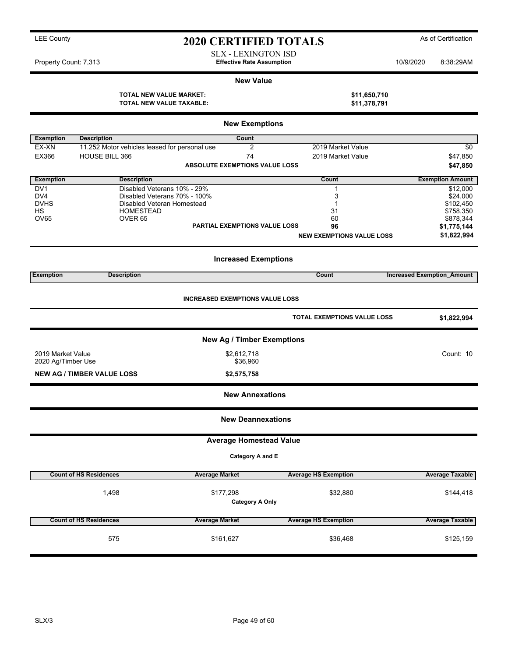| <b>LEE County</b><br><b>2020 CERTIFIED TOTALS</b>                                                 | As of Certification     |  |  |  |  |  |
|---------------------------------------------------------------------------------------------------|-------------------------|--|--|--|--|--|
| <b>SLX - LEXINGTON ISD</b><br><b>Effective Rate Assumption</b><br>Property Count: 7,313           | 10/9/2020<br>8:38:29AM  |  |  |  |  |  |
| <b>New Value</b>                                                                                  |                         |  |  |  |  |  |
| <b>TOTAL NEW VALUE MARKET:</b><br>\$11,650,710<br><b>TOTAL NEW VALUE TAXABLE:</b><br>\$11,378,791 |                         |  |  |  |  |  |
| <b>New Exemptions</b>                                                                             |                         |  |  |  |  |  |
| <b>Exemption</b><br><b>Description</b><br>Count                                                   |                         |  |  |  |  |  |
| 2<br>2019 Market Value<br>EX-XN<br>11.252 Motor vehicles leased for personal use                  | \$0                     |  |  |  |  |  |
| EX366<br><b>HOUSE BILL 366</b><br>74<br>2019 Market Value                                         | \$47,850                |  |  |  |  |  |
| <b>ABSOLUTE EXEMPTIONS VALUE LOSS</b>                                                             | \$47,850                |  |  |  |  |  |
| <b>Exemption</b><br><b>Description</b><br>Count                                                   | <b>Exemption Amount</b> |  |  |  |  |  |
| Disabled Veterans 10% - 29%<br>DV <sub>1</sub>                                                    | \$12,000                |  |  |  |  |  |
| DV4<br>Disabled Veterans 70% - 100%                                                               | \$24,000                |  |  |  |  |  |
| <b>DVHS</b><br>Disabled Veteran Homestead                                                         | \$102,450               |  |  |  |  |  |
| <b>HS</b><br><b>HOMESTEAD</b><br>31                                                               | \$758,350               |  |  |  |  |  |
| OV65<br>60<br>OVER <sub>65</sub>                                                                  | \$878,344               |  |  |  |  |  |
| <b>PARTIAL EXEMPTIONS VALUE LOSS</b><br>96                                                        | \$1,775,144             |  |  |  |  |  |
| <b>NEW EXEMPTIONS VALUE LOSS</b>                                                                  | \$1,822,994             |  |  |  |  |  |

**Increased Exemptions Exemption Description Count Increased Exemption\_Amount**

| <b>INCREASED EXEMPTIONS VALUE LOSS</b>  |                                     |                                    |                        |  |  |
|-----------------------------------------|-------------------------------------|------------------------------------|------------------------|--|--|
|                                         |                                     | <b>TOTAL EXEMPTIONS VALUE LOSS</b> | \$1,822,994            |  |  |
|                                         | <b>New Ag / Timber Exemptions</b>   |                                    |                        |  |  |
| 2019 Market Value<br>2020 Ag/Timber Use | \$2,612,718<br>\$36,960             |                                    | Count: 10              |  |  |
| <b>NEW AG / TIMBER VALUE LOSS</b>       | \$2,575,758                         |                                    |                        |  |  |
| <b>New Annexations</b>                  |                                     |                                    |                        |  |  |
|                                         | <b>New Deannexations</b>            |                                    |                        |  |  |
|                                         | <b>Average Homestead Value</b>      |                                    |                        |  |  |
|                                         | Category A and E                    |                                    |                        |  |  |
| <b>Count of HS Residences</b>           | <b>Average Market</b>               | <b>Average HS Exemption</b>        | <b>Average Taxable</b> |  |  |
| 1,498                                   | \$177,298<br><b>Category A Only</b> | \$32,880                           | \$144,418              |  |  |

**Count of HS Residences Average Market Average HS Exemption Average Taxable** 575 \$161,627 \$161,627 \$36,468 \$36,468 \$36,468 \$125,159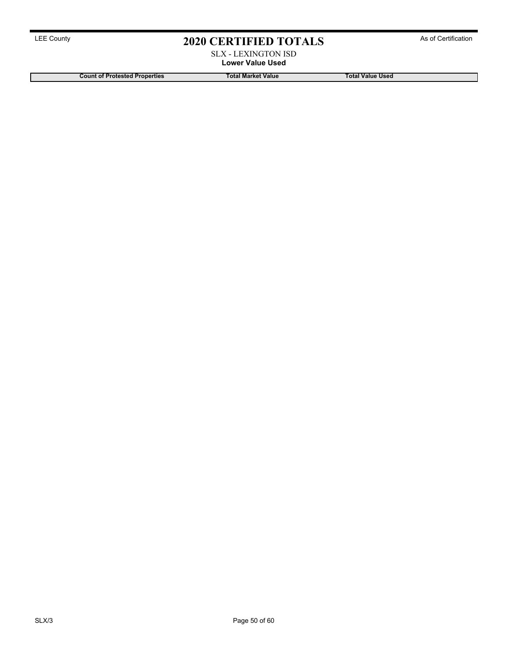### SLX - LEXINGTON ISD **Lower Value Used**

**Count of Protested Properties Total Market Value Total Value Used**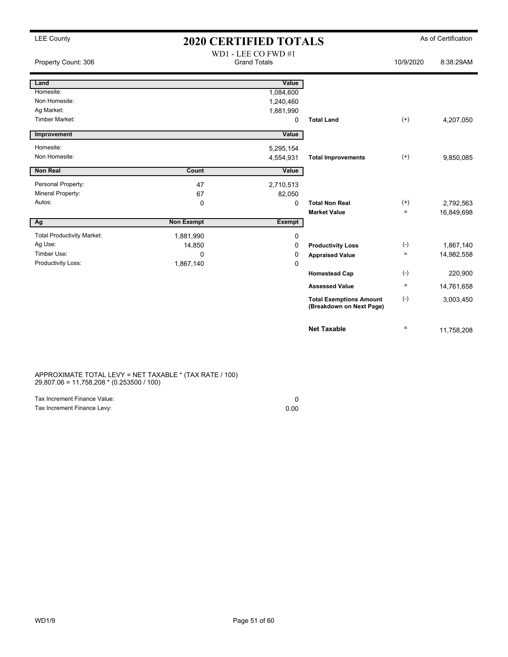# LEE County **As of Certification 2020 CERTIFIED TOTALS** As of Certification

| Property Count: 306               |                   | WD1 - LEE CO FWD #1<br><b>Grand Totals</b> |                                                            | 10/9/2020          | 8:38:29AM  |
|-----------------------------------|-------------------|--------------------------------------------|------------------------------------------------------------|--------------------|------------|
| Land                              |                   | Value                                      |                                                            |                    |            |
| Homesite:                         |                   | 1,084,600                                  |                                                            |                    |            |
| Non Homesite:                     |                   | 1,240,460                                  |                                                            |                    |            |
| Ag Market:                        |                   | 1,881,990                                  |                                                            |                    |            |
| Timber Market:                    |                   | 0                                          | <b>Total Land</b>                                          | $^{(+)}$           | 4,207,050  |
| Improvement                       |                   | Value                                      |                                                            |                    |            |
| Homesite:                         |                   | 5,295,154                                  |                                                            |                    |            |
| Non Homesite:                     |                   | 4,554,931                                  | <b>Total Improvements</b>                                  | $^{(+)}$           | 9,850,085  |
| <b>Non Real</b>                   | Count             | Value                                      |                                                            |                    |            |
| Personal Property:                | 47                | 2,710,513                                  |                                                            |                    |            |
| Mineral Property:                 | 67                | 82,050                                     |                                                            |                    |            |
| Autos:                            | 0                 | 0                                          | <b>Total Non Real</b>                                      | $^{(+)}$           | 2,792,563  |
|                                   |                   |                                            | <b>Market Value</b>                                        | $\equiv$           | 16,849,698 |
| Ag                                | <b>Non Exempt</b> | Exempt                                     |                                                            |                    |            |
| <b>Total Productivity Market:</b> | 1,881,990         | 0                                          |                                                            |                    |            |
| Ag Use:                           | 14,850            | 0                                          | <b>Productivity Loss</b>                                   | $(\textnormal{-})$ | 1,867,140  |
| Timber Use:                       | $\Omega$          | 0                                          | <b>Appraised Value</b>                                     | $=$                | 14,982,558 |
| Productivity Loss:                | 1,867,140         | 0                                          |                                                            |                    |            |
|                                   |                   |                                            | <b>Homestead Cap</b>                                       | $(-)$              | 220,900    |
|                                   |                   |                                            | <b>Assessed Value</b>                                      | $\equiv$           | 14,761,658 |
|                                   |                   |                                            | <b>Total Exemptions Amount</b><br>(Breakdown on Next Page) | $(-)$              | 3,003,450  |
|                                   |                   |                                            | <b>Net Taxable</b>                                         | $\equiv$           | 11,758,208 |

APPROXIMATE TOTAL LEVY = NET TAXABLE \* (TAX RATE / 100) 29,807.06 = 11,758,208 \* (0.253500 / 100)

| Tax Increment Finance Value: |      |
|------------------------------|------|
| Tax Increment Finance Levy:  | 0.00 |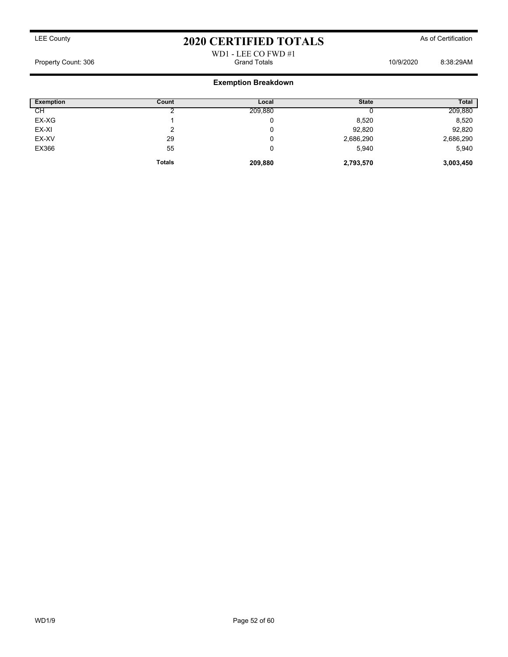### WD1 - LEE CO FWD #1 Property Count: 306 Grand Totals 10/9/2020 8:38:29AM

### **Exemption Breakdown**

| <b>Exemption</b> | Count         | Local   | <b>State</b> | <b>Total</b> |
|------------------|---------------|---------|--------------|--------------|
| CН               |               | 209,880 |              | 209,880      |
| EX-XG            |               | 0       | 8,520        | 8,520        |
| EX-XI            |               | 0       | 92,820       | 92,820       |
| EX-XV            | 29            | 0       | 2,686,290    | 2,686,290    |
| EX366            | 55            | 0       | 5,940        | 5,940        |
|                  | <b>Totals</b> | 209,880 | 2,793,570    | 3,003,450    |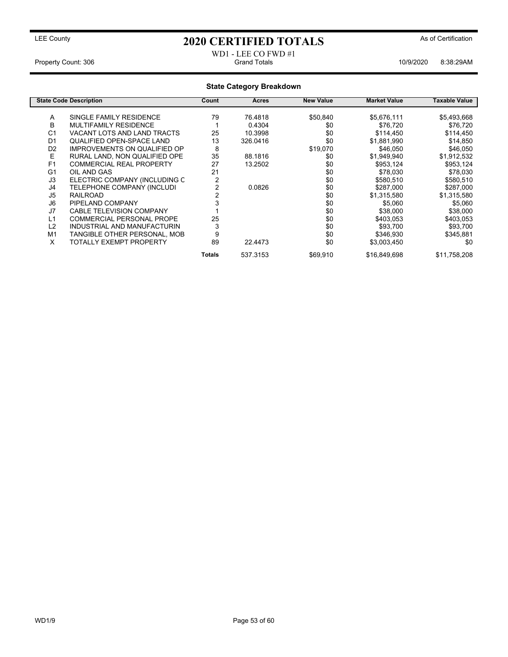### LEE County **As of Certification 2020 CERTIFIED TOTALS** As of Certification

#### WD1 - LEE CO FWD #1 Property Count: 306 **Crambus** Crambus Crambus Crambus Crambus Crambus Crambus Crambus Crambus 2009/2020 8:38:29AM

### **State Category Breakdown State Code Description Count Acres New Value Market Value Taxable Value** A SINGLE FAMILY RESIDENCE 79 76.4818 \$50,840 \$5,676,111 \$5,493,668<br>B MULTIFAMILY RESIDENCE 1 0.4304 \$0 \$76.720 \$76.720 MULTIFAMILY RESIDENCE 1 0.4304 \$0 \$76.720 \$76.720 \$76.720 C1 VACANT LOTS AND LAND TRACTS 25 10.3998 \$0 \$114,450 \$114,450<br> QUALIFIED OPEN-SPACE LAND 13 326.0416 \$0 \$1,881,990 \$14,850 QUALIFIED OPEN-SPACE LAND D2 IMPROVEMENTS ON QUALIFIED OP 8 \$19,070 \$46,050 \$46,050 \$46,050<br>
E RURAL LAND, NON QUALIFIED OPE 35 \$8.1816 \$0 \$1,949,940 \$1,919,532 E RURAL LAND, NON QUALIFIED OPE 35 88.1816 \$0 \$1,949,940 \$1,912,532<br>13.2502 \$0 \$953,124 \$953,124 \$953,124 F1 COMMERCIAL REAL PROPERTY 27 13.2502 \$0 \$953,124 \$953,124<br>
G1 OIL AND GAS \$78,030 \$78,030 G1 OIL AND GAS 21 \$0 \$78,030 \$78,030 J3 ELECTRIC COMPANY (INCLUDING C 2<br>J4 TELEPHONE COMPANY (INCLUDI 2 0.0826 \$0 \$287,000 \$287,000 \$287,000 J4 TELEPHONE COMPANY (INCLUDI 2 0.0826 \$0 \$287,000 \$287,000 J5 RAILROAD 2 \$0 \$1,315,580 \$1,315,580 J6 PIPELAND COMPANY 3 \$0 \$5,060 \$5,060 J7 CABLE TELEVISION COMPANY 1 \$0 \$38,000 \$38,000 COMMERCIAL PERSONAL PROPE L2 INDUSTRIAL AND MANUFACTURIN 3 \$0 \$93,700 \$93,700 M1 TANGIBLE OTHER PERSONAL, MOB 9 \$346,930 \$345,881<br>X TOTALLY EXEMPT PROPERTY 89 22.4473 \$0 \$3.003.450 \$0 X TOTALLY EXEMPT PROPERTY 89 22.4473 \$0 \$3,003,450 \$0 \$0 **Totals** 537.3153 \$69,910 \$16,849,698 \$11,758,208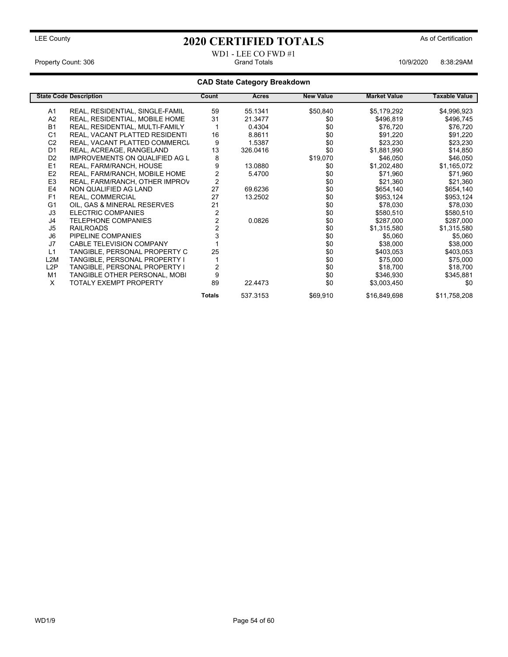#### WD1 - LEE CO FWD #1 Property Count: 306 Grand Totals 10/9/2020 8:38:29AM

### **CAD State Category Breakdown**

|                  | <b>State Code Description</b>         | Count         | Acres    | <b>New Value</b> | <b>Market Value</b> | <b>Taxable Value</b> |
|------------------|---------------------------------------|---------------|----------|------------------|---------------------|----------------------|
| A1               | REAL, RESIDENTIAL, SINGLE-FAMIL       | 59            | 55.1341  | \$50,840         | \$5,179,292         | \$4,996,923          |
| A <sub>2</sub>   | REAL, RESIDENTIAL, MOBILE HOME        | 31            | 21.3477  | \$0              | \$496,819           | \$496,745            |
| <b>B1</b>        | REAL, RESIDENTIAL, MULTI-FAMILY       |               | 0.4304   | \$0              | \$76,720            | \$76,720             |
| C <sub>1</sub>   | REAL, VACANT PLATTED RESIDENTI        | 16            | 8.8611   | \$0              | \$91,220            | \$91,220             |
| C <sub>2</sub>   | REAL, VACANT PLATTED COMMERCI         | 9             | 1.5387   | \$0              | \$23,230            | \$23,230             |
| D <sub>1</sub>   | REAL, ACREAGE, RANGELAND              | 13            | 326.0416 | \$0              | \$1,881,990         | \$14,850             |
| D <sub>2</sub>   | <b>IMPROVEMENTS ON QUALIFIED AG L</b> | 8             |          | \$19,070         | \$46,050            | \$46,050             |
| E1               | REAL, FARM/RANCH, HOUSE               | 9             | 13.0880  | \$0              | \$1,202,480         | \$1,165,072          |
| E <sub>2</sub>   | REAL, FARM/RANCH, MOBILE HOME         |               | 5.4700   | \$0              | \$71,960            | \$71,960             |
| E <sub>3</sub>   | REAL, FARM/RANCH, OTHER IMPROV        | 2             |          | \$0              | \$21,360            | \$21,360             |
| E <sub>4</sub>   | NON QUALIFIED AG LAND                 | 27            | 69.6236  | \$0              | \$654,140           | \$654,140            |
| F <sub>1</sub>   | REAL, COMMERCIAL                      | 27            | 13.2502  | \$0              | \$953,124           | \$953,124            |
| G <sub>1</sub>   | OIL, GAS & MINERAL RESERVES           | 21            |          | \$0              | \$78,030            | \$78,030             |
| J3               | <b>ELECTRIC COMPANIES</b>             | 2             |          | \$0              | \$580,510           | \$580,510            |
| J4               | <b>TELEPHONE COMPANIES</b>            |               | 0.0826   | \$0              | \$287,000           | \$287,000            |
| J <sub>5</sub>   | <b>RAILROADS</b>                      |               |          | \$0              | \$1,315,580         | \$1,315,580          |
| J <sub>6</sub>   | PIPELINE COMPANIES                    |               |          | \$0              | \$5,060             | \$5,060              |
| J7               | <b>CABLE TELEVISION COMPANY</b>       |               |          | \$0              | \$38,000            | \$38,000             |
| L1               | TANGIBLE, PERSONAL PROPERTY C         | 25            |          | \$0              | \$403,053           | \$403,053            |
| L <sub>2</sub> M | TANGIBLE, PERSONAL PROPERTY I         |               |          | \$0              | \$75,000            | \$75,000             |
| L2P              | TANGIBLE, PERSONAL PROPERTY I         |               |          | \$0              | \$18,700            | \$18,700             |
| M <sub>1</sub>   | TANGIBLE OTHER PERSONAL, MOBI         | 9             |          | \$0              | \$346,930           | \$345,881            |
| X                | <b>TOTALY EXEMPT PROPERTY</b>         | 89            | 22.4473  | \$0              | \$3,003,450         | \$0                  |
|                  |                                       | <b>Totals</b> | 537.3153 | \$69,910         | \$16,849,698        | \$11,758,208         |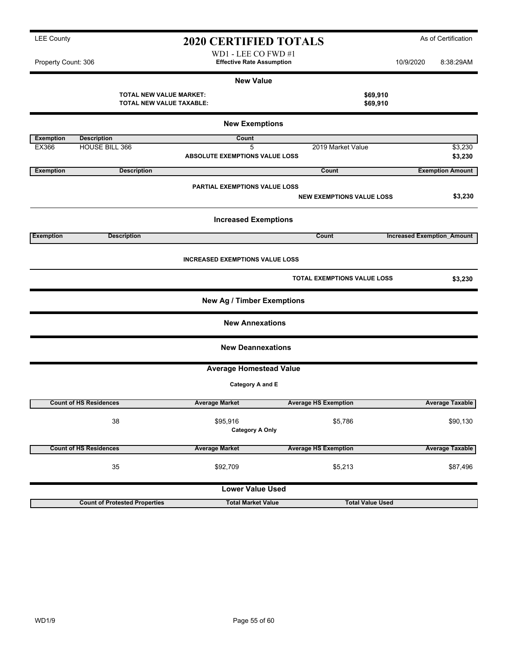| Property Count: 306 |                                                            | WD1 - LEE CO FWD #1<br><b>Effective Rate Assumption</b>     |                                    | 10/9/2020                         | 8:38:29AM               |
|---------------------|------------------------------------------------------------|-------------------------------------------------------------|------------------------------------|-----------------------------------|-------------------------|
|                     |                                                            | <b>New Value</b>                                            |                                    |                                   |                         |
|                     | <b>TOTAL NEW VALUE MARKET:</b><br>TOTAL NEW VALUE TAXABLE: |                                                             |                                    | \$69,910<br>\$69,910              |                         |
|                     |                                                            | <b>New Exemptions</b>                                       |                                    |                                   |                         |
| <b>Exemption</b>    | <b>Description</b>                                         | Count                                                       |                                    |                                   |                         |
| EX366               | HOUSE BILL 366                                             | 5<br><b>ABSOLUTE EXEMPTIONS VALUE LOSS</b>                  | 2019 Market Value                  |                                   | \$3,230<br>\$3,230      |
| <b>Exemption</b>    | <b>Description</b>                                         |                                                             | Count                              |                                   | <b>Exemption Amount</b> |
|                     |                                                            | <b>PARTIAL EXEMPTIONS VALUE LOSS</b>                        | <b>NEW EXEMPTIONS VALUE LOSS</b>   |                                   | \$3,230                 |
|                     |                                                            | <b>Increased Exemptions</b>                                 |                                    |                                   |                         |
| <b>Exemption</b>    | <b>Description</b>                                         |                                                             | Count                              | <b>Increased Exemption Amount</b> |                         |
|                     |                                                            | <b>INCREASED EXEMPTIONS VALUE LOSS</b>                      | <b>TOTAL EXEMPTIONS VALUE LOSS</b> |                                   | \$3,230                 |
|                     |                                                            |                                                             |                                    |                                   |                         |
|                     |                                                            | <b>New Ag / Timber Exemptions</b><br><b>New Annexations</b> |                                    |                                   |                         |
|                     |                                                            | <b>New Deannexations</b>                                    |                                    |                                   |                         |
|                     |                                                            | <b>Average Homestead Value</b>                              |                                    |                                   |                         |
|                     |                                                            | Category A and E                                            |                                    |                                   |                         |
|                     | <b>Count of HS Residences</b>                              | <b>Average Market</b>                                       | <b>Average HS Exemption</b>        |                                   | <b>Average Taxable</b>  |
|                     | 38                                                         | \$95,916<br><b>Category A Only</b>                          | \$5,786                            |                                   | \$90,130                |
|                     | <b>Count of HS Residences</b>                              | <b>Average Market</b>                                       | <b>Average HS Exemption</b>        |                                   | <b>Average Taxable</b>  |
|                     | 35                                                         | \$92,709                                                    | \$5,213                            |                                   | \$87,496                |
|                     |                                                            | <b>Lower Value Used</b>                                     |                                    |                                   |                         |

**Count of Protested Properties Total Market Value Total Value Used**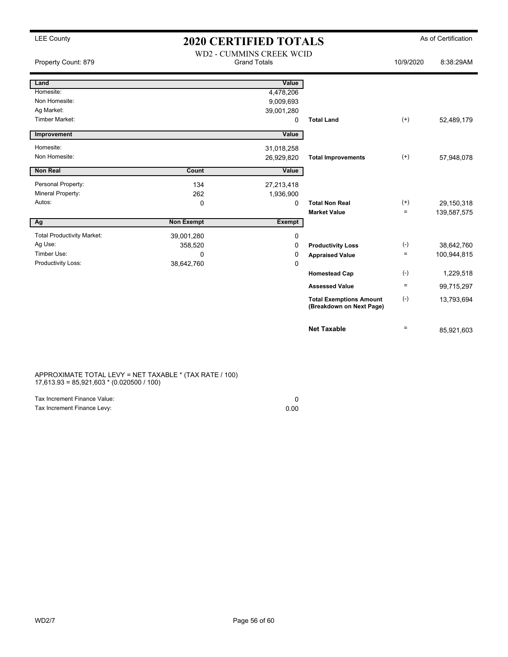## LEE County **As of Certification 2020 CERTIFIED TOTALS** As of Certification

| Property Count: 879               | WD2 - CUMMINS CREEK WCID<br><b>Grand Totals</b> |               |                                                            | 10/9/2020       | 8:38:29AM   |
|-----------------------------------|-------------------------------------------------|---------------|------------------------------------------------------------|-----------------|-------------|
| Land                              |                                                 | Value         |                                                            |                 |             |
| Homesite:                         |                                                 | 4,478,206     |                                                            |                 |             |
| Non Homesite:                     |                                                 | 9,009,693     |                                                            |                 |             |
| Ag Market:                        |                                                 | 39,001,280    |                                                            |                 |             |
| <b>Timber Market:</b>             |                                                 | 0             | <b>Total Land</b>                                          | $^{(+)}$        | 52,489,179  |
| Improvement                       |                                                 | Value         |                                                            |                 |             |
| Homesite:                         |                                                 | 31,018,258    |                                                            |                 |             |
| Non Homesite:                     |                                                 | 26,929,820    | <b>Total Improvements</b>                                  | $^{(+)}$        | 57,948,078  |
| <b>Non Real</b>                   | Count                                           | Value         |                                                            |                 |             |
| Personal Property:                | 134                                             | 27,213,418    |                                                            |                 |             |
| Mineral Property:                 | 262                                             | 1,936,900     |                                                            |                 |             |
| Autos:                            | $\mathbf 0$                                     | 0             | <b>Total Non Real</b>                                      | $^{(+)}$        | 29,150,318  |
|                                   |                                                 |               | <b>Market Value</b>                                        | $\equiv$        | 139,587,575 |
| Ag                                | <b>Non Exempt</b>                               | <b>Exempt</b> |                                                            |                 |             |
| <b>Total Productivity Market:</b> | 39,001,280                                      | 0             |                                                            |                 |             |
| Ag Use:                           | 358,520                                         | 0             | <b>Productivity Loss</b>                                   | $(-)$           | 38,642,760  |
| Timber Use:                       | $\Omega$                                        | 0             | <b>Appraised Value</b>                                     | $\equiv$        | 100,944,815 |
| Productivity Loss:                | 38,642,760                                      | 0             |                                                            |                 |             |
|                                   |                                                 |               | <b>Homestead Cap</b>                                       | $(\text{-})$    | 1,229,518   |
|                                   |                                                 |               | <b>Assessed Value</b>                                      | $\quad \  \  =$ | 99,715,297  |
|                                   |                                                 |               | <b>Total Exemptions Amount</b><br>(Breakdown on Next Page) | $(-)$           | 13,793,694  |
|                                   |                                                 |               | <b>Net Taxable</b>                                         | $=$             | 85,921,603  |

APPROXIMATE TOTAL LEVY = NET TAXABLE \* (TAX RATE / 100) 17,613.93 = 85,921,603 \* (0.020500 / 100)

| Tax Increment Finance Value: |      |
|------------------------------|------|
| Tax Increment Finance Levy:  | 0.00 |

WD2/7 Page 56 of 60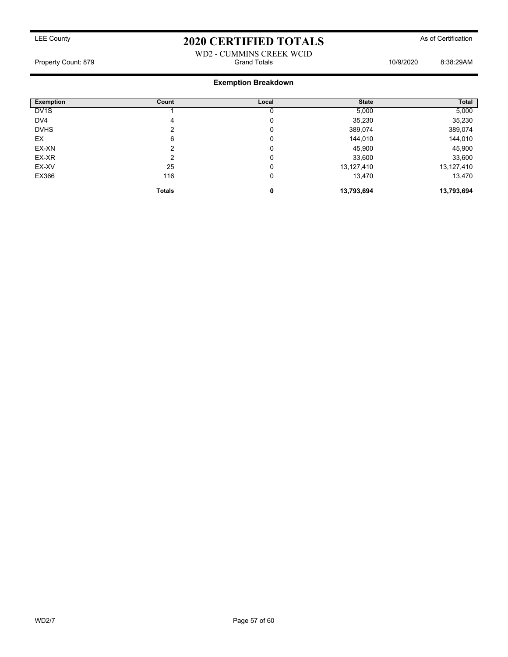### WD2 - CUMMINS CREEK WCID Property Count: 879 Grand Totals 10/9/2020 8:38:29AM

### **Exemption Breakdown**

| <b>Exemption</b>  | Count         | Local | <b>State</b> | Total      |
|-------------------|---------------|-------|--------------|------------|
| DV <sub>1</sub> S |               |       | 5,000        | 5,000      |
| DV4               | 4             | 0     | 35,230       | 35,230     |
| <b>DVHS</b>       | າ             | 0     | 389,074      | 389,074    |
| EX                | 6             | 0     | 144,010      | 144,010    |
| EX-XN             | ⌒             | 0     | 45,900       | 45,900     |
| EX-XR             | ົ             | 0     | 33,600       | 33,600     |
| EX-XV             | 25            | 0     | 13,127,410   | 13,127,410 |
| EX366             | 116           | 0     | 13,470       | 13,470     |
|                   | <b>Totals</b> | 0     | 13,793,694   | 13,793,694 |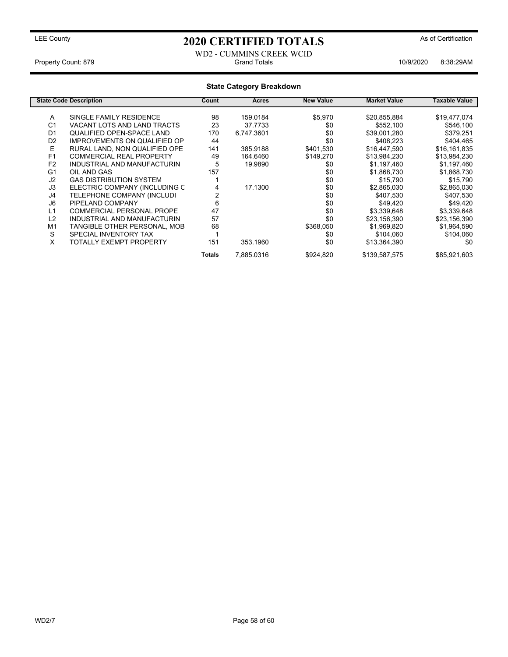### LEE County **As of Certification 2020 CERTIFIED TOTALS** As of Certification

### WD2 - CUMMINS CREEK WCID Property Count: 879 **Count: 879** Crand Totals 10/9/2020 8:38:29AM

#### **State Category Breakdown State Code Description Count Acres New Value Market Value Taxable Value** A SINGLE FAMILY RESIDENCE 98 159.0184 \$5,970 \$20,855,884 \$19,477,074<br>C1 VACANT LOTS AND LAND TRACTS 23 37.7733 \$0 \$552.100 \$546.100 VACANT LOTS AND LAND TRACTS 23 37.7733 \$0 \$552,100 \$546,100 01 QUALIFIED OPEN-SPACE LAND 170 6,747.3601 \$0 \$39,001,280 \$379,251<br>D2 IMPROVEMENTS ON QUALIFIED OP 44 \$0 \$408,223 \$404,465 IMPROVEMENTS ON QUALIFIED OP E RURAL LAND, NON QUALIFIED OPE 141 385.9188 \$401,530 \$16,447,590 \$16,161,835<br>164.6460 \$13,984,230 \$13,984,230 \$13,984,230 F1 COMMERCIAL REAL PROPERTY 49 164.6460 \$149,270 \$13,984,230 \$13,984,230<br>F2 INDUSTRIAL AND MANUFACTURIN 5 19.9890 \$0 \$1,197,460 \$1,197,460 F2 INDUSTRIAL AND MANUFACTURIN 5 19.9890 \$0 \$1,197,460 \$1,197,460 G1 OIL AND GAS 157 \$0 \$1,868,730 \$1,868,730 J2 GAS DISTRIBUTION SYSTEM 1 \$0 \$15,790 \$15,790 J3 ELECTRIC COMPANY (INCLUDING C 4 17.1300 \$0 \$2,865,030 \$2,865,030 TELEPHONE COMPANY (INCLUDI J6 PIPELAND COMPANY 6 \$0 \$49,420 \$49,420 L1 COMMERCIAL PERSONAL PROPE 47 47 \$0 \$3,339,648 \$3,339,648 \$3,339,648<br>
L2 INDUSTRIAL AND MANUFACTURIN 57 \$0 \$23,156,390 \$23,156,390 INDUSTRIAL AND MANUFACTURIN 57 \$0 \$0<br>TANGIBLE OTHER PERSONAL, MOB \$368,050 M1 TANGIBLE OTHER PERSONAL, MOB 68 \$368,050 \$1,969,820 \$1,964,590<br>SPECIAL INVENTORY TAX 1 50 \$104,060 \$104,060 \$104,060 S SPECIAL INVENTORY TAX 1 \$0 \$104,060 \$104,060 TOTALLY EXEMPT PROPERTY 151 353.1960 \$0 \$13,364,390 \$0

Totals 7,885.0316 \$924,820 \$139,587,575 \$85,921,603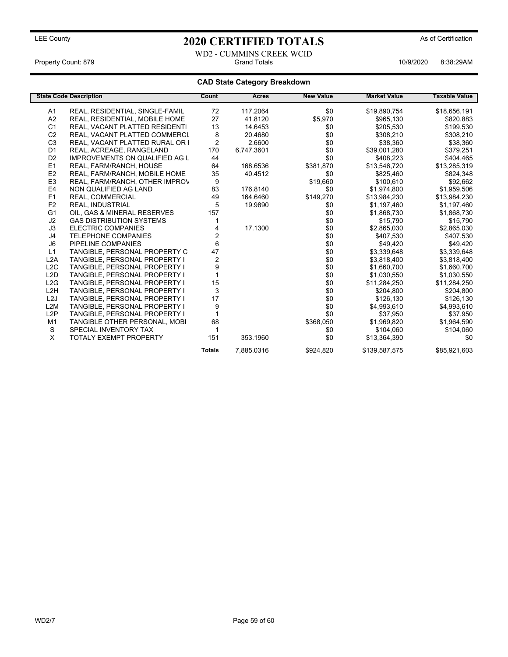WD2 - CUMMINS CREEK WCID Property Count: 879 Grand Totals 10/9/2020 8:38:29AM

### **CAD State Category Breakdown**

|                  | <b>State Code Description</b>         | Count          | Acres      | <b>New Value</b> | <b>Market Value</b> | <b>Taxable Value</b> |
|------------------|---------------------------------------|----------------|------------|------------------|---------------------|----------------------|
| A1               | REAL, RESIDENTIAL, SINGLE-FAMIL       | 72             | 117.2064   | \$0              | \$19,890,754        | \$18,656,191         |
| A2               | REAL, RESIDENTIAL, MOBILE HOME        | 27             | 41.8120    | \$5,970          | \$965,130           | \$820,883            |
| C <sub>1</sub>   | REAL, VACANT PLATTED RESIDENTI        | 13             | 14.6453    | \$0              | \$205,530           | \$199,530            |
| C <sub>2</sub>   | REAL, VACANT PLATTED COMMERCI         | 8              | 20.4680    | \$0              | \$308,210           | \$308,210            |
| C <sub>3</sub>   | REAL, VACANT PLATTED RURAL OR F       | $\overline{2}$ | 2.6600     | \$0              | \$38,360            | \$38,360             |
| D <sub>1</sub>   | REAL, ACREAGE, RANGELAND              | 170            | 6,747.3601 | \$0              | \$39,001,280        | \$379,251            |
| D <sub>2</sub>   | <b>IMPROVEMENTS ON QUALIFIED AG L</b> | 44             |            | \$0              | \$408,223           | \$404,465            |
| E1               | REAL, FARM/RANCH, HOUSE               | 64             | 168.6536   | \$381,870        | \$13,546,720        | \$13,285,319         |
| E <sub>2</sub>   | REAL, FARM/RANCH, MOBILE HOME         | 35             | 40.4512    | \$0              | \$825,460           | \$824,348            |
| E <sub>3</sub>   | REAL, FARM/RANCH, OTHER IMPROV        | 9              |            | \$19,660         | \$100,610           | \$92,662             |
| E <sub>4</sub>   | NON QUALIFIED AG LAND                 | 83             | 176.8140   | \$0              | \$1,974,800         | \$1,959,506          |
| F1               | REAL, COMMERCIAL                      | 49             | 164.6460   | \$149,270        | \$13,984,230        | \$13,984,230         |
| F <sub>2</sub>   | <b>REAL, INDUSTRIAL</b>               | 5              | 19.9890    | \$0              | \$1,197,460         | \$1,197,460          |
| G <sub>1</sub>   | OIL, GAS & MINERAL RESERVES           | 157            |            | \$0              | \$1,868,730         | \$1,868,730          |
| J <sub>2</sub>   | <b>GAS DISTRIBUTION SYSTEMS</b>       |                |            | \$0              | \$15,790            | \$15,790             |
| J3               | <b>ELECTRIC COMPANIES</b>             | 4              | 17.1300    | \$0              | \$2,865,030         | \$2,865,030          |
| J4               | <b>TELEPHONE COMPANIES</b>            | 2              |            | \$0              | \$407,530           | \$407,530            |
| J <sub>6</sub>   | PIPELINE COMPANIES                    | 6              |            | \$0              | \$49,420            | \$49,420             |
| L1               | TANGIBLE, PERSONAL PROPERTY C         | 47             |            | \$0              | \$3,339,648         | \$3,339,648          |
| L2A              | TANGIBLE, PERSONAL PROPERTY I         | $\overline{c}$ |            | \$0              | \$3,818,400         | \$3,818,400          |
| L <sub>2</sub> C | TANGIBLE, PERSONAL PROPERTY I         | 9              |            | \$0              | \$1,660,700         | \$1,660,700          |
| L2D              | TANGIBLE, PERSONAL PROPERTY I         |                |            | \$0              | \$1,030,550         | \$1,030,550          |
| L2G              | TANGIBLE, PERSONAL PROPERTY I         | 15             |            | \$0              | \$11,284,250        | \$11,284,250         |
| L <sub>2</sub> H | TANGIBLE, PERSONAL PROPERTY I         | 3              |            | \$0              | \$204,800           | \$204,800            |
| L <sub>2</sub> J | TANGIBLE, PERSONAL PROPERTY I         | 17             |            | \$0              | \$126,130           | \$126,130            |
| L2M              | <b>TANGIBLE, PERSONAL PROPERTY I</b>  | 9              |            | \$0              | \$4,993,610         | \$4,993,610          |
| L2P              | <b>TANGIBLE, PERSONAL PROPERTY I</b>  |                |            | \$0              | \$37,950            | \$37,950             |
| M <sub>1</sub>   | TANGIBLE OTHER PERSONAL, MOBI         | 68             |            | \$368,050        | \$1,969,820         | \$1,964,590          |
| S                | SPECIAL INVENTORY TAX                 |                |            | \$0              | \$104,060           | \$104,060            |
| X                | <b>TOTALY EXEMPT PROPERTY</b>         | 151            | 353.1960   | \$0              | \$13,364,390        | \$0                  |
|                  |                                       | <b>Totals</b>  | 7,885.0316 | \$924,820        | \$139,587,575       | \$85,921,603         |